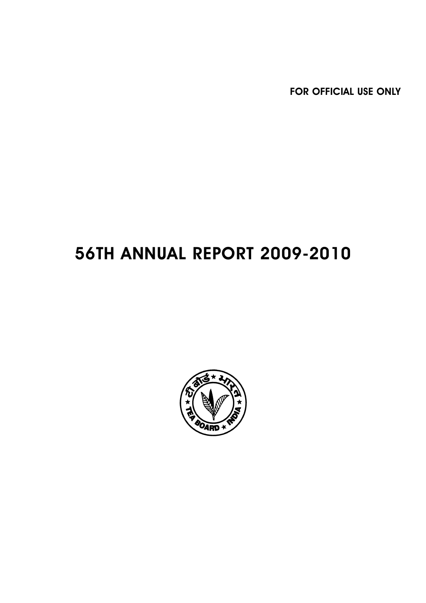FOR OFFICIAL USE ONLY

# 56TH ANNUAL REPORT 2009-2010

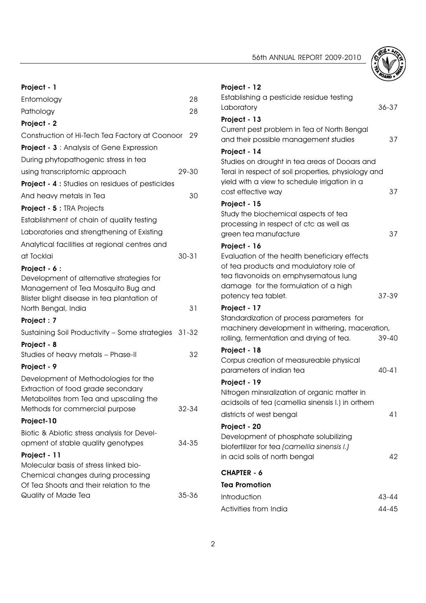

| Project - 1                                                                       |           |
|-----------------------------------------------------------------------------------|-----------|
| Entomology                                                                        | 28        |
| Pathology                                                                         | 28        |
| Project - 2                                                                       |           |
| Construction of Hi-Tech Tea Factory at Coonoor                                    | 29        |
| <b>Project - 3: Analysis of Gene Expression</b>                                   |           |
| During phytopathogenic stress in tea                                              |           |
| using transcriptomic approach                                                     | 29-30     |
| <b>Project - 4:</b> Studies on residues of pesticides                             |           |
| And heavy metals in Tea                                                           | 30        |
| <b>Project - 5: TRA Projects</b>                                                  |           |
| Establishment of chain of quality testing                                         |           |
| Laboratories and strengthening of Existing                                        |           |
| Analytical facilities at regional centres and                                     |           |
| at Tocklai                                                                        | $30 - 31$ |
| Project - 6 :                                                                     |           |
| Development of alternative strategies for                                         |           |
| Management of Tea Mosquito Bug and                                                |           |
| Blister blight disease in tea plantation of<br>North Bengal, India                | 31        |
| Project: 7                                                                        |           |
| Sustaining Soil Productivity - Some strategies 31-32                              |           |
| Project - 8                                                                       |           |
| Studies of heavy metals - Phase-II                                                | 32        |
| Project - 9                                                                       |           |
| Development of Methodologies for the                                              |           |
| Extraction of food grade secondary                                                |           |
| Metabolites from Tea and upscaling the                                            |           |
| Methods for commercial purpose                                                    | 32-34     |
| Project-10                                                                        |           |
| Biotic & Abiotic stress analysis for Devel-<br>opment of stable quality genotypes | 34-35     |
| Project - 11                                                                      |           |
| Molecular basis of stress linked bio-                                             |           |
| Chemical changes during processing                                                |           |
| Of Tea Shoots and their relation to the                                           |           |
| Quality of Made Tea                                                               | 35-36     |

| Project - 12<br>Establishing a pesticide residue testing                                             |           |
|------------------------------------------------------------------------------------------------------|-----------|
| Laboratory                                                                                           | $36 - 37$ |
| Project - 13                                                                                         |           |
| Current pest problem in Tea of North Bengal                                                          |           |
| and their possible management studies                                                                | 37        |
| Project - 14                                                                                         |           |
| Studies on drought in tea areas of Dooars and                                                        |           |
| Terai in respect of soil properties, physiology and<br>yield with a view to schedule irrigation in a |           |
| cost effective way                                                                                   | 37        |
| Project - 15                                                                                         |           |
| Study the biochemical aspects of tea                                                                 |           |
| processing in respect of ctc as well as                                                              |           |
| green tea manufacture                                                                                | 37        |
| Project - 16                                                                                         |           |
| Evaluation of the health beneficiary effects<br>of tea products and modulatory role of               |           |
| tea flavonoids on emphysematous lung                                                                 |           |
| damage for the formulation of a high                                                                 |           |
| potency tea tablet.                                                                                  | 37-39     |
| Project - 17                                                                                         |           |
| Standardization of process parameters for                                                            |           |
| machinery development in withering, maceration,<br>rolling, fermentation and drying of tea.          | 39-40     |
| Project - 18                                                                                         |           |
| Corpus creation of measureable physical                                                              |           |
| parameters of indian tea                                                                             | 40-41     |
| Project - 19                                                                                         |           |
| Nitrogen minsralization of organic matter in                                                         |           |
| acidsoils of tea (camellia sinensis I.) in orthern                                                   |           |
| districts of west bengal                                                                             | 41        |
| Project - 20                                                                                         |           |
| Development of phosphate solubilizing<br>biofertilizer for tea (camellia sinensis I.)                |           |
| in acid soils of north bengal                                                                        | 42        |
| <b>CHAPTER - 6</b>                                                                                   |           |
| <b>Tea Promotion</b>                                                                                 |           |
| Introduction                                                                                         | 43-44     |
| Activities from India                                                                                | 44-45     |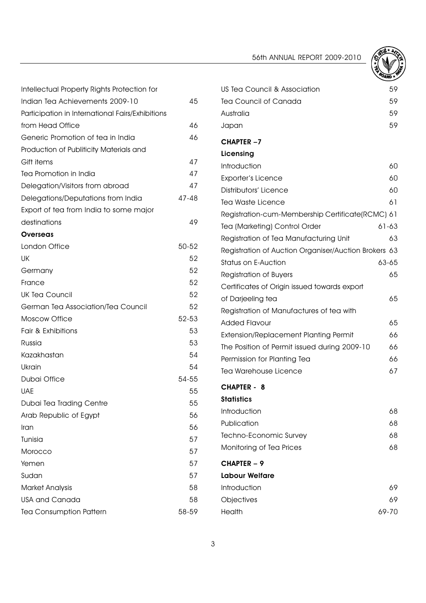

| Intellectual Property Rights Protection for      |       |
|--------------------------------------------------|-------|
| Indian Tea Achievements 2009-10                  | 45    |
| Participation in International Fairs/Exhibitions |       |
| from Head Office                                 | 46    |
| Generic Promotion of tea in India                | 46    |
| Production of Publiticity Materials and          |       |
| Gift items                                       | 47    |
| Tea Promotion in India                           | 47    |
| Delegation/Visitors from abroad                  | 47    |
| Delegations/Deputations from India               | 47-48 |
| Export of tea from India to some major           |       |
| destinations                                     | 49    |
| Overseas                                         |       |
| London Office                                    | 50-52 |
| UK                                               | 52    |
| Germany                                          | 52    |
| France                                           | 52    |
| <b>UK Tea Council</b>                            | 52    |
| German Tea Association/Tea Council               | 52    |
| <b>Moscow Office</b>                             | 52-53 |
| Fair & Exhibitions                               | 53    |
| Russia                                           | 53    |
| Kazakhastan                                      | 54    |
| Ukrain                                           | 54    |
| Dubai Office                                     | 54-55 |
| <b>UAE</b>                                       | 55    |
| Dubai Tea Trading Centre                         | 55    |
| Arab Republic of Egypt                           | 56    |
| Iran                                             | 56    |
| Tunisia                                          | 57    |
| Morocco                                          | 57    |
| Yemen                                            | 57    |
| Sudan                                            | 57    |
| Market Analysis                                  | 58    |
| <b>USA and Canada</b>                            | 58    |
| Tea Consumption Pattern                          | 58-59 |

| US Tea Council & Association                         | 59    |
|------------------------------------------------------|-------|
| <b>Tea Council of Canada</b>                         | 59    |
| Australia                                            | 59    |
| Japan                                                | 59    |
| CHAPTER-7                                            |       |
| Licensing                                            |       |
| Introduction                                         | 60    |
| Exporter's Licence                                   | 60    |
| Distributors' Licence                                | 60    |
| Tea Waste Licence                                    | 61    |
| Registration-cum-Membership Certificate(RCMC) 61     |       |
| Tea (Marketing) Control Order                        | 61-63 |
| Registration of Tea Manufacturing Unit               | 63    |
| Registration of Auction Organiser/Auction Brokers 63 |       |
| Status on E-Auction                                  | 63-65 |
| <b>Registration of Buyers</b>                        | 65    |
| Certificates of Origin issued towards export         |       |
| of Darjeeling tea                                    | 65    |
| Registration of Manufactures of tea with             |       |
| <b>Added Flavour</b>                                 | 65    |
| Extension/Replacement Planting Permit                | 66    |
| The Position of Permit issued during 2009-10         | 66    |
| Permission for Planting Tea                          | 66    |
| Tea Warehouse Licence                                | 67    |
| <b>CHAPTER - 8</b>                                   |       |
| <b>Statistics</b>                                    |       |
| Introduction                                         | 68    |
| Publication                                          | 68    |
| Techno-Economic Survey                               | 68    |
| Monitoring of Tea Prices                             | 68    |
| <b>CHAPTER – 9</b>                                   |       |
| <b>Labour Welfare</b>                                |       |
| Introduction                                         | 69    |
| Objectives                                           | 69    |
| Health                                               | 69-70 |
|                                                      |       |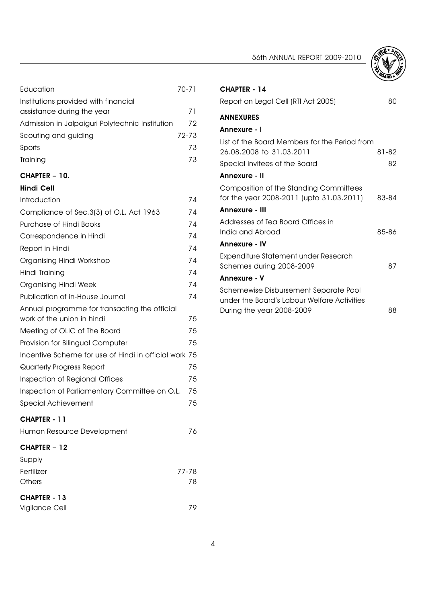

| <b>Education</b>                                                   | 70-71 |
|--------------------------------------------------------------------|-------|
| Institutions provided with financial<br>assistance during the year | 71    |
| Admission in Jalpaiguri Polytechnic Institution                    | 72    |
| Scouting and guiding                                               | 72-73 |
| Sports                                                             | 73    |
| Training                                                           | 73    |
| CHAPTER - 10.                                                      |       |
| Hindi Cell                                                         |       |
| Introduction                                                       | 71    |

| Introduction                                          | 74 |
|-------------------------------------------------------|----|
| Compliance of Sec.3(3) of O.L. Act 1963               | 74 |
| Purchase of Hindi Books                               | 74 |
| Correspondence in Hindi                               | 74 |
| Report in Hindi                                       | 74 |
| Organising Hindi Workshop                             | 74 |
| Hindi Training                                        | 74 |
| <b>Organising Hindi Week</b>                          | 74 |
| Publication of in-House Journal                       | 74 |
| Annual programme for transacting the official         |    |
| work of the union in hindi                            | 75 |
| Meeting of OLIC of The Board                          | 75 |
| Provision for Bilingual Computer                      | 75 |
| Incentive Scheme for use of Hindi in official work 75 |    |
| Quarterly Progress Report                             | 75 |
| Inspection of Regional Offices                        | 75 |
| Inspection of Parliamentary Committee on O.L.         | 75 |
| Special Achievement                                   | 75 |
|                                                       |    |

## CHAPTER - 11

| Human Resource Development | 76 |  |
|----------------------------|----|--|
|----------------------------|----|--|

## CHAPTER – 12

| Supply              |       |
|---------------------|-------|
| Fertilizer          | 77-78 |
| <b>Others</b>       | 78    |
| <b>CHAPTER - 13</b> |       |
| Vigilance Cell      | 70    |

| <b>CHAPTER - 14</b>                                                                                               |       |
|-------------------------------------------------------------------------------------------------------------------|-------|
| Report on Legal Cell (RTI Act 2005)                                                                               | 80    |
| <b>ANNEXURES</b>                                                                                                  |       |
| Annexure - I                                                                                                      |       |
| List of the Board Members for the Period from<br>26.08.2008 to 31.03.2011                                         | 81-82 |
| Special invitees of the Board                                                                                     | 82    |
| Annexure - II                                                                                                     |       |
| Composition of the Standing Committees<br>for the year 2008-2011 (upto 31.03.2011)                                | 83-84 |
| Annexure - III                                                                                                    |       |
| Addresses of Tea Board Offices in<br>India and Abroad                                                             | 85-86 |
| Annexure - IV                                                                                                     |       |
| Expenditure Statement under Research<br>Schemes during 2008-2009                                                  | 87    |
| Annexure - V                                                                                                      |       |
| Schemewise Disbursement Separate Pool<br>under the Board's Labour Welfare Activities<br>During the year 2008-2009 | 88    |
|                                                                                                                   |       |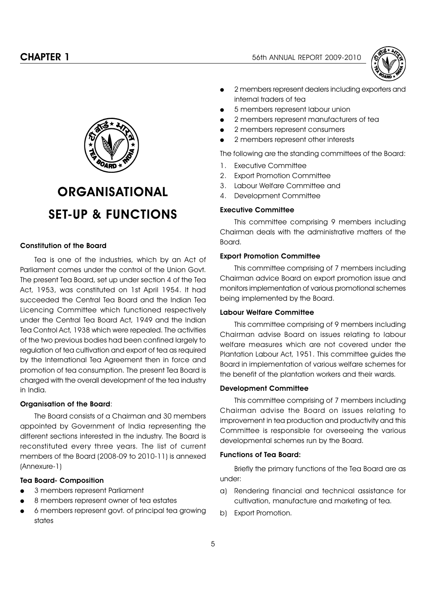

# ORGANISATIONAL SET-UP & FUNCTIONS

## Constitution of the Board

Tea is one of the industries, which by an Act of Parliament comes under the control of the Union Govt. The present Tea Board, set up under section 4 of the Tea Act, 1953, was constituted on 1st April 1954. It had succeeded the Central Tea Board and the Indian Tea Licencing Committee which functioned respectively under the Central Tea Board Act, 1949 and the Indian Tea Control Act, 1938 which were repealed. The activities of the two previous bodies had been confined largely to regulation of tea cultivation and export of tea as required by the International Tea Agreement then in force and promotion of tea consumption. The present Tea Board is charged with the overall development of the tea industry in India.

## Organisation of the Board:

The Board consists of a Chairman and 30 members appointed by Government of India representing the different sections interested in the industry. The Board is reconstituted every three years. The list of current members of the Board (2008-09 to 2010-11) is annexed (Annexure-1)

## Tea Board- Composition

- 3 members represent Parliament
- 8 members represent owner of tea estates
- 6 members represent govt. of principal tea growing states
- 2 members represent dealers including exporters and internal traders of tea
- 5 members represent labour union
- 2 members represent manufacturers of tea
- 2 members represent consumers
- 2 members represent other interests

The following are the standing committees of the Board:

- 1. Executive Committee
- 2. Export Promotion Committee
- 3. Labour Welfare Committee and
- 4. Development Committee

## Executive Committee

This committee comprising 9 members including Chairman deals with the administrative matters of the Board.

## Export Promotion Committee

This committee comprising of 7 members including Chairman advice Board on export promotion issue and monitors implementation of various promotional schemes being implemented by the Board.

## Labour Welfare Committee

This committee comprising of 9 members including Chairman advise Board on issues relating to labour welfare measures which are not covered under the Plantation Labour Act, 1951. This committee guides the Board in implementation of various welfare schemes for the benefit of the plantation workers and their wards.

#### Development Committee

This committee comprising of 7 members including Chairman advise the Board on issues relating to improvement in tea production and productivity and this Committee is responsible for overseeing the various developmental schemes run by the Board.

## Functions of Tea Board:

Briefly the primary functions of the Tea Board are as under:

- a) Rendering financial and technical assistance for cultivation, manufacture and marketing of tea.
- b) Export Promotion.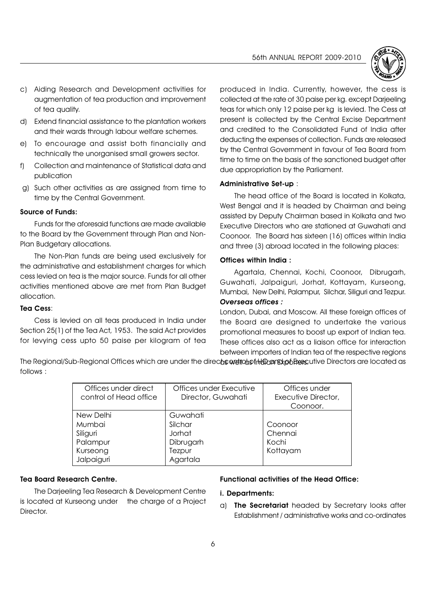

- c) Aiding Research and Development activities for augmentation of tea production and improvement of tea quality.
- d) Extend financial assistance to the plantation workers and their wards through labour welfare schemes.
- e) To encourage and assist both financially and technically the unorganised small growers sector.
- f) Collection and maintenance of Statistical data and publication
- g) Such other activities as are assigned from time to time by the Central Government.

#### Source of Funds:

Funds for the aforesaid functions are made available to the Board by the Government through Plan and Non-Plan Budgetary allocations.

The Non-Plan funds are being used exclusively for the administrative and establishment charges for which cess levied on tea is the major source. Funds for all other activities mentioned above are met from Plan Budget allocation.

#### Tea Cess:

Cess is levied on all teas produced in India under Section 25(1) of the Tea Act, 1953. The said Act provides for levying cess upto 50 paise per kilogram of tea

produced in India. Currently, however, the cess is collected at the rate of 30 paise per kg. except Darjeeling teas for which only 12 paise per kg is levied. The Cess at present is collected by the Central Excise Department and credited to the Consolidated Fund of India after deducting the expenses of collection. Funds are released by the Central Government in favour of Tea Board from time to time on the basis of the sanctioned budget after due appropriation by the Parliament.

## Administrative Set-up :

The head office of the Board is located in Kolkata, West Bengal and it is headed by Chairman and being assisted by Deputy Chairman based in Kolkata and two Executive Directors who are stationed at Guwahati and Coonoor. The Board has sixteen (16) offices within India and three (3) abroad located in the following places:

#### Offices within India :

Agartala, Chennai, Kochi, Coonoor, Dibrugarh, Guwahati, Jalpaiguri, Jorhat, Kottayam, Kurseong, Mumbai, New Delhi, Palampur, Silchar, Siliguri and Tezpur. Overseas offices :

London, Dubai, and Moscow. All these foreign offices of the Board are designed to undertake the various promotional measures to boost up export of Indian tea. These offices also act as a liaison office for interaction between importers of Indian tea of the respective regions

The Regional/Sub-Regional Offices which are under the direct control of Holpar Exports are located as Indian Exporters. follows :

| Offices under direct<br>control of Head office | Offices under Executive<br>Director, Guwahati | Offices under<br>Executive Director, |
|------------------------------------------------|-----------------------------------------------|--------------------------------------|
|                                                |                                               | Coonoor.                             |
| New Delhi                                      | Guwahati                                      |                                      |
| Mumbai                                         | Silchar                                       | Coonoor                              |
| Siliguri                                       | Jorhat                                        | Chennai                              |
| Palampur                                       | Dibrugarh                                     | Kochi                                |
| Kurseong                                       | Tezpur                                        | Kottayam                             |
| Jalpaiguri                                     | Agartala                                      |                                      |

## Tea Board Research Centre.

The Darjeeling Tea Research & Development Centre is located at Kurseong under the charge of a Project Director.

#### Functional activities of the Head Office:

### i. Departments:

a) The Secretariat headed by Secretary looks after Establishment / administrative works and co-ordinates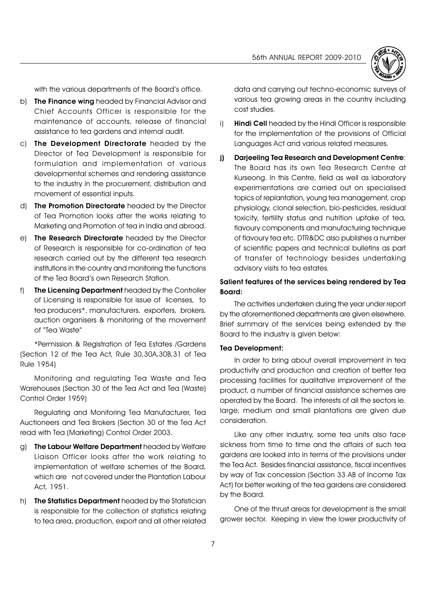

with the various departments of the Board's office.

- b) The Finance wing headed by Financial Advisor and Chief Accounts Officer is responsible for the maintenance of accounts, release of financial assistance to tea gardens and internal audit.
- c) The Development Directorate headed by the Director of Tea Development is responsible for formulation and implementation of various developmental schemes and rendering assistance to the industry in the procurement, distribution and movement of essential inputs.
- d) The Promotion Directorate headed by the Director of Tea Promotion looks after the works relating to Marketing and Promotion of tea in India and abroad.
- e) The Research Directorate headed by the Director of Research is responsible for co-ordination of tea research carried out by the different tea research institutions in the country and monitoring the functions of the Tea Board's own Research Station.
- f) The Licensing Department headed by the Controller of Licensing is responsible for issue of licenses, to tea producers\*, manufacturers, exporters, brokers, auction organisers & monitoring of the movement of "Tea Waste"

\*Permission & Registration of Tea Estates /Gardens (Section 12 of the Tea Act, Rule 30,30A,30B,31 of Tea Rule 1954)

Monitoring and regulating Tea Waste and Tea Warehouses (Section 30 of the Tea Act and Tea (Waste) Control Order 1959)

Regulating and Monitoring Tea Manufacturer, Tea Auctioneers and Tea Brokers (Section 30 of the Tea Act read with Tea (Marketing) Control Order 2003.

- g) The Labour Welfare Department headed by Welfare Liaison Officer looks after the work relating to implementation of welfare schemes of the Board, which are not covered under the Plantation Labour Act, 1951.
- h) The Statistics Department headed by the Statistician is responsible for the collection of statistics relating to tea area, production, export and all other related

data and carrying out techno-economic surveys of various tea growing areas in the country including cost studies.

- i) Hindi Cell headed by the Hindi Officer is responsible for the implementation of the provisions of Official Languages Act and various related measures.
- j) Darjeeling Tea Research and Development Centre: The Board has its own Tea Research Centre at Kurseong. In this Centre, field as well as laboratory experimentations are carried out on specialised topics of replantation, young tea management, crop physiology, clonal selection, bio-pesticides, residual toxicity, fertility status and nutrition uptake of tea, flavoury components and manufacturing technique of flavoury tea etc. DTR&DC also publishes a number of scientific papers and technical bulletins as part of transfer of technology besides undertaking advisory visits to tea estates.

## Salient features of the services being rendered by Tea Board:

The activities undertaken during the year under report by the aforementioned departments are given elsewhere. Brief summary of the services being extended by the Board to the industry is given below:

#### Tea Development:

In order to bring about overall improvement in tea productivity and production and creation of better tea processing facilities for qualitative improvement of the product, a number of financial assistance schemes are operated by the Board. The interests of all the sectors ie. large, medium and small plantations are given due consideration.

Like any other industry, some tea units also face sickness from time to time and the affairs of such tea gardens are looked into in terms of the provisions under the Tea Act. Besides financial assistance, fiscal incentives by way of Tax concession (Section 33 AB of Income Tax Act) for better working of the tea gardens are considered by the Board.

One of the thrust areas for development is the small grower sector. Keeping in view the lower productivity of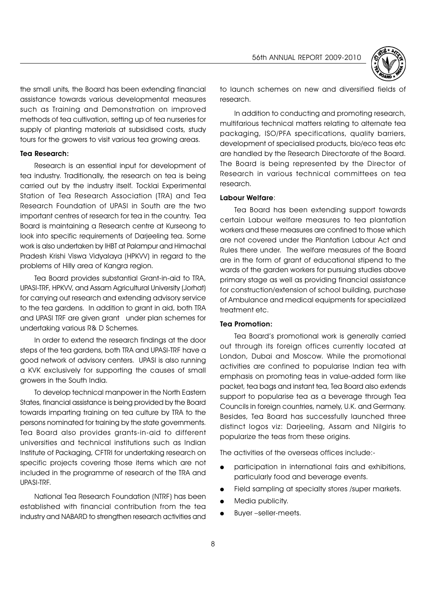

the small units, the Board has been extending financial assistance towards various developmental measures such as Training and Demonstration on improved methods of tea cultivation, setting up of tea nurseries for supply of planting materials at subsidised costs, study tours for the growers to visit various tea growing areas.

## Tea Research:

Research is an essential input for development of tea industry. Traditionally, the research on tea is being carried out by the industry itself. Tocklai Experimental Station of Tea Research Association (TRA) and Tea Research Foundation of UPASI in South are the two important centres of research for tea in the country. Tea Board is maintaining a Research centre at Kurseong to look into specific requirements of Darjeeling tea. Some work is also undertaken by IHBT at Palampur and Himachal Pradesh Krishi Viswa Vidyalaya (HPKVV) in regard to the problems of Hilly area of Kangra region.

Tea Board provides substantial Grant-in-aid to TRA, UPASI-TRF, HPKVV, and Assam Agricultural University (Jorhat) for carrying out research and extending advisory service to the tea gardens. In addition to grant in aid, both TRA and UPASI TRF are given grant under plan schemes for undertaking various R& D Schemes.

In order to extend the research findings at the door steps of the tea gardens, both TRA and UPASI-TRF have a good network of advisory centers. UPASI is also running a KVK exclusively for supporting the causes of small growers in the South India.

To develop technical manpower in the North Eastern States, financial assistance is being provided by the Board towards imparting training on tea culture by TRA to the persons nominated for training by the state governments. Tea Board also provides grants-in-aid to different universities and technical institutions such as Indian Institute of Packaging, CFTRI for undertaking research on specific projects covering those items which are not included in the programme of research of the TRA and UPASI-TRF.

National Tea Research Foundation (NTRF) has been established with financial contribution from the tea industry and NABARD to strengthen research activities and to launch schemes on new and diversified fields of research.

In addition to conducting and promoting research, multifarious technical matters relating to alternate tea packaging, ISO/PFA specifications, quality barriers, development of specialised products, bio/eco teas etc are handled by the Research Directorate of the Board. The Board is being represented by the Director of Research in various technical committees on tea research.

#### Labour Welfare:

Tea Board has been extending support towards certain Labour welfare measures to tea plantation workers and these measures are confined to those which are not covered under the Plantation Labour Act and Rules there under. The welfare measures of the Board are in the form of grant of educational stipend to the wards of the garden workers for pursuing studies above primary stage as well as providing financial assistance for construction/extension of school building, purchase of Ambulance and medical equipments for specialized treatment etc.

## Tea Promotion:

Tea Board's promotional work is generally carried out through its foreign offices currently located at London, Dubai and Moscow. While the promotional activities are confined to popularise Indian tea with emphasis on promoting teas in value-added form like packet, tea bags and instant tea, Tea Board also extends support to popularise tea as a beverage through Tea Councils in foreign countries, namely, U.K. and Germany. Besides, Tea Board has successfully launched three distinct logos viz: Darjeeling, Assam and Nilgiris to popularize the teas from these origins.

The activities of the overseas offices include:-

- participation in international fairs and exhibitions, particularly food and beverage events.
- Field sampling at specialty stores /super markets.
- Media publicity.
- Buyer –seller-meets.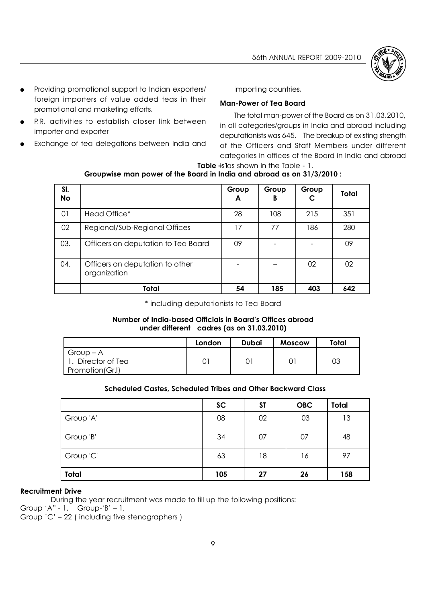

- Providing promotional support to Indian exporters/ foreign importers of value added teas in their promotional and marketing efforts.
- P.R. activities to establish closer link between importer and exporter
- Exchange of tea delegations between India and

importing countries.

## Man-Power of Tea Board

The total man-power of the Board as on 31.03.2010, in all categories/groups in India and abroad including deputationists was 645. The breakup of existing strength of the Officers and Staff Members under different categories in offices of the Board in India and abroad

| SI.<br><b>No</b> |                                                 | Group<br>A | Group<br>B | Group | Total |
|------------------|-------------------------------------------------|------------|------------|-------|-------|
| 01               | Head Office*                                    | 28         | 108        | 215   | 351   |
| 02               | Regional/Sub-Regional Offices                   | 17         | 77         | 186   | 280   |
| 03.              | Officers on deputation to Tea Board             | 09         |            |       | 09    |
| 04.              | Officers on deputation to other<br>organization |            |            | 02    | 02    |
|                  | Total                                           | 54         | 185        | 403   | 642   |

#### **Table**  $\div$  **1**as shown in the Table - 1. Groupwise man power of the Board in India and abroad as on 31/3/2010 :

\* including deputationists to Tea Board

## Number of India-based Officials in Board's Offices abroad under different cadres (as on 31.03.2010)

|                 | London | Dubai | <b>Moscow</b> | Total |
|-----------------|--------|-------|---------------|-------|
| $Group-A$       |        |       |               |       |
| Director of Tea |        |       |               | 03    |
| Promotion(Gr.I) |        |       |               |       |

## Scheduled Castes, Scheduled Tribes and Other Backward Class

|              | SC  | <b>ST</b> | <b>OBC</b> | <b>Total</b> |
|--------------|-----|-----------|------------|--------------|
| Group 'A'    | 08  | 02        | 03         | 13           |
| Group 'B'    | 34  | 07        | 07         | 48           |
| Group 'C'    | 63  | 18        | 16         | 97           |
| <b>Total</b> | 105 | 27        | 26         | 158          |

## Recruitment Drive

During the year recruitment was made to fill up the following positions:

Group 'A" -  $1$ , Group-'B' –  $1$ ,

Group 'C' – 22 ( including five stenographers )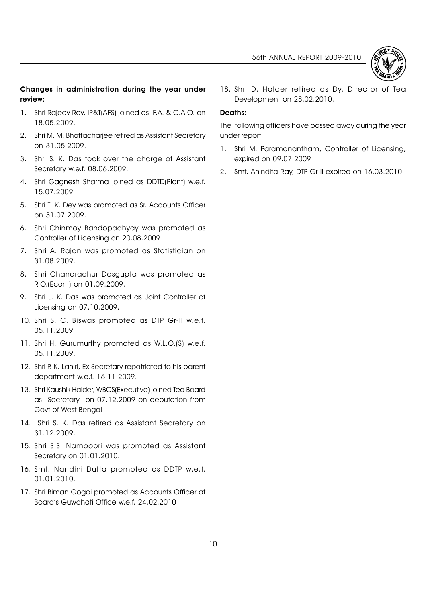

## Changes in administration during the year under review:

- 1. Shri Rajeev Roy, IP&T(AFS) joined as F.A. & C.A.O. on 18.05.2009.
- 2. Shri M. M. Bhattacharjee retired as Assistant Secretary on 31.05.2009.
- 3. Shri S. K. Das took over the charge of Assistant Secretary w.e.f. 08.06.2009.
- 4. Shri Gagnesh Sharma joined as DDTD(Plant) w.e.f. 15.07.2009
- 5. Shri T. K. Dey was promoted as Sr. Accounts Officer on 31.07.2009.
- 6. Shri Chinmoy Bandopadhyay was promoted as Controller of Licensing on 20.08.2009
- 7. Shri A. Rajan was promoted as Statistician on 31.08.2009.
- 8. Shri Chandrachur Dasgupta was promoted as R.O.(Econ.) on 01.09.2009.
- 9. Shri J. K. Das was promoted as Joint Controller of Licensing on 07.10.2009.
- 10. Shri S. C. Biswas promoted as DTP Gr-II w.e.f. 05.11.2009
- 11. Shri H. Gurumurthy promoted as W.L.O.(S) w.e.f. 05.11.2009.
- 12. Shri P. K. Lahiri, Ex-Secretary repatriated to his parent department w.e.f. 16.11.2009.
- 13. Shri Kaushik Halder, WBCS(Executive) joined Tea Board as Secretary on 07.12.2009 on deputation from Govt of West Bengal
- 14. Shri S. K. Das retired as Assistant Secretary on 31.12.2009.
- 15. Shri S.S. Namboori was promoted as Assistant Secretary on 01.01.2010.
- 16. Smt. Nandini Dutta promoted as DDTP w.e.f. 01.01.2010.
- 17. Shri Biman Gogoi promoted as Accounts Officer at Board's Guwahati Office w.e.f. 24.02.2010

18. Shri D. Halder retired as Dy. Director of Tea Development on 28.02.2010.

## Deaths:

The following officers have passed away during the year under report:

- 1. Shri M. Paramanantham, Controller of Licensing, expired on 09.07.2009
- 2. Smt. Anindita Ray, DTP Gr-II expired on 16.03.2010.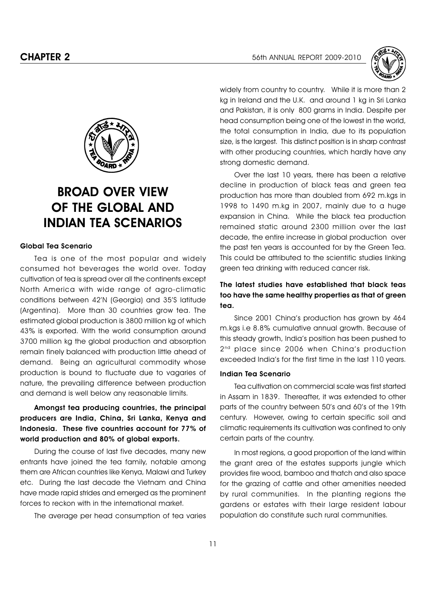

## BROAD OVER VIEW OF THE GLOBAL AND INDIAN TEA SCENARIOS

#### Global Tea Scenario

Tea is one of the most popular and widely consumed hot beverages the world over. Today cultivation of tea is spread over all the continents except North America with wide range of agro-climatic conditions between 42'N (Georgia) and 35'S latitude (Argentina). More than 30 countries grow tea. The estimated global production is 3800 million kg of which 43% is exported. With the world consumption around 3700 million kg the global production and absorption remain finely balanced with production little ahead of demand. Being an agricultural commodity whose production is bound to fluctuate due to vagaries of nature, the prevailing difference between production and demand is well below any reasonable limits.

Amongst tea producing countries, the principal producers are India, China, Sri Lanka, Kenya and Indonesia. These five countries account for 77% of world production and 80% of global exports.

During the course of last five decades, many new entrants have joined the tea family, notable among them are African countries like Kenya, Malawi and Turkey etc. During the last decade the Vietnam and China have made rapid strides and emerged as the prominent forces to reckon with in the international market.

The average per head consumption of tea varies

widely from country to country. While it is more than 2 kg in Ireland and the U.K. and around 1 kg in Sri Lanka and Pakistan, it is only 800 grams in India. Despite per head consumption being one of the lowest in the world, the total consumption in India, due to its population size, is the largest. This distinct position is in sharp contrast with other producing countries, which hardly have any strong domestic demand.

Over the last 10 years, there has been a relative decline in production of black teas and green tea production has more than doubled from 692 m.kgs in 1998 to 1490 m.kg in 2007, mainly due to a huge expansion in China. While the black tea production remained static around 2300 million over the last decade, the entire increase in global production over the past ten years is accounted for by the Green Tea. This could be attributed to the scientific studies linking green tea drinking with reduced cancer risk.

## The latest studies have established that black teas too have the same healthy properties as that of green tea.

Since 2001 China's production has grown by 464 m.kgs i.e 8.8% cumulative annual growth. Because of this steady growth, India's position has been pushed to 2 nd place since 2006 when China's production exceeded India's for the first time in the last 110 years.

#### Indian Tea Scenario

Tea cultivation on commercial scale was first started in Assam in 1839. Thereafter, it was extended to other parts of the country between 50's and 60's of the 19th century. However, owing to certain specific soil and climatic requirements its cultivation was confined to only certain parts of the country.

In most regions, a good proportion of the land within the grant area of the estates supports jungle which provides fire wood, bamboo and thatch and also space for the grazing of cattle and other amenities needed by rural communities. In the planting regions the gardens or estates with their large resident labour population do constitute such rural communities.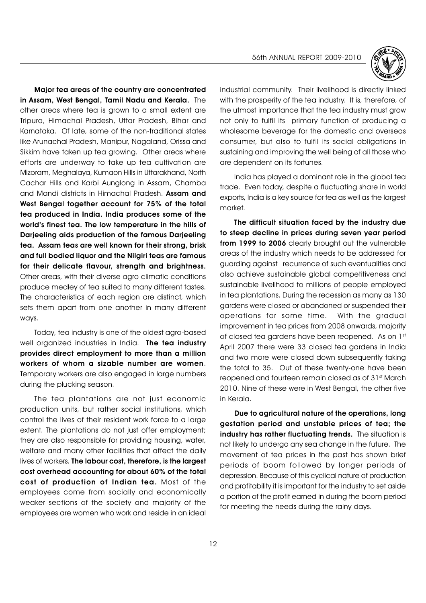

Major tea areas of the country are concentrated in Assam, West Bengal, Tamil Nadu and Kerala. The other areas where tea is grown to a small extent are Tripura, Himachal Pradesh, Uttar Pradesh, Bihar and Karnataka. Of late, some of the non-traditional states like Arunachal Pradesh, Manipur, Nagaland, Orissa and Sikkim have taken up tea growing. Other areas where efforts are underway to take up tea cultivation are Mizoram, Meghalaya, Kumaon Hills in Uttarakhand, North Cachar Hills and Karbi Aunglong in Assam, Chamba and Mandi districts in Himachal Pradesh. Assam and West Bengal together account for 75% of the total tea produced in India. India produces some of the world's finest tea. The low temperature in the hills of Darjeeling aids production of the famous Darjeeling tea. Assam teas are well known for their strong, brisk and full bodied liquor and the Nilgiri teas are famous for their delicate flavour, strength and brightness. Other areas, with their diverse agro climatic conditions produce medley of tea suited to many different tastes. The characteristics of each region are distinct, which sets them apart from one another in many different ways.

Today, tea industry is one of the oldest agro-based well organized industries in India. The tea industry provides direct employment to more than a million workers of whom a sizable number are women. Temporary workers are also engaged in large numbers during the plucking season.

The tea plantations are not just economic production units, but rather social institutions, which control the lives of their resident work force to a large extent. The plantations do not just offer employment; they are also responsible for providing housing, water, welfare and many other facilities that affect the daily lives of workers. The labour cost, therefore, is the largest cost overhead accounting for about 60% of the total cost of production of Indian tea. Most of the employees come from socially and economically weaker sections of the society and majority of the employees are women who work and reside in an ideal

industrial community. Their livelihood is directly linked with the prosperity of the tea industry. It is, therefore, of the utmost importance that the tea industry must grow not only to fulfil its primary function of producing a wholesome beverage for the domestic and overseas consumer, but also to fulfil its social obligations in sustaining and improving the well being of all those who are dependent on its fortunes.

India has played a dominant role in the global tea trade. Even today, despite a fluctuating share in world exports, India is a key source for tea as well as the largest market.

The difficult situation faced by the industry due to steep decline in prices during seven year period from 1999 to 2006 clearly brought out the vulnerable areas of the industry which needs to be addressed for guarding against recurrence of such eventualities and also achieve sustainable global competitiveness and sustainable livelihood to millions of people employed in tea plantations. During the recession as many as 130 gardens were closed or abandoned or suspended their operations for some time. With the gradual improvement in tea prices from 2008 onwards, majority of closed tea gardens have been reopened. As on 1st April 2007 there were 33 closed tea gardens in India and two more were closed down subsequently taking the total to 35. Out of these twenty-one have been reopened and fourteen remain closed as of 31<sup>st</sup> March 2010. Nine of these were in West Bengal, the other five in Kerala.

Due to agricultural nature of the operations, long gestation period and unstable prices of tea; the industry has rather fluctuating trends. The situation is not likely to undergo any sea change in the future. The movement of tea prices in the past has shown brief periods of boom followed by longer periods of depression. Because of this cyclical nature of production and profitability it is important for the industry to set aside a portion of the profit earned in during the boom period for meeting the needs during the rainy days.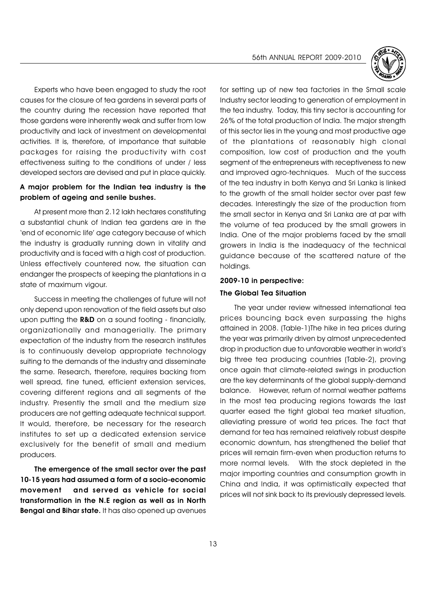

Experts who have been engaged to study the root causes for the closure of tea gardens in several parts of the country during the recession have reported that those gardens were inherently weak and suffer from low productivity and lack of investment on developmental activities. It is, therefore, of importance that suitable packages for raising the productivity with cost effectiveness suiting to the conditions of under / less developed sectors are devised and put in place quickly.

## A major problem for the Indian tea industry is the problem of ageing and senile bushes.

At present more than 2.12 lakh hectares constituting a substantial chunk of Indian tea gardens are in the 'end of economic life' age category because of which the industry is gradually running down in vitality and productivity and is faced with a high cost of production. Unless effectively countered now, the situation can endanger the prospects of keeping the plantations in a state of maximum vigour.

Success in meeting the challenges of future will not only depend upon renovation of the field assets but also upon putting the R&D on a sound footing - financially, organizationally and managerially. The primary expectation of the industry from the research institutes is to continuously develop appropriate technology suiting to the demands of the industry and disseminate the same. Research, therefore, requires backing from well spread, fine tuned, efficient extension services, covering different regions and all segments of the industry. Presently the small and the medium size producers are not getting adequate technical support. It would, therefore, be necessary for the research institutes to set up a dedicated extension service exclusively for the benefit of small and medium producers.

The emergence of the small sector over the past 10-15 years had assumed a form of a socio-economic movement and served as vehicle for social transformation in the N.E region as well as in North Bengal and Bihar state. It has also opened up avenues

for setting up of new tea factories in the Small scale Industry sector leading to generation of employment in the tea industry. Today, this tiny sector is accounting for 26% of the total production of India. The major strength of this sector lies in the young and most productive age of the plantations of reasonably high clonal composition, low cost of production and the youth segment of the entrepreneurs with receptiveness to new and improved agro-techniques. Much of the success of the tea industry in both Kenya and Sri Lanka is linked to the growth of the small holder sector over past few decades. Interestingly the size of the production from the small sector in Kenya and Sri Lanka are at par with the volume of tea produced by the small growers in India. One of the major problems faced by the small growers in India is the inadequacy of the technical guidance because of the scattered nature of the holdings.

## 2009-10 in perspective:

## The Global Tea Situation

The year under review witnessed international tea prices bouncing back even surpassing the highs attained in 2008. (Table-1)The hike in tea prices during the year was primarily driven by almost unprecedented drop in production due to unfavorable weather in world's big three tea producing countries (Table-2), proving once again that climate-related swings in production are the key determinants of the global supply-demand balance. However, return of normal weather patterns in the most tea producing regions towards the last quarter eased the tight global tea market situation, alleviating pressure of world tea prices. The fact that demand for tea has remained relatively robust despite economic downturn, has strengthened the belief that prices will remain firm-even when production returns to more normal levels. With the stock depleted in the major importing countries and consumption growth in China and India, it was optimistically expected that prices will not sink back to its previously depressed levels.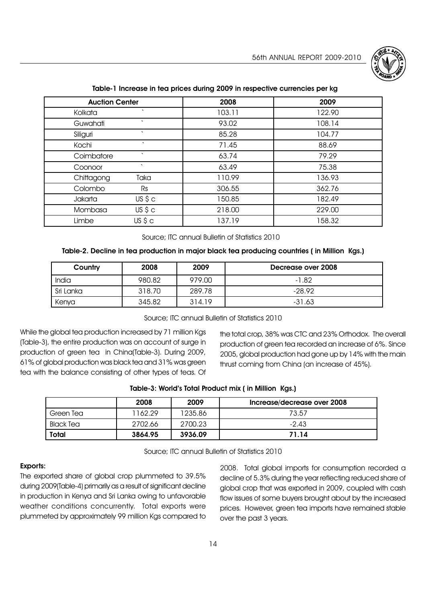

| <b>Auction Center</b> |                          | 2008   | 2009   |
|-----------------------|--------------------------|--------|--------|
| Kolkata               | $\cdot$                  | 103.11 | 122.90 |
| Guwahati              | $\cdot$                  | 93.02  | 108.14 |
| Siliguri              | $\lambda$                | 85.28  | 104.77 |
| Kochi                 | $\overline{\phantom{a}}$ | 71.45  | 88.69  |
| Coimbatore            | $\cdot$                  | 63.74  | 79.29  |
| Coonoor               | $\overline{\phantom{a}}$ | 63.49  | 75.38  |
| Chittagong            | Taka                     | 110.99 | 136.93 |
| Colombo               | <b>Rs</b>                | 306.55 | 362.76 |
| Jakarta               | US \$c                   | 150.85 | 182.49 |
| Mombasa               | US \$c                   | 218.00 | 229.00 |
| Limbe                 | US \$c                   | 137.19 | 158.32 |

## Table-1 Increase in tea prices during 2009 in respective currencies per kg

Source; ITC annual Bulletin of Statistics 2010

#### Table-2. Decline in tea production in major black tea producing countries ( in Million Kgs.)

| Country   | 2008   | 2009   | Decrease over 2008 |
|-----------|--------|--------|--------------------|
| India     | 980.82 | 979.00 | -1.82              |
| Sri Lanka | 318.70 | 289.78 | $-28.92$           |
| Kenya     | 345.82 | 314.19 | -31.63             |

Source; ITC annual Bulletin of Statistics 2010

While the global tea production increased by 71 million Kgs (Table-3), the entire production was on account of surge in production of green tea in China(Table-3). During 2009, 61% of global production was black tea and 31% was green tea with the balance consisting of other types of teas. Of

the total crop, 38% was CTC and 23% Orthodox. The overall production of green tea recorded an increase of 6%. Since 2005, global production had gone up by 14% with the main thrust coming from China (an increase of 45%).

|           | 2008    | 2009    | Increase/decrease over 2008 |
|-----------|---------|---------|-----------------------------|
| Green Tea | 1162.29 | 1235.86 | 73.57                       |
| Black Tea | 2702.66 | 2700.23 | $-2.43$                     |
| Total     | 3864.95 | 3936.09 | 71.14                       |

## Table-3: World's Total Product mix ( in Million Kas.)

Source; ITC annual Bulletin of Statistics 2010

## Exports:

The exported share of global crop plummeted to 39.5% during 2009(Table-4) primarily as a result of significant decline in production in Kenya and Sri Lanka owing to unfavorable weather conditions concurrently. Total exports were plummeted by approximately 99 million Kgs compared to

2008. Total global imports for consumption recorded a decline of 5.3% during the year reflecting reduced share of global crop that was exported in 2009, coupled with cash flow issues of some buyers brought about by the increased prices. However, green tea imports have remained stable over the past 3 years.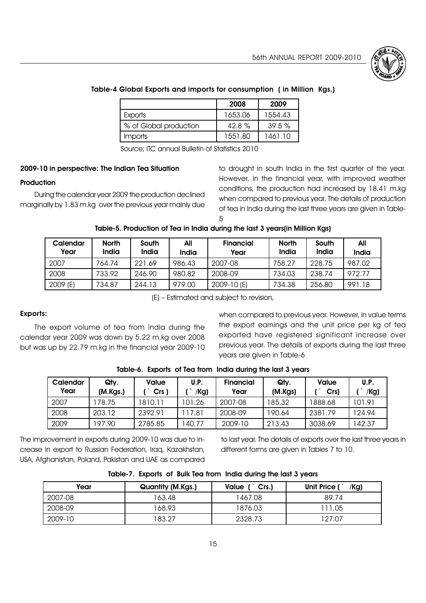

## Table-4 Global Exports and imports for consumption ( in Million Kgs.)

|                        | 2008    | 2009      |
|------------------------|---------|-----------|
| <b>Exports</b>         | 1653.06 | 1554.43   |
| % of Global production | 42.8%   | $39.5 \%$ |
| <i>Imports</i>         | 1551.80 | 1461.10   |

Source; ITC annual Bulletin of Statistics 2010

#### 2009-10 in perspective: The Indian Tea Situation

#### **Production**

During the calendar year 2009 the production declined marginally by 1.83 m.kg over the previous year mainly due

to drought in south India in the first quarter of the year. However, in the financial year, with improved weather conditions, the production had increased by 18.41 m.kg when compared to previous year. The details of production of tea in India during the last three years are given in Table-5

#### Table-5. Production of Tea in India during the last 3 years(in Million Kgs)

| Calendar<br>Year | <b>North</b><br>India | South<br>India | All<br>India | <b>Financial</b><br>Year | <b>North</b><br>India | South<br>India | All<br>India |
|------------------|-----------------------|----------------|--------------|--------------------------|-----------------------|----------------|--------------|
| 2007             | 764.74                | 221.69         | 986.43       | 2007-08                  | 758.27                | 228.75         | 987.02       |
| 2008             | 733.92                | 246.90         | 980.82       | 2008-09                  | 734.03                | 238.74         | 972.77       |
| $2009$ (E)       | 734.87                | 244.13         | 979.00       | 2009-10 (E)              | 734.38                | 256.80         | 991.18       |

(E) – Estimated and subject to revision,

## Exports:

The export volume of tea from India during the calendar year 2009 was down by 5.22 m.kg over 2008 but was up by 22.79 m.kg in the financial year 2009-10 when compared to previous year. However, in value terms the export earnings and the unit price per kg of tea exported have registered significant increase over previous year. The details of exports during the last three years are given in Table-6

| Calendar<br>Year | Qty.<br>(M.Kgs.) | Value<br>Crs | U.P.<br>/Kg) | Financial<br>Year | Qty.<br>(M.Kgs) | <b>Value</b><br>Crs) | U.P.<br>/Kg) |
|------------------|------------------|--------------|--------------|-------------------|-----------------|----------------------|--------------|
| 2007             | 78.75            | 810.11       | 101.26       | 2007-08           | 185.32          | 888.68               | 101.91       |
| 2008             | 203.12           | 2392.91      | 117.81       | 2008-09           | 190.64          | 2381.79              | 124.94       |
| 2009             | 97.90            | 2785.85      | 140.77       | 2009-10           | 213.43          | 3038.69              | 142.37       |

#### Table-6. Exports of Tea from India during the last 3 years

The improvement in exports during 2009-10 was due to increase in export to Russian Federation, Iraq, Kazakhstan, USA, Afghanistan, Poland, Pakistan and UAE as compared to last year. The details of exports over the last three years in different forms are given in Tables 7 to 10.

| Year    | Quantity (M.Kgs.) | Value (<br>Crs. | Unit Price (<br>/Kg) |
|---------|-------------------|-----------------|----------------------|
| 2007-08 | 163.48            | 1467.08         | 89.74                |
| 2008-09 | 168.93            | 1876.03         | 11.05                |

2009-10 183.27 2328.73 127.07

|  |  |  | Table-7. Exports of Bulk Tea from India during the last 3 years |  |  |  |  |
|--|--|--|-----------------------------------------------------------------|--|--|--|--|
|--|--|--|-----------------------------------------------------------------|--|--|--|--|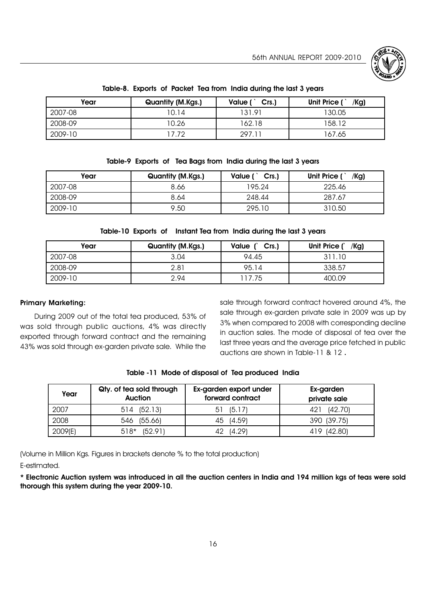

| Year    | Quantity (M.Kgs.) | Crs.<br>Value ( | <b>Unit Price (</b><br>/Kg) |
|---------|-------------------|-----------------|-----------------------------|
| 2007-08 | 10.14             | 131.91          | 130.05                      |
| 2008-09 | 10.26             | 162.18          | 158.12                      |
| 2009-10 | 17.72             | 297.11          | 167.65                      |

|  |  |  |  |  |  |  | Table-8. Exports of Packet Tea from India during the last 3 years |  |
|--|--|--|--|--|--|--|-------------------------------------------------------------------|--|
|--|--|--|--|--|--|--|-------------------------------------------------------------------|--|

| Year    | Quantity (M.Kgs.) | Value í<br>Crs. | /Kg)<br>Unit Price ( |
|---------|-------------------|-----------------|----------------------|
| 2007-08 | 8.66              | 195.24          | 225.46               |
| 2008-09 | 8.64              | 248.44          | 287.67               |
| 2009-10 | 9.50              | 295.10          | 310.50               |

|  | Table-10 Exports of Instant Tea from India during the last 3 years |  |  |  |
|--|--------------------------------------------------------------------|--|--|--|
|  |                                                                    |  |  |  |

| Year    | Quantity (M.Kgs.) | <b>Value</b><br>Crs. | Unit Price (<br>/Kg) |
|---------|-------------------|----------------------|----------------------|
| 2007-08 | 3.04              | 94.45                | 311.10               |
| 2008-09 | 2.81              | 95.14                | 338.57               |
| 2009-10 | 2.94              | 117.75               | 400.09               |

## Primary Marketing:

During 2009 out of the total tea produced, 53% of was sold through public auctions, 4% was directly exported through forward contract and the remaining 43% was sold through ex-garden private sale. While the sale through forward contract hovered around 4%, the sale through ex-garden private sale in 2009 was up by 3% when compared to 2008 with corresponding decline in auction sales. The mode of disposal of tea over the last three years and the average price fetched in public auctions are shown in Table-11 & 12 .

| Year    | Qty. of tea sold through<br><b>Auction</b> | Ex-garden export under<br>forward contract | Ex-garden<br>private sale |
|---------|--------------------------------------------|--------------------------------------------|---------------------------|
| 2007    | (52.13)<br>514                             | (5.17)<br>5                                | (42.70)                   |
| 2008    | (55.66)<br>546                             | (4.59)<br>45                               | 390 (39.75)               |
| 2009(E) | (52.91)<br>$518*$                          | (4.29)                                     | 419 (42.80)               |

|  |  |  | Table -11 Mode of disposal of Tea produced India |  |
|--|--|--|--------------------------------------------------|--|
|--|--|--|--------------------------------------------------|--|

(Volume in Million Kgs. Figures in brackets denote % to the total production)

E-estimated.

\* Electronic Auction system was introduced in all the auction centers in India and 194 million kgs of teas were sold thorough this system during the year 2009-10.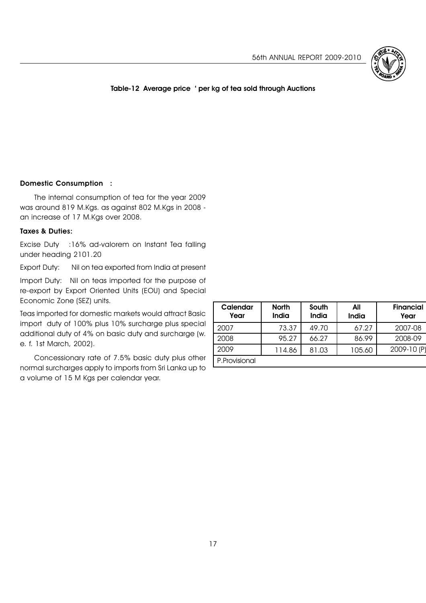

## Table-12 Average price ' per kg of tea sold through Auctions

## Domestic Consumption :

The internal consumption of tea for the year 2009 was around 819 M.Kgs. as against 802 M.Kgs in 2008 an increase of 17 M.Kgs over 2008.

## Taxes & Duties:

Excise Duty :16% ad-valorem on Instant Tea falling under heading 2101.20

Export Duty: Nil on tea exported from India at present

Import Duty: Nil on teas imported for the purpose of re-export by Export Oriented Units (EOU) and Special Economic Zone (SEZ) units.

Teas imported for domestic markets would attract Basic import duty of 100% plus 10% surcharge plus special additional duty of 4% on basic duty and surcharge (w. e. f. 1st March, 2002).

Concessionary rate of 7.5% basic duty plus other normal surcharges apply to imports from Sri Lanka up to a volume of 15 M Kgs per calendar year.

| Calendar<br>Year | <b>North</b><br>India | South<br>India | All<br>India | <b>Financial</b><br>Year |
|------------------|-----------------------|----------------|--------------|--------------------------|
| 2007             | 73.37                 | 49.70          | 67.27        | 2007-08                  |
| 2008             | 95.27                 | 66.27          | 86.99        | 2008-09                  |
| 2009             | 114.86                | 81.03          | 105.60       | 2009-10 (P)              |
| P.Provisional    |                       |                |              |                          |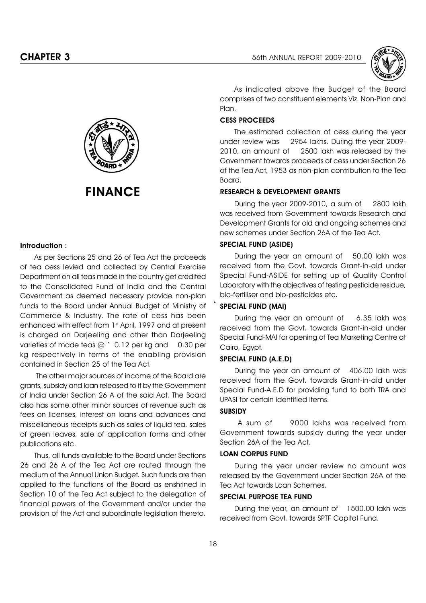

FINANCE

#### Introduction :

As per Sections 25 and 26 of Tea Act the proceeds of tea cess levied and collected by Central Exercise Department on all teas made in the country get credited to the Consolidated Fund of India and the Central Government as deemed necessary provide non-plan funds to the Board under Annual Budget of Ministry of Commerce & Industry. The rate of cess has been enhanced with effect from 1st April, 1997 and at present is charged on Darjeeling and other than Darjeeling varieties of made teas  $@$   $`$  0.12 per kg and  $@$  0.30 per kg respectively in terms of the enabling provision contained in Section 25 of the Tea Act.

 The other major sources of income of the Board are grants, subsidy and loan released to it by the Government of India under Section 26 A of the said Act. The Board also has some other minor sources of revenue such as fees on licenses, interest on loans and advances and miscellaneous receipts such as sales of liquid tea, sales of green leaves, sale of application forms and other publications etc.

Thus, all funds available to the Board under Sections 26 and 26 A of the Tea Act are routed through the medium of the Annual Union Budget. Such funds are then applied to the functions of the Board as enshrined in Section 10 of the Tea Act subject to the delegation of financial powers of the Government and/or under the provision of the Act and subordinate legislation thereto.

As indicated above the Budget of the Board comprises of two constituent elements Viz. Non-Plan and Plan.

#### CESS PROCEEDS

The estimated collection of cess during the year under review was 2954 lakhs. During the year 2009- 2010, an amount of Government towards proceeds of cess under Section 26 of the Tea Act, 1953 as non-plan contribution to the Tea Board.

## RESEARCH & DEVELOPMENT GRANTS

During the year 2009-2010, a sum of was received from Government towards Research and Development Grants for old and ongoing schemes and new schemes under Section 26A of the Tea Act.

## SPECIAL FUND (ASIDE)

2010, an amount of 2500 lakh was released by the<br>
Government towards proceeds of cess under Section 26<br>
of the Tea Act, 1953 as non-plan contribution to the Tea<br>
Board.<br> **RESEARCH & DEVELOPMENT GRANTS**<br>
During the year 200 During the year 2009-2010, a sum of 2800 lakh<br>was received from Government towards Research and<br>Development Grants for old and ongoing schemes and<br>new schemes under Section 26A of the Tea Act.<br>**SPECIAL FUND (ASIDE)**<br>During During the year an amount of 50.00 lakh was received from the Govt. towards Grant-in-aid under Special Fund-ASIDE for setting up of Quality Control Laboratory with the objectives of testing pesticide residue, bio-fertiliser and bio-pesticides etc.

## SPECIAL FUND (MAI)

`

During the year an amount of 6.35 lakh was received from the Govt. towards Grant-in-aid under Special Fund-MAI for opening of Tea Marketing Centre at Cairo, Egypt.

## SPECIAL FUND (A.E.D)

During the year an amount of 406.00 lakh was received from the Govt. towards Grant-in-aid under Special Fund-A.E.D for providing fund to both TRA and UPASI for certain identified items.

## **SUBSIDY**

 A sum of 9000 lakhs was received from Government towards subsidy during the year under Section 26A of the Tea Act.

## LOAN CORPUS FUND

During the year under review no amount was released by the Government under Section 26A of the Tea Act towards Loan Schemes.

## SPECIAL PURPOSE TEA FUND

During the year, an amount of 1500.00 lakh was received from Govt. towards SPTF Capital Fund.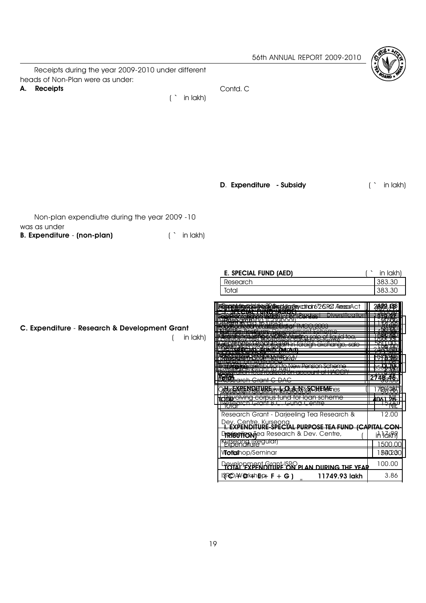

Receipts during the year 2009-2010 under different heads of Non-Plan were as under:

A. Receipts

 $($  in lakh)

Contd. C

D. Expenditure - Subsidy ( ` in lakh)

B. Expenditure - (non-plan) ( ` in lakh) Non-plan expendiutre during the year 2009 -10 was as under

| <b>E. SPECIAL FUND (AED)</b>                                                                          |        | in lakh)              |
|-------------------------------------------------------------------------------------------------------|--------|-----------------------|
| Research                                                                                              |        | 383.30                |
| Total                                                                                                 |        | 383.30                |
|                                                                                                       |        |                       |
| <b>Cilimed dia consection 6t26PQT ArresorAct</b>                                                      |        |                       |
|                                                                                                       |        | 5100                  |
| 12232228888842802533<br>27411 10.010 10.11231                                                         | Ш      |                       |
|                                                                                                       |        |                       |
| <b>、シアンプアンディアングスマスメントアングランジングスインスプラン</b><br><b>CORPORAT FRONTO</b>                                    | Ш<br>ш | <b>UNAIA</b><br>.ו זה |
|                                                                                                       |        |                       |
| MORMMU VACADE AN ADA<br>MY A CAPITALING MORE IN BUILDING W<br>$\sqrt{2}$                              |        |                       |
| kan Seki mantribi ition to Now Ponsion Schome<br>1988 1981 1988 1989 101 11 11 12<br>ו ואי ב          |        |                       |
| יומווטווטו ו וכפס וכטווגכט טו טל<br><del>Grant</del>                                                  | п п    |                       |
| BIEN READELLARE PARA<br><b>GRAMPIGRStiftMiFres</b>                                                    |        | 128646                |
| <del>roan scheme</del><br><u>rum iy culug idild</u>                                                   |        | ۰ш                    |
| RASADIO<br>:rant R<br><b>Antro</b><br>החוב<br>ποτα                                                    |        | TЛ.                   |
| Research Grant - Darjeeling Tea Research &                                                            |        | 12.00                 |
| Dev. Centre, Kurseong<br><b>-I. EXPENDITURE SPECIAL PURPOS<u>E</u> TEA FUND (CA<mark>PITA</mark>L</b> |        |                       |
| <b>Princhich i</b> ea Research & Dev. Centre,                                                         |        |                       |
| Kuiseong (Regular)                                                                                    |        | in Idkm               |
|                                                                                                       |        | 1500.00               |
| W <b>otal</b> hop/Seminar                                                                             |        | 1500200               |
| <b>PO'FAP EXPENITURE ON PLAN DURING THE YEAR</b>                                                      |        | 100.00                |
| $\operatorname{I2FC}/\operatorname{W}$ orkshep F + G )<br>11749.93 lakh                               |        | 3.86                  |

|  |  | C. Expenditure - Research & Development Grant |  |
|--|--|-----------------------------------------------|--|

 $\left($ in lakh)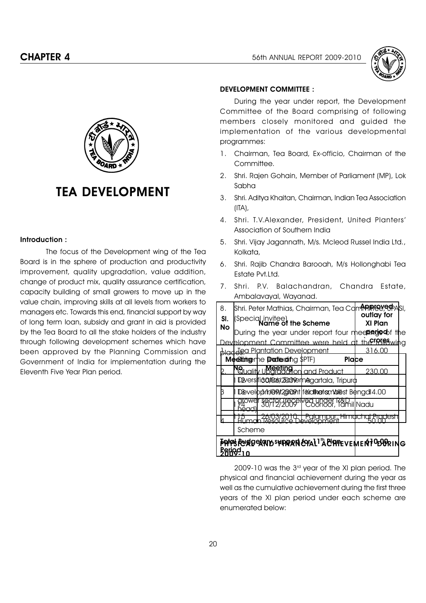

## TEA DEVELOPMENT

#### Introduction :

The focus of the Development wing of the Tea Board is in the sphere of production and productivity improvement, quality upgradation, value addition, change of product mix, quality assurance certification, capacity building of small growers to move up in the value chain, improving skills at all levels from workers to managers etc. Towards this end, financial support by way of long term loan, subsidy and grant in aid is provided by the Tea Board to all the stake holders of the industry through following development schemes which have been approved by the Planning Commission and Government of India for implementation during the Eleventh Five Year Plan period.

#### DEVELOPMENT COMMITTEE :

During the year under report, the Development Committee of the Board comprising of following members closely monitored and guided the implementation of the various developmental programmes:

- 1. Chairman, Tea Board, Ex-officio, Chairman of the Committee.
- 2. Shri. Rajen Gohain, Member of Parliament (MP), Lok Sabha
- 3. Shri. Aditya Khaitan, Chairman, Indian Tea Association  $(ITA)$ ,
- 4. Shri. T.V.Alexander, President, United Planters' Association of Southern India
- 5. Shri. Vijay Jagannath, M/s. Mcleod Russel India Ltd., Kolkata,
- 6. Shri. Rajib Chandra Barooah, M/s Hollonghabi Tea Estate Pvt.Itd.
- 7. Shri. P.V. Balachandran, Chandra Estate, Ambalavayal, Wayanad.

| 8.        | Shri. Peter Mathias, Chairman, Tea Cdm <b>f PiPiE&amp;, 99</b> ASI,        |                       |  |
|-----------|----------------------------------------------------------------------------|-----------------------|--|
| SI.<br>No | (Special invitee)<br>Name of the Scheme                                    | outlay for<br>XI Plan |  |
|           | During the year under report four meetinging of the                        |                       |  |
|           | Development Committee were held at th <b>e<sup>rpins</sup>win</b> g        |                       |  |
|           | <u> Aladdea Plantation Development.</u>                                    | 316.00                |  |
|           | Meestingerhe Dradie ding \$PTF)                                            | Plabe                 |  |
|           | <b>Pouglity Underting</b> ion and Product                                  | 230.00                |  |
|           | Diversification 2000 emagartala, Tripura                                   |                       |  |
|           | Develophy@9t2009httf&idthetsm\destBengd14.00                               |                       |  |
|           | 38919/216691/ea Under KälhillNadu<br>eac                                   |                       |  |
|           | T Palampur, Himachal Pradesh<br>Pevelopment<br>n 10/03/2011<br>An Resoluce |                       |  |
|           | Scheme                                                                     |                       |  |
|           | <b>FAMA'S FCIALOS AND SHIPARAN COTAL 1 "A CHAME VE ME NOT PEIDRING</b>     |                       |  |

Period <u>2009-10</u> 2009-10 was the 3rd year of the XI plan period. The

physical and financial achievement during the year as well as the cumulative achievement during the first three years of the XI plan period under each scheme are enumerated below: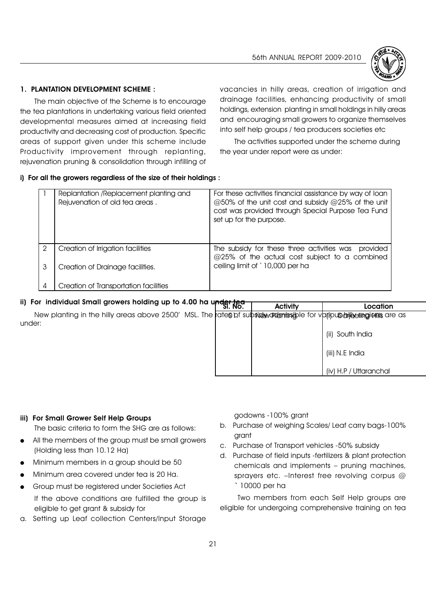

## 1. PLANTATION DEVELOPMENT SCHEME :

The main objective of the Scheme is to encourage the tea plantations in undertaking various field oriented developmental measures aimed at increasing field productivity and decreasing cost of production. Specific areas of support given under this scheme include Productivity improvement through replanting, rejuvenation pruning & consolidation through infilling of vacancies in hilly areas, creation of irrigation and drainage facilities, enhancing productivity of small holdings, extension planting in small holdings in hilly areas and encouraging small growers to organize themselves into self help groups / tea producers societies etc

The activities supported under the scheme during the year under report were as under:

#### i) For all the growers regardless of the size of their holdings :

|   | Replantation /Replacement planting and<br>Rejuvenation of old tea areas. | For these activities financial assistance by way of loan<br>@50% of the unit cost and subsidy @25% of the unit<br>cost was provided through Special Purpose Tea Fund<br>set up for the purpose. |
|---|--------------------------------------------------------------------------|-------------------------------------------------------------------------------------------------------------------------------------------------------------------------------------------------|
|   | Creation of Irrigation facilities                                        | The subsidy for these three activities was<br>provided<br>@25% of the actual cost subject to a combined                                                                                         |
| 3 | Creation of Drainage facilities.                                         | ceiling limit of `10,000 per ha                                                                                                                                                                 |
|   | Creation of Transportation facilities                                    |                                                                                                                                                                                                 |

## ii) For individual Small growers holding up to 4.00 ha u<mark>nder tea</mark> New planting in the hilly areas above 2500' MSL. The **r**ate® of su**bsidwa¤dmtissi**ple for v**arious drijbeliegielinis** are as under: Activity **Location** (ii) South India (iii) N.E India

## iii) For Small Grower Self Help Groups

The basic criteria to form the SHG are as follows:

- All the members of the group must be small growers (Holding less than 10.12 Ha)
- Minimum members in a group should be 50
- Minimum area covered under tea is 20 Ha.
- Group must be registered under Societies Act If the above conditions are fulfilled the group is eligible to get grant & subsidy for
- a. Setting up Leaf collection Centers/Input Storage

godowns -100% grant

b. Purchase of weighing Scales/ Leaf carry bags-100% grant

(iv) H.P / Uttaranchal

- c. Purchase of Transport vehicles -50% subsidy
- d. Purchase of field inputs -fertilizers & plant protection chemicals and implements – pruning machines, sprayers etc. –Interest free revolving corpus  $@$ ` 10000 per ha

 Two members from each Self Help groups are eligible for undergoing comprehensive training on tea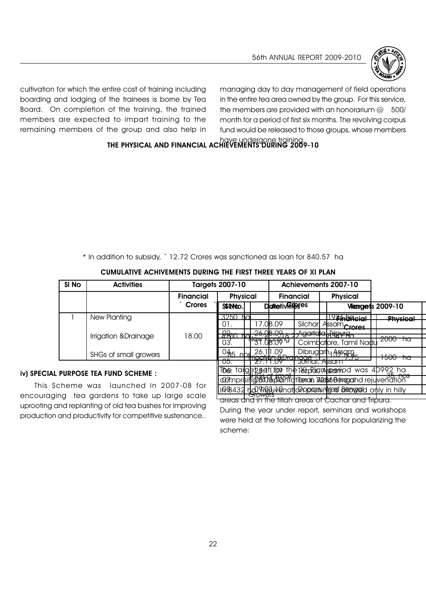

cultivation for which the entire cost of training including boarding and lodging of the trainees is borne by Tea Board. On completion of the training, the trained members are expected to impart training to the remaining members of the group and also help in managing day to day management of field operations in the entire tea area owned by the group. For this service, the members are provided with an honorarium  $@$   $=$  500/  $\,$ month for a period of first six months. The revolving corpus fund would be released to those groups, whose members

## have undergone training.<br>THE PHYSICAL AND FINANCIAL ACHIEVEMENTS DURING 2009-10

\* In addition to subsidy, ` 12.72 Crores was sanctioned as loan for 840.57 ha

| SI <sub>No</sub> | <b>Activities</b>                  |                  |                      | <b>Targets 2007-10</b> |                                   | Achievements 2007-10 |  |                                 |                         |  |
|------------------|------------------------------------|------------------|----------------------|------------------------|-----------------------------------|----------------------|--|---------------------------------|-------------------------|--|
|                  |                                    | <b>Financial</b> | <b>Physical</b>      |                        |                                   | <b>Financial</b>     |  | <b>Physical</b>                 |                         |  |
|                  |                                    | <b>Crores</b>    | SSINbo.              |                        | <b>D</b> dtetivineses             |                      |  |                                 | <b>Viengets 2009-10</b> |  |
|                  | New Planting                       |                  | 3250                 | hα                     |                                   |                      |  | $93$ inagqial                   | Physical                |  |
|                  |                                    |                  | 01.                  |                        | 7.08.09                           |                      |  | Silchar Assam <sub>Crares</sub> |                         |  |
|                  | Irrigation & Drainage              | 18.00            | ററ<br>Ж9₩            |                        | OA NR NO                          | יששי                 |  | Aaartala Jrinura<br>783047m     | 0000                    |  |
|                  |                                    |                  | 03'.                 |                        | <b>PER 58.0919</b>                |                      |  | Coimbatore, Tamil Nadu          | zuuu<br>па              |  |
|                  | SHGs of small growers              |                  | 04த                  | 26                     | .N9                               |                      |  | Dibrugarh <sub>1</sub> Assance  | $F \cap \cap$           |  |
|                  |                                    |                  | $\sim$ $\sim$<br>UJ. |                        | <del>גוגוועווער</del><br>Z7.TT.UY | Jornal, Assam        |  | 7 ټ                             | пu<br>᠊ᡂ                |  |
|                  | <b>PIIPPOSE TEA FIIND SCHEME .</b> |                  | <b>TOG</b>           |                        | target&et1,t09                    |                      |  | the Text Blique Second was      | 40992 ha                |  |

## CUMULATIVE ACHIVEMENTS DURING THE FIRST THREE YEARS OF XI PLAN

#### iv) SPECIAL PURPOSE TEA FUND SCHEME :

This Scheme was launched in 2007-08 for encouraging tea gardens to take up large scale uprooting and replanting of old tea bushes for improving production and productivity for competitive sustenance..

areas and in the tillah areas of Cachar and Tripura. During the year under report, seminars and workshops were held at the following locations for popularizing the scheme:

**Company of Replantation in 1948 and replantation in 1955, nos** in 8432 ha. Rejuvenation promining the department only in hilly<br>1984 Stowers Management of the New York Bengal Chile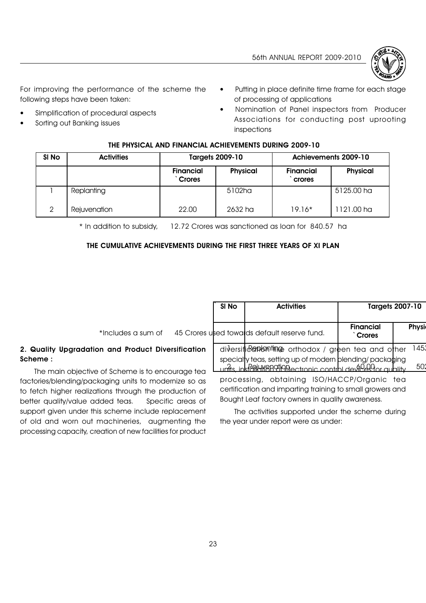

For improving the performance of the scheme the following steps have been taken:

- Simplification of procedural aspects
- Sorting out Banking issues

- Putting in place definite time frame for each stage of processing of applications
- Nomination of Panel inspectors from Producer Associations for conducting post uprooting inspections

## THE PHYSICAL AND FINANCIAL ACHIEVEMENTS DURING 2009-10

| SI <sub>No</sub> | <b>Activities</b> |                            | <b>Targets 2009-10</b> | Achievements 2009-10       |                 |  |  |
|------------------|-------------------|----------------------------|------------------------|----------------------------|-----------------|--|--|
|                  |                   | <b>Financial</b><br>Crores | <b>Physical</b>        | <b>Financial</b><br>crores | <b>Physical</b> |  |  |
|                  | Replanting        |                            | 5102ha                 |                            | 5125.00 ha      |  |  |
| 2                | Rejuvenation      | 22.00                      | 2632 ha                | $19.16*$                   | 1121.00 ha      |  |  |

\* In addition to subsidy, 12.72 Crores was sanctioned as loan for 840.57 ha

## THE CUMULATIVE ACHIEVEMENTS DURING THE FIRST THREE YEARS OF XI PLAN

|                                                                                                           | SI No | <b>Activities</b>                                                                                                                         |                            | <b>Targets 2007-10</b> |
|-----------------------------------------------------------------------------------------------------------|-------|-------------------------------------------------------------------------------------------------------------------------------------------|----------------------------|------------------------|
|                                                                                                           |       |                                                                                                                                           |                            |                        |
| *Includes a sum of                                                                                        |       | 45 Crores used towards default reserve fund.                                                                                              | <b>Financial</b><br>Crores | <b>Physid</b>          |
| 2. Quality Upgradation and Product Diversification                                                        |       | diversiti& enthodox / green tea and other                                                                                                 |                            | 1453                   |
| Scheme:                                                                                                   |       | specialty teas, setting up of modern blending/packaging<br>units, in the international control developed or quality                       |                            | 502                    |
| The main objective of Scheme is to encourage tea<br>factories/blending/packaging units to modernize so as |       | processing, obtaining ISO/HACCP/Organic tea<br>المتمريح المستحدد والمستحدث والمستحدث والمرابعات والمستحدد والمستحدث والمناسب والكالمستحدث |                            |                        |

factories/ble to fetch higher realizations through the production of better quality/value added teas. Specific areas of support given under this scheme include replacement of old and worn out machineries, augmenting the processing capacity, creation of new facilities for product

certification and imparting training to small growers and Bought Leaf factory owners in quality awareness.

The activities supported under the scheme during the year under report were as under: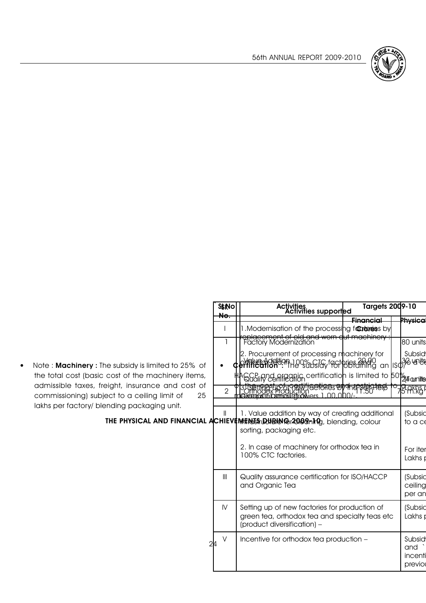

|                                                                          | S\$No<br><del>Nо</del> | Activities<br>Activities supported                                                                                                                   | <b>Targets 2009-10</b> |                                            |
|--------------------------------------------------------------------------|------------------------|------------------------------------------------------------------------------------------------------------------------------------------------------|------------------------|--------------------------------------------|
|                                                                          |                        |                                                                                                                                                      | <b>Financial</b>       | Physical                                   |
|                                                                          |                        | 1 .Modernisation of the processi <mark>ng f<b>@rones</b>s by</mark>                                                                                  |                        |                                            |
|                                                                          |                        | <del>epiacement of old and worn d<mark>ut machinery .</mark><br/>Factory Modernization</del>                                                         |                        | 80 units                                   |
| he subsidy is limited to 25% of                                          | $\bullet$              | 2. Procurement of processing machinery for<br>deviated to the subsidy feat bistaming an Iso of the                                                   |                        | <b>Subsid</b>                              |
| cost of the machinery items,                                             |                        | ASGBInPred Afraction certification is limited to 50 a amits                                                                                          |                        |                                            |
| eight, insurance and cost of<br>ject to a ceiling limit of<br>25         | $\overline{2}$         | <del>ヿゞヷ゚ゑਜ਼ਗ਼</del> ੑੑੑਫ਼ਖ਼ੑਸ਼ਲ਼ਲ਼ੑੑਜ਼ੑਫ਼ੑਫ਼ਖ਼ੑਸ਼ਜ਼ਫ਼ਖ਼ਸ਼ਫ਼ਃ <b>ড়<mark></mark>ੵ੶ਖ਼ਜ਼ਞਲ਼ੑਸ਼ੑਸ਼ੑਜ਼ਖ਼ਫ਼ਲ਼</b><br>deximps of umaliation ers 1 00 000/- |                        | <sup>0</sup> 75 Akna ।                     |
| ending packaging unit.                                                   |                        | 1. Value addition by way of creating additional                                                                                                      |                        | (Subsic                                    |
| THE PHYSICAL AND FINANCIAL ACHIEVEMENTS DURING 2009ntQ, blending, colour |                        |                                                                                                                                                      |                        | to a ce                                    |
|                                                                          |                        | sorting, packaging etc.                                                                                                                              |                        |                                            |
|                                                                          |                        | 2. In case of machinery for orthodox tea in<br>100% CTC factories.                                                                                   |                        | For iter<br>Lakhs r                        |
|                                                                          | $\mathsf{III}$         | Quality assurance certification for ISO/HACCP<br>and Organic Tea                                                                                     |                        | (Subsic<br>ceiling<br>per an               |
|                                                                          | IV                     | Setting up of new factories for production of<br>green tea, orthodox tea and specialty teas etc<br>(product diversification) -                       |                        | (Subsic<br>Lakhs p                         |
|                                                                          | V<br>24                | Incentive for orthodox tea production -                                                                                                              |                        | <b>Subsid</b><br>and<br>incenti<br>previou |

• Note : Machinery : The subsidy is limited the total cost (basic cost of the mach admissible taxes, freight, insurance commissioning) subject to a ceiling li lakhs per factory/ blending packaging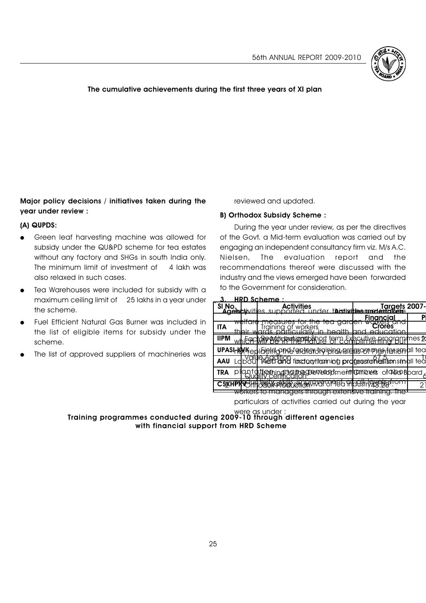

#### The cumulative achievements during the first three years of XI plan

## Major policy decisions / initiatives taken during the year under review :

#### (A) QUPDS:

- Green leaf harvesting machine was allowed for subsidy under the QU&PD scheme for tea estates without any factory and SHGs in south India only. The minimum limit of investment of 4 lakh was also relaxed in such cases.
- Tea Warehouses were included for subsidy with a maximum ceiling limit of 25 lakhs in a year under the scheme.
- Fuel Efficient Natural Gas Burner was included in the list of eligible items for subsidy under the scheme.
- The list of approved suppliers of machineries was

reviewed and updated.

#### B) Orthodox Subsidy Scheme :

 $3.18 \times 10^{-1}$ 

During the year under review, as per the directives of the Govt. a Mid-term evaluation was carried out by engaging an independent consultancy firm viz. M/s A.C. Nielsen, The evaluation report and the recommendations thereof were discussed with the industry and the views emerged have been forwarded to the Government for consideration.

|                               | <u>hku scheme.</u>                                                                                                    |           |   |
|-------------------------------|-----------------------------------------------------------------------------------------------------------------------|-----------|---|
| SI No<br><b>Agenctivities</b> | Activities   Targets 2007-<br>supported under thististics mediatricities                                              |           |   |
|                               |                                                                                                                       | Financial | Р |
| <b>ITA</b>                    | Training of workers                                                                                                   | Crores    |   |
| <b>IIPM</b>                   | p <b>Re Alphotenti gottphi</b> nput term Executive program in es 24                                                   |           |   |
|                               | <b>UPASI-KWKepI&amp;eldonGeferent/dryipins/Ridgsconmenferishpil ted</b>                                               |           |   |
| AAU                           | dboul Rein and finctory training progression est son sin all tea                                                      |           |   |
| <b>TRA</b>                    | <b>ioming no respected in the more commonly of the set of the set of the set of the set of the set of the set of </b> |           |   |
|                               | YAYAYK FAYSYAY QAH AFAYYYA IQL <u>AA</u> BA HAI                                                                       |           |   |
|                               |                                                                                                                       |           |   |

particulars of activities carried out during the year

were as under : Training programmes conducted during 2009-10 through different agencies with financial support from HRD Scheme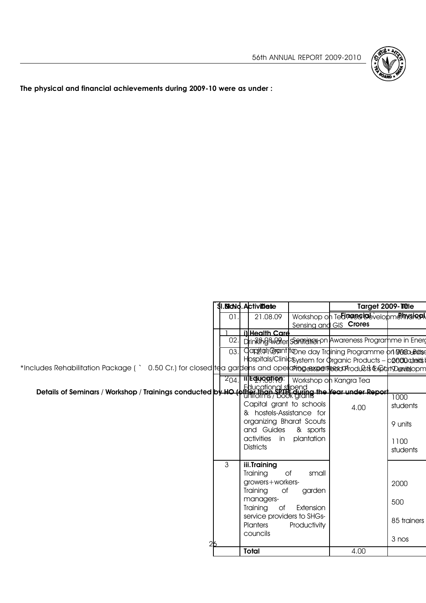

The physical and financial achievements during 2009-10 were as under :

|                                                                                                                       |      | <b>.BloNo. Activilliate</b>                            |                 | Target 2009-Tüle                                                                                                         |             |
|-----------------------------------------------------------------------------------------------------------------------|------|--------------------------------------------------------|-----------------|--------------------------------------------------------------------------------------------------------------------------|-------------|
|                                                                                                                       | 01   | 21.08.09                                               |                 | Workshop on Tectingsgrigt velopment various<br><b>Sensing and GIS Crores</b>                                             |             |
|                                                                                                                       | 02.  | il Health Care                                         |                 | Drinking&veren seninting ron Awareness Programme in Energ                                                                |             |
|                                                                                                                       | 03.  |                                                        |                 | Capital1@ant t@ne day Training Programme on Webubitse<br>Hospitals/Clinic system for Organic Products - c 2000 ataids to |             |
| *Includes Rehabilitation Package ( ` 0.50 Cr.) for closed tea gardens and opercring essperifectorfroducts Expertsporm |      |                                                        |                 |                                                                                                                          |             |
|                                                                                                                       | 204. | iilEoʻyoʻggʻion:                                       |                 | Workshop on Kangra Tea                                                                                                   |             |
| Details of Seminars / Workshop / Trainings conducted by HO (                                                          |      |                                                        |                 | Fauçational stipend<br>"Unidinis" book grana the <mark>Year under Report</mark>                                          | 1000        |
|                                                                                                                       |      | Capital grant to schools<br>& hostels-Assistance for   |                 | 4.00                                                                                                                     | students    |
|                                                                                                                       |      | organizing Bharat Scouts<br>and Guides                 | & sports        |                                                                                                                          | 9 units     |
|                                                                                                                       |      | activities<br>in                                       | plantation      |                                                                                                                          | 1100        |
|                                                                                                                       |      | <b>Districts</b>                                       |                 |                                                                                                                          | students    |
|                                                                                                                       | 3    | iii.Training                                           |                 |                                                                                                                          |             |
|                                                                                                                       |      | Training<br>of<br>$growers+workers-$<br>Training<br>Оf | small<br>garden |                                                                                                                          | 2000        |
|                                                                                                                       |      | managers-<br>Training<br><b>of</b>                     | Extension       |                                                                                                                          | 500         |
|                                                                                                                       |      | service providers to SHGs-<br><b>Planters</b>          | Productivity    |                                                                                                                          | 85 trainers |
|                                                                                                                       |      | councils                                               |                 |                                                                                                                          | $3$ nos     |
|                                                                                                                       |      | <b>Total</b>                                           |                 | 4.00                                                                                                                     |             |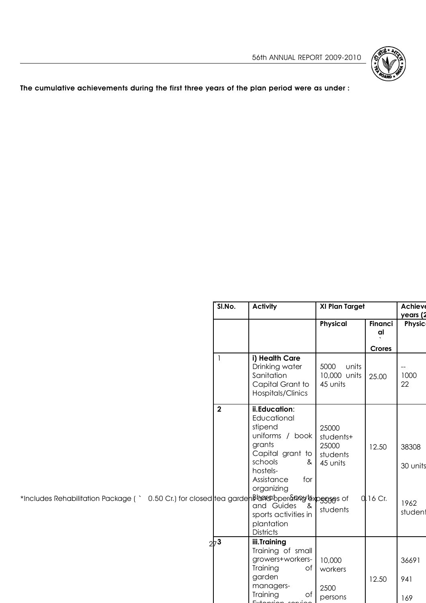

The cumulative achievements during the first three years of the plan period were as under :

|                                                                                                  | SI.No.       | <b>Activity</b>                                                                         | XI Plan Target                            |               | Achieve<br>years (2 |
|--------------------------------------------------------------------------------------------------|--------------|-----------------------------------------------------------------------------------------|-------------------------------------------|---------------|---------------------|
|                                                                                                  |              |                                                                                         | <b>Physical</b>                           | Financi<br>al | Physic              |
|                                                                                                  |              |                                                                                         |                                           | Crores        |                     |
|                                                                                                  | 1            | i) Health Care<br>Drinking water<br>Sanitation<br>Capital Grant to<br>Hospitals/Clinics | 5000<br>units<br>10,000 units<br>45 units | 25.00         | $-$<br>1000<br>22   |
|                                                                                                  | $\mathbf{2}$ | ii.Education:                                                                           |                                           |               |                     |
|                                                                                                  |              | Educational                                                                             |                                           |               |                     |
|                                                                                                  |              | stipend                                                                                 | 25000                                     |               |                     |
|                                                                                                  |              | uniforms / book                                                                         | students+                                 |               |                     |
|                                                                                                  |              | grants<br>Capital grant to                                                              | 25000<br>students                         | 12.50         | 38308               |
|                                                                                                  |              | schools<br>&                                                                            | 45 units                                  |               |                     |
|                                                                                                  |              | hostels-                                                                                |                                           |               | 30 units            |
|                                                                                                  |              | Assistance<br>for                                                                       |                                           |               |                     |
|                                                                                                  |              | organizing                                                                              |                                           |               |                     |
| *Includes Rehabilitation Package (` 0.50 Cr.) for closed tea garden Blanc bperafing texperses of |              |                                                                                         |                                           | 0.16 Cr.      | 1962                |
|                                                                                                  |              | and Guides<br>້&<br>sports activities in                                                | students                                  |               | student             |
|                                                                                                  |              | plantation                                                                              |                                           |               |                     |
|                                                                                                  |              | <b>Districts</b>                                                                        |                                           |               |                     |
|                                                                                                  | $27^3$       | iii.Training                                                                            |                                           |               |                     |
|                                                                                                  |              | Training of small                                                                       |                                           |               |                     |
|                                                                                                  |              | growers+workers-                                                                        | 10,000                                    |               | 36691               |
|                                                                                                  |              | Training<br>of                                                                          | workers                                   |               |                     |
|                                                                                                  |              | garden                                                                                  |                                           | 12.50         | 941                 |
|                                                                                                  |              | managers-<br>Training<br>Οf                                                             | 2500                                      |               |                     |
|                                                                                                  |              |                                                                                         | persons                                   |               | 169                 |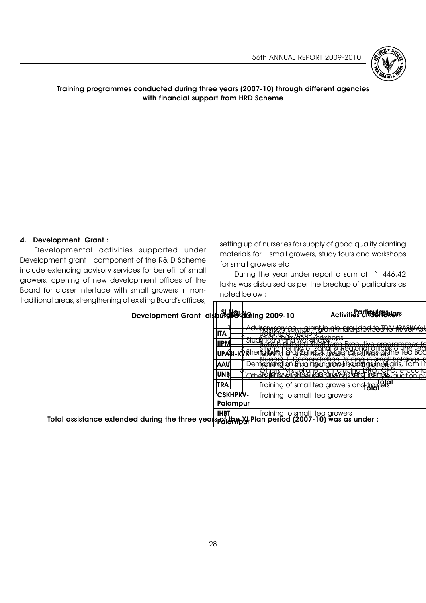

## Training programmes conducted during three years (2007-10) through different agencies with financial support from HRD Scheme

## 4. Development Grant :

Developmental activities supported under Development grant component of the R& D Scheme include extending advisory services for benefit of small growers, opening of new development offices of the Board for closer interface with small growers in nontraditional areas, strengthening of existing Board's offices,

setting up of nurseries for supply of good quality planting materials for small growers, study tours and workshops for small growers etc

During the year under report a sum of ` 446.42 lakhs was disbursed as per the breakup of particulars as noted below :

| ar arcas, sirchginching or cxismig board s omccs,                                                                            |                   |                 |  |                                                                                                                                         |
|------------------------------------------------------------------------------------------------------------------------------|-------------------|-----------------|--|-----------------------------------------------------------------------------------------------------------------------------------------|
| Development Grant disputes and the 2009-10                                                                                   |                   |                 |  | Activities under Here                                                                                                                   |
|                                                                                                                              | <b>ITA</b><br>. . |                 |  | <b>™™™™™™™™™™™™™™™™™™™™™™™</b><br><u>r Pravisory iservice of undirim party order are utilizatives in</u><br>Children Burguard Workshops |
|                                                                                                                              | IIIPM             |                 |  |                                                                                                                                         |
|                                                                                                                              |                   |                 |  |                                                                                                                                         |
|                                                                                                                              | IAAU              |                 |  | entonistimilon shughanon Hanny in yn ymyr                                                                                               |
|                                                                                                                              | <b>UNB</b>        |                 |  | r   Official Miscellaneous including isixy, CrC, e-uucho<br>Othafulmina allanaal itsiaaliameissivim mylnelä oluotion nu                 |
|                                                                                                                              | TRAI              | <b>CSKHPKV-</b> |  | Training of small tea growers and trainers!<br><u>Training to small tea growers</u>                                                     |
|                                                                                                                              |                   | Palampur        |  |                                                                                                                                         |
| Training to small tea growers<br>Total assistance extended during the three yearspaiding the period (2007-10) was as under : |                   |                 |  |                                                                                                                                         |
|                                                                                                                              |                   |                 |  |                                                                                                                                         |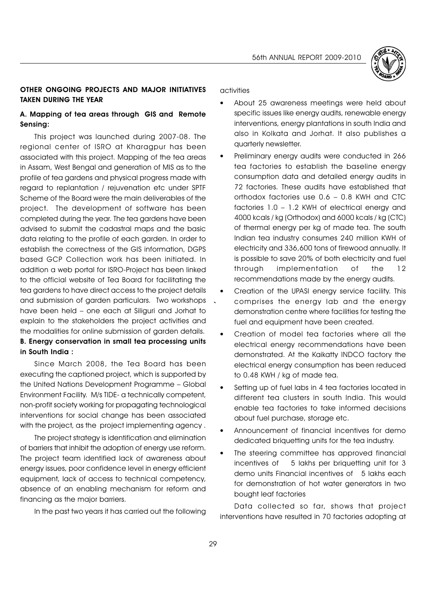

## OTHER ONGOING PROJECTS AND MAJOR INITIATIVES TAKEN DURING THE YEAR

## A. Mapping of tea areas through GIS and Remote Sensing:

This project was launched during 2007-08. The regional center of ISRO at Kharagpur has been associated with this project. Mapping of the tea areas in Assam, West Bengal and generation of MIS as to the profile of tea gardens and physical progress made with regard to replantation / rejuvenation etc under SPTF Scheme of the Board were the main deliverables of the project. The development of software has been completed during the year. The tea gardens have been advised to submit the cadastral maps and the basic data relating to the profile of each garden. In order to establish the correctness of the GIS information, DGPS based GCP Collection work has been initiated. In addition a web portal for ISRO-Project has been linked to the official website of Tea Board for facilitating the tea gardens to have direct access to the project details and submission of garden particulars. Two workshops  $\sim$ have been held – one each at Siliguri and Jorhat to explain to the stakeholders the project activities and the modalities for online submission of garden details. B. Energy conservation in small tea processing units

# in South India :

Since March 2008, the Tea Board has been executing the captioned project, which is supported by the United Nations Development Programme – Global Environment Facility. M/s TIDE- a technically competent, non-profit society working for propagating technological interventions for social change has been associated with the project, as the project implementing agency .

The project strategy is identification and elimination of barriers that inhibit the adoption of energy use reform. The project team identified lack of awareness about energy issues, poor confidence level in energy efficient equipment, lack of access to technical competency, absence of an enabling mechanism for reform and financing as the major barriers.

In the past two years it has carried out the following

activities

- About 25 awareness meetings were held about specific issues like energy audits, renewable energy interventions, energy plantations in south India and also in Kolkata and Jorhat. It also publishes a quarterly newsletter.
- Preliminary energy audits were conducted in 266 tea factories to establish the baseline energy consumption data and detailed energy audits in 72 factories. These audits have established that orthodox factories use 0.6 – 0.8 KWH and CTC factories 1.0 – 1.2 KWH of electrical energy and 4000 kcals / kg (Orthodox) and 6000 kcals / kg (CTC) of thermal energy per kg of made tea. The south Indian tea industry consumes 240 million KWH of electricity and 336,600 tons of firewood annually. It is possible to save 20% of both electricity and fuel through implementation of the 12 recommendations made by the energy audits.
- Creation of the UPASI energy service facility. This comprises the energy lab and the energy demonstration centre where facilities for testing the fuel and equipment have been created.
- Creation of model tea factories where all the electrical energy recommendations have been demonstrated. At the Kaikatty INDCO factory the electrical energy consumption has been reduced to 0.48 KWH / kg of made tea.
- Setting up of fuel labs in 4 tea factories located in different tea clusters in south India. This would enable tea factories to take informed decisions about fuel purchase, storage etc.
- Announcement of financial incentives for demo dedicated briquetting units for the tea industry.
- The steering committee has approved financial incentives of 5 lakhs per briquetting unit for 3 demo units Financial incentives of 5 lakhs each for demonstration of hot water generators in two bought leaf factories

Data collected so far, shows that project interventions have resulted in 70 factories adopting at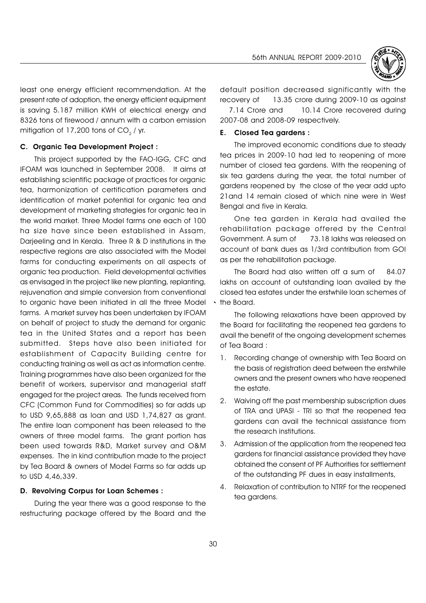

least one energy efficient recommendation. At the present rate of adoption, the energy efficient equipment is saving 5.187 million KWH of electrical energy and 8326 tons of firewood / annum with a carbon emission mitigation of 17,200 tons of CO $_{_2}$  / yr.

## C. Organic Tea Development Project :

This project supported by the FAO-IGG, CFC and IFOAM was launched in September 2008. It aims at establishing scientific package of practices for organic tea, harmonization of certification parameters and identification of market potential for organic tea and development of marketing strategies for organic tea in the world market. Three Model farms one each of 100 ha size have since been established in Assam, Darjeeling and In Kerala. Three R & D institutions in the respective regions are also associated with the Model farms for conducting experiments on all aspects of organic tea production. Field developmental activities as envisaged in the project like new planting, replanting, rejuvenation and simple conversion from conventional to organic have been initiated in all the three Model farms. A market survey has been undertaken by IFOAM on behalf of project to study the demand for organic tea in the United States and a report has been submitted. Steps have also been initiated for establishment of Capacity Building centre for conducting training as well as act as information centre. Training programmes have also been organized for the benefit of workers, supervisor and managerial staff engaged for the project areas. The funds received from CFC (Common Fund for Commodities) so far adds up to USD 9,65,888 as loan and USD 1,74,827 as grant. The entire loan component has been released to the owners of three model farms. The grant portion has been used towards R&D, Market survey and O&M expenses. The in kind contribution made to the project by Tea Board & owners of Model Farms so far adds up to USD 4,46,339.

## D. Revolving Corpus for Loan Schemes :

During the year there was a good response to the restructuring package offered by the Board and the

default position decreased significantly with the recovery of 13.35 crore during 2009-10 as against

7.14 Crore and 10.14 Crore recovered during 2007-08 and 2008-09 respectively.

## E. Closed Tea gardens :

The improved economic conditions due to steady tea prices in 2009-10 had led to reopening of more number of closed tea gardens. With the reopening of six tea gardens during the year, the total number of gardens reopened by the close of the year add upto 21and 14 remain closed of which nine were in West Bengal and five in Kerala.

One tea garden in Kerala had availed the rehabilitation package offered by the Central Government. A sum of 73.18 lakhs was released on account of bank dues as 1/3rd contribution from GOI as per the rehabilitation package.

` the Board. The Board had also written off a sum of The Board had also written off a sum of 84.07<br>lakhs on account of outstanding loan availed by the<br>closed tea estates under the erstwhile loan schemes of<br>the Board. lakhs on account of outstanding loan availed by the closed tea estates under the erstwhile loan schemes of

The following relaxations have been approved by the Board for facilitating the reopened tea gardens to avail the benefit of the ongoing development schemes of Tea Board :

- 1. Recording change of ownership with Tea Board on the basis of registration deed between the erstwhile owners and the present owners who have reopened the estate.
- 2. Waiving off the past membership subscription dues of TRA and UPASI - TRI so that the reopened tea gardens can avail the technical assistance from the research institutions.
- 3. Admission of the application from the reopened tea gardens for financial assistance provided they have obtained the consent of PF Authorities for settlement of the outstanding PF dues in easy installments,
- 4. Relaxation of contribution to NTRF for the reopened tea gardens.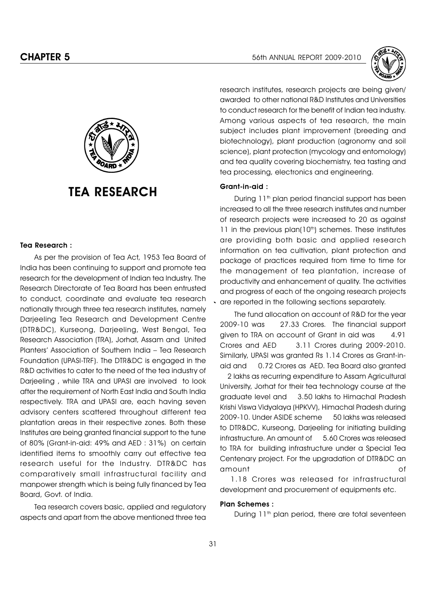

research institutes, research projects are being given/ awarded to other national R&D Institutes and Universities to conduct research for the benefit of Indian tea industry. Among various aspects of tea research, the main subject includes plant improvement (breeding and biotechnology), plant production (agronomy and soil science), plant protection (mycology and entomology) and tea quality covering biochemistry, tea tasting and tea processing, electronics and engineering.

#### Grant-in-aid :

During 11<sup>th</sup> plan period financial support has been increased to all the three research institutes and number of research projects were increased to 20 as against 11 in the previous plan $(10<sup>th</sup>)$  schemes. These institutes are providing both basic and applied research information on tea cultivation, plant protection and package of practices required from time to time for the management of tea plantation, increase of productivity and enhancement of quality. The activities and progress of each of the ongoing research projects  $\cdot$  are reported in the following sections separately.

The fund allocation on account of R&D for the year 2009-10 was 27.33 Crores. The financial support given to TRA on account of Grant in aid was 4.91 Crores and AED 3.11 Crores during 2009-2010. Similarly, UPASI was granted Rs 1.14 Crores as Grant-inaid and 0.72 Crores as AED. Tea Board also granted

2 lakhs as recurring expenditure to Assam Agricultural University, Jorhat for their tea technology course at the graduate level and 3.50 lakhs to Himachal Pradesh Krishi Viswa Vidyalaya (HPKVV), Himachal Pradesh during 2009-10. Under ASIDE scheme 50 lakhs was released to DTR&DC, Kurseong, Darieeling for initiating building infrastructure. An amount of 5.60 Crores was released to TRA for building infrastructure under a Special Tea Centenary project. For the upgradation of DTR&DC an amount of

1.18 Crores was released for infrastructural development and procurement of equipments etc.

#### Plan Schemes :

During  $11<sup>th</sup>$  plan period, there are total seventeen



## TEA RESEARCH

#### Tea Research :

As per the provision of Tea Act, 1953 Tea Board of India has been continuing to support and promote tea research for the development of Indian tea Industry. The Research Directorate of Tea Board has been entrusted to conduct, coordinate and evaluate tea research nationally through three tea research institutes, namely Darjeeling Tea Research and Development Centre (DTR&DC), Kurseong, Darjeeling, West Bengal, Tea Research Association (TRA), Jorhat, Assam and United Planters' Association of Southern India – Tea Research Foundation (UPASI-TRF). The DTR&DC is engaged in the R&D activities to cater to the need of the tea industry of Darjeeling , while TRA and UPASI are involved to look after the requirement of North East India and South India respectively. TRA and UPASI are, each having seven advisory centers scattered throughout different tea plantation areas in their respective zones. Both these Institutes are being granted financial support to the tune of 80% (Grant-in-aid: 49% and AED : 31%) on certain identified items to smoothly carry out effective tea research useful for the Industry. DTR&DC has comparatively small infrastructural facility and manpower strength which is being fully financed by Tea Board, Govt. of India.

Tea research covers basic, applied and regulatory aspects and apart from the above mentioned three tea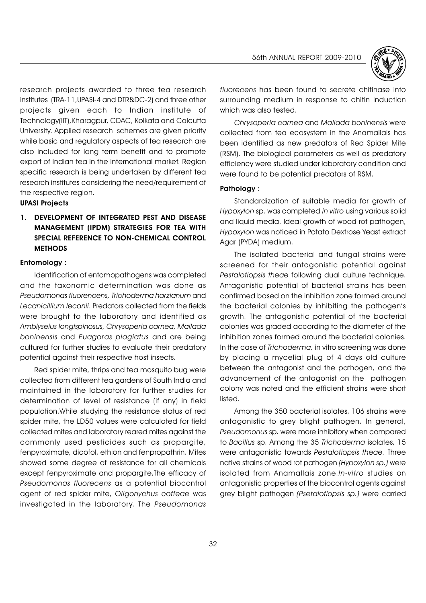

research projects awarded to three tea research institutes (TRA-11,UPASI-4 and DTR&DC-2) and three other projects given each to Indian institute of Technology(IIT),Kharagpur, CDAC, Kolkata and Calcutta University. Applied research schemes are given priority while basic and regulatory aspects of tea research are also included for long term benefit and to promote export of Indian tea in the international market. Region specific research is being undertaken by different tea research institutes considering the need/requirement of the respective region.

#### UPASI Projects

## 1. DEVELOPMENT OF INTEGRATED PEST AND DISEASE MANAGEMENT (IPDM) STRATEGIES FOR TEA WITH SPECIAL REFERENCE TO NON-CHEMICAL CONTROL METHODS

#### Entomology :

Identification of entomopathogens was completed and the taxonomic determination was done as Pseudomonas fluorencens, Trichoderma harzianum and Lecanicillium lecanii. Predators collected from the fields were brought to the laboratory and identified as Amblyseius longispinosus, Chrysoperla carnea, Mallada boninensis and Euagoras plagiatus and are being cultured for further studies to evaluate their predatory potential against their respective host insects.

Red spider mite, thrips and tea mosquito bug were collected from different tea gardens of South India and maintained in the laboratory for further studies for determination of level of resistance (if any) in field population.While studying the resistance status of red spider mite, the LD50 values were calculated for field collected mites and laboratory reared mites against the commonly used pesticides such as propargite, fenpyroximate, dicofol, ethion and fenpropathrin. Mites showed some degree of resistance for all chemicals except fenpyroximate and propargite.The efficacy of Pseudomonas fluorecens as a potential biocontrol agent of red spider mite, Oligonychus coffeae was investigated in the laboratory. The Pseudomonas fluorecens has been found to secrete chitinase into surrounding medium in response to chitin induction which was also tested.

Chrysoperla carnea and Mallada boninensis were collected from tea ecosystem in the Anamallais has been identified as new predators of Red Spider Mite (RSM). The biological parameters as well as predatory efficiency were studied under laboratory condition and were found to be potential predators of RSM.

#### Pathology :

Standardization of suitable media for growth of Hypoxylon sp. was completed in vitro using various solid and liquid media. Ideal growth of wood rot pathogen, Hypoxylon was noticed in Potato Dextrose Yeast extract Agar (PYDA) medium.

The isolated bacterial and fungal strains were screened for their antagonistic potential against Pestalotiopsis theae following dual culture technique. Antagonistic potential of bacterial strains has been confirmed based on the inhibition zone formed around the bacterial colonies by inhibiting the pathogen's growth. The antagonistic potential of the bacterial colonies was graded according to the diameter of the inhibition zones formed around the bacterial colonies. In the case of Trichoderma, in vitro screening was done by placing a mycelial plug of 4 days old culture between the antagonist and the pathogen, and the advancement of the antagonist on the pathogen colony was noted and the efficient strains were short listed.

Among the 350 bacterial isolates, 106 strains were antagonistic to grey blight pathogen. In general, Pseudomonus sp. were more inhibitory when compared to Bacillus sp. Among the 35 Trichoderma isolates, 15 were antagonistic towards Pestalotiopsis theae. Three native strains of wood rot pathogen (Hypoxylon sp.) were isolated from Anamallais zone.In-vitro studies on antagonistic properties of the biocontrol agents against grey blight pathogen (Psetalotiopsis sp.) were carried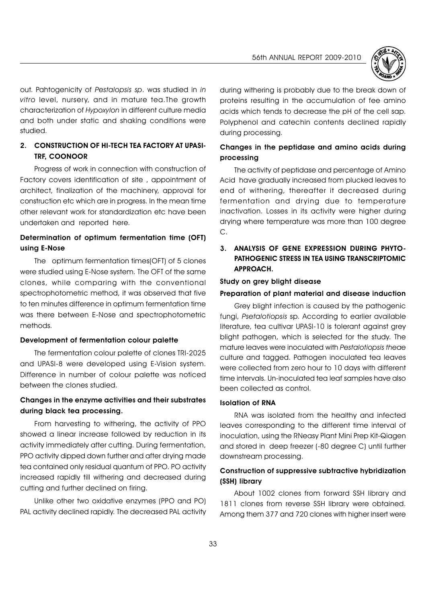

out. Pahtogenicity of Pestalopsis sp. was studied in in vitro level, nursery, and in mature tea.The growth characterization of Hypoxylon in different culture media and both under static and shaking conditions were studied.

## 2. CONSTRUCTION OF HI-TECH TEA FACTORY AT UPASI-TRF, COONOOR

Progress of work in connection with construction of Factory covers identification of site , appointment of architect, finalization of the machinery, approval for construction etc which are in progress. In the mean time other relevant work for standardization etc have been undertaken and reported here.

## Determination of optimum fermentation time (OFT) using E-Nose

The optimum fermentation times(OFT) of 5 clones were studied using E-Nose system. The OFT of the same clones, while comparing with the conventional spectrophotometric method, it was observed that five to ten minutes difference in optimum fermentation time was there between E-Nose and spectrophotometric methods.

## Development of fermentation colour palette

The fermentation colour palette of clones TRI-2025 and UPASI-8 were developed using E-Vision system. Difference in number of colour palette was noticed between the clones studied.

## Changes in the enzyme activities and their substrates during black tea processing.

From harvesting to withering, the activity of PPO showed a linear increase followed by reduction in its activity immediately after cutting. During fermentation, PPO activity dipped down further and after drying made tea contained only residual quantum of PPO. PO activity increased rapidly till withering and decreased during cutting and further declined on firing.

Unlike other two oxidative enzymes (PPO and PO) PAL activity declined rapidly. The decreased PAL activity

during withering is probably due to the break down of proteins resulting in the accumulation of fee amino acids which tends to decrease the pH of the cell sap. Polyphenol and catechin contents declined rapidly during processing.

## Changes in the peptidase and amino acids during processing

The activity of peptidase and percentage of Amino Acid have gradually increased from plucked leaves to end of withering, thereafter it decreased during fermentation and drying due to temperature inactivation. Losses in its activity were higher during drying where temperature was more than 100 degree C.

## 3. ANALYSIS OF GENE EXPRESSION DURING PHYTO-PATHOGENIC STRESS IN TEA USING TRANSCRIPTOMIC APPROACH.

#### Study on grey blight disease

## Preparation of plant material and disease induction

Grey blight infection is caused by the pathogenic fungi, Psetalotiopsis sp. According to earlier available literature, tea cultivar UPASI-10 is tolerant against grey blight pathogen, which is selected for the study. The mature leaves were inoculated with Pestalotiopsis theae culture and tagged. Pathogen inoculated tea leaves were collected from zero hour to 10 days with different time intervals. Un-inoculated tea leaf samples have also been collected as control.

## Isolation of RNA

RNA was isolated from the healthy and infected leaves corresponding to the different time interval of inoculation, using the RNeasy Plant Mini Prep Kit-Qiagen and stored in deep freezer (-80 degree C) until further downstream processing.

## Construction of suppressive subtractive hybridization (SSH) library

About 1002 clones from forward SSH library and 1811 clones from reverse SSH library were obtained. Among them 377 and 720 clones with higher insert were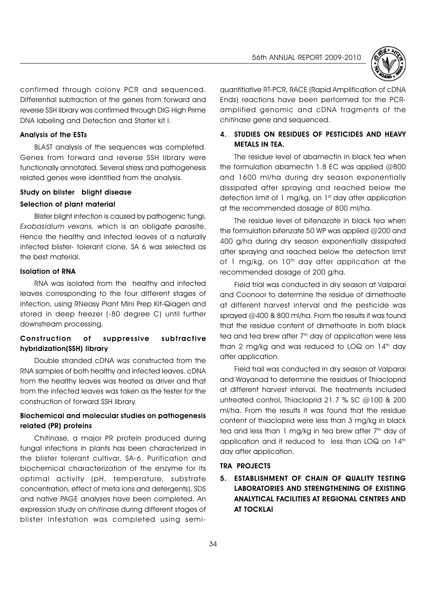

confirmed through colony PCR and sequenced. Differential subtraction of the genes from forward and reverse SSH library was confirmed through DIG High Prime DNA labeling and Detection and Starter kit I.

## Analysis of the ESTs

BLAST analysis of the sequences was completed. Genes from forward and reverse SSH library were functionally annotated. Several stress and pathogenesis related genes were identified from the analysis.

## Study on blister blight disease

#### Selection of plant material

Blister blight infection is caused by pathogenic fungi, Exobasidium vexans, which is an obligate parasite. Hence the healthy and infected leaves of a naturally infected blister- tolerant clone, SA 6 was selected as the best material.

## Isolation of RNA

RNA was isolated from the healthy and infected leaves corresponding to the four different stages of infection, using RNeasy Plant Mini Prep Kit-Qiagen and stored in deep freezer (-80 degree C) until further downstream processing.

## Construction of suppressive subtractive hybridization(SSH) library

Double stranded cDNA was constructed from the RNA samples of both healthy and infected leaves. cDNA from the healthy leaves was treated as driver and that from the infected leaves was taken as the tester for the construction of forward SSH library.

## Biochemical and molecular studies on pathogenesis related (PR) proteins

Chitinase, a major PR protein produced during fungal infections in plants has been characterized in the blister tolerant cultivar, SA-6. Purification and biochemical characterization of the enzyme for its optimal activity (pH, temperature, substrate concentration, effect of meta ions and detergents), SDS and native PAGE analyses have been completed. An expression study on chitinase during different stages of blister infestation was completed using semiquantitiative RT-PCR, RACE (Rapid Amplification of cDNA Ends) reactions have been performed for the PCRamplified genomic and cDNA fragments of the chitinase gene and sequenced.

## 4. STUDIES ON RESIDUES OF PESTICIDES AND HEAVY METALS IN TEA.

The residue level of abamectin in black tea when the formulation abamectin 1.8 EC was applied @800 and 1600 ml/ha during dry season exponentially dissipated after spraying and reached below the detection limit of 1 mg/kg, on  $1<sup>st</sup>$  day after application at the recommended dosage of 800 ml/ha.

The residue level of bifenazate in black tea when the formulation bifenzate 50 WP was applied @200 and 400 g/ha during dry season exponentially dissipated after spraying and reached below the detection limit of 1 mg/kg, on  $10<sup>th</sup>$  day after application at the recommended dosage of 200 g/ha.

Field trial was conducted in dry season at Valparai and Coonoor to determine the residue of dimethoate at different harvest interval and the pesticide was sprayed @400 & 800 ml/ha. From the results it was found that the residue content of dimethoate in both black tea and tea brew after  $7<sup>th</sup>$  day of application were less than 2 mg/kg and was reduced to LOQ on  $14<sup>th</sup>$  day after application.

Field trail was conducted in dry season at Valparai and Wayanad to determine the residues of Thiacloprid at different harvest interval. The treatments included untreated control, Thiacloprid 21.7 % SC @100 & 200 ml/ha. From the results it was found that the residue content of thiacloprid were less than 3 mg/kg in black tea and less than  $1 \text{ mg/kg}$  in tea brew after  $7<sup>th</sup>$  day of application and it reduced to less than LOQ on 14th day after application.

## TRA PROJECTS

## 5. ESTABLISHMENT OF CHAIN OF QUALITY TESTING LABORATORIES AND STRENGTHENING OF EXISTING ANALYTICAL FACILITIES AT REGIONAL CENTRES AND AT TOCKLAI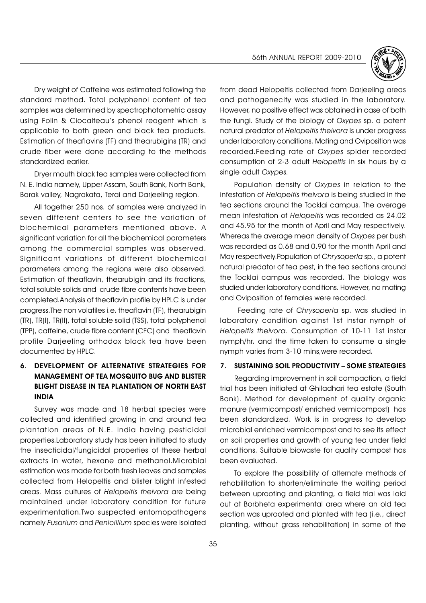

Dry weight of Caffeine was estimated following the standard method. Total polyphenol content of tea samples was determined by spectrophotometric assay using Folin & Ciocalteau's phenol reagent which is applicable to both green and black tea products. Estimation of theaflavins (TF) and thearubigins (TR) and crude fiber were done according to the methods standardized earlier.

Dryer mouth black tea samples were collected from N. E. India namely, Upper Assam, South Bank, North Bank, Barak valley, Nagrakata, Terai and Darjeeling region.

All together 250 nos. of samples were analyzed in seven different centers to see the variation of biochemical parameters mentioned above. A significant variation for all the biochemical parameters among the commercial samples was observed. Significant variations of different biochemical parameters among the regions were also observed. Estimation of theaflavin, thearubigin and its fractions, total soluble solids and crude fibre contents have been completed.Analysis of theaflavin profile by HPLC is under progress.The non volatiles i.e. theaflavin (TF), thearubigin (TR), TR(I), TR(II), total soluble solid (TSS), total polyphenol (TPP), caffeine, crude fibre content (CFC) and theaflavin profile Darjeeling orthodox black tea have been documented by HPLC.

## 6. DEVELOPMENT OF ALTERNATIVE STRATEGIES FOR MANAGEMENT OF TEA MOSQUITO BUG AND BLISTER BLIGHT DISEASE IN TEA PLANTATION OF NORTH EAST INDIA

Survey was made and 18 herbal species were collected and identified growing in and around tea plantation areas of N.E. India having pesticidal properties.Laboratory study has been initiated to study the insecticidal/fungicidal properties of these herbal extracts in water, hexane and methanol.Microbial estimation was made for both fresh leaves and samples collected from Helopeltis and blister blight infested areas. Mass cultures of Helopeltis theivora are being maintained under laboratory condition for future experimentation.Two suspected entomopathogens namely Fusarium and Penicillium species were isolated

from dead Helopeltis collected from Darjeeling areas and pathogenecity was studied in the laboratory. However, no positive effect was obtained in case of both the fungi. Study of the biology of Oxypes sp. a potent natural predator of Helopeltis theivora is under progress under laboratory conditions. Mating and Oviposition was recorded.Feeding rate of Oxypes spider recorded consumption of 2-3 adult Helopeltis in six hours by a single adult Oxypes.

Population density of Oxypes in relation to the infestation of Helopeltis theivora is being studied in the tea sections around the Tocklai campus. The average mean infestation of Helopeltis was recorded as 24.02 and 45.95 for the month of April and May respectively. Whereas the average mean density of Oxypes per bush was recorded as 0.68 and 0.90 for the month April and May respectively.Population of Chrysoperla sp., a potent natural predator of tea pest, in the tea sections around the Tocklai campus was recorded. The biology was studied under laboratory conditions. However, no mating and Oviposition of females were recorded.

 Feeding rate of Chrysoperla sp. was studied in laboratory condition against 1st instar nymph of Helopeltis theivora. Consumption of 10-11 1st instar nymph/hr. and the time taken to consume a single nymph varies from 3-10 mins,were recorded.

## 7. SUSTAINING SOIL PRODUCTIVITY – SOME STRATEGIES

Regarding improvement in soil compaction, a field trial has been initiated at Ghiladhari tea estate (South Bank). Method for development of quality organic manure (vermicompost/ enriched vermicompost) has been standardized. Work is in progress to develop microbial enriched vermicompost and to see its effect on soil properties and growth of young tea under field conditions. Suitable biowaste for quality compost has been evaluated.

To explore the possibility of alternate methods of rehabilitation to shorten/eliminate the waiting period between uprooting and planting, a field trial was laid out at Borbheta experimental area where an old tea section was uprooted and planted with tea (i.e., direct planting, without grass rehabilitation) in some of the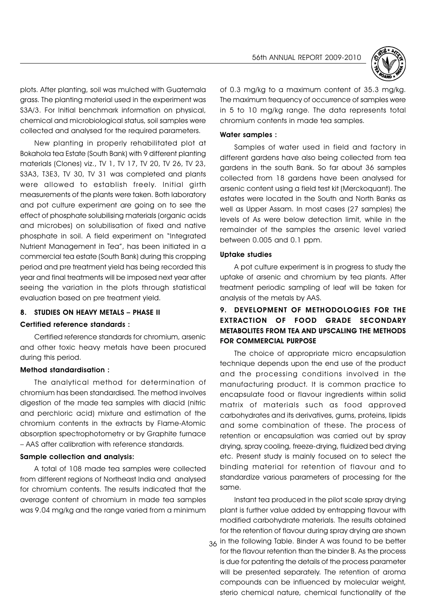plots. After planting, soil was mulched with Guatemala grass. The planting material used in the experiment was S3A/3. For Initial benchmark information on physical, chemical and microbiological status, soil samples were collected and analysed for the required parameters.

New planting in properly rehabilitated plot at Bokahola tea Estate (South Bank) with 9 different planting materials (Clones) viz., TV 1, TV 17, TV 20, TV 26, TV 23, S3A3, T3E3, TV 30, TV 31 was completed and plants were allowed to establish freely. Initial girth measurements of the plants were taken. Both laboratory and pot culture experiment are going on to see the effect of phosphate solubilising materials (organic acids and microbes) on solubilisation of fixed and native phosphate in soil. A field experiment on "Integrated Nutrient Management in Tea", has been initiated in a commercial tea estate (South Bank) during this cropping period and pre treatment yield has being recorded this year and final treatments will be imposed next year after seeing the variation in the plots through statistical evaluation based on pre treatment yield.

## 8. STUDIES ON HEAVY METALS – PHASE II

## Certified reference standards :

Certified reference standards for chromium, arsenic and other toxic heavy metals have been procured during this period.

#### Method standardisation :

The analytical method for determination of chromium has been standardised. The method involves digestion of the made tea samples with diacid (nitric and perchloric acid) mixture and estimation of the chromium contents in the extracts by Flame-Atomic absorption spectrophotometry or by Graphite furnace – AAS after calibration with reference standards.

### Sample collection and analysis:

A total of 108 made tea samples were collected from different regions of Northeast India and analysed for chromium contents. The results indicated that the average content of chromium in made tea samples was 9.04 mg/kg and the range varied from a minimum

of 0.3 mg/kg to a maximum content of 35.3 mg/kg. The maximum frequency of occurrence of samples were in 5 to 10 mg/kg range. The data represents total chromium contents in made tea samples.

#### Water samples :

Samples of water used in field and factory in different gardens have also being collected from tea gardens in the south Bank. So far about 36 samples collected from 18 gardens have been analysed for arsenic content using a field test kit (Merckoquant). The estates were located in the South and North Banks as well as Upper Assam. In most cases (27 samples) the levels of As were below detection limit, while in the remainder of the samples the arsenic level varied between 0.005 and 0.1 ppm.

#### Uptake studies

A pot culture experiment is in progress to study the uptake of arsenic and chromium by tea plants. After treatment periodic sampling of leaf will be taken for analysis of the metals by AAS.

## 9. DEVELOPMENT OF METHODOLOGIES FOR THE EXTRACTION OF FOOD GRADE SECONDARY METABOLITES FROM TEA AND UPSCALING THE METHODS FOR COMMERCIAL PURPOSE

The choice of appropriate micro encapsulation technique depends upon the end use of the product and the processing conditions involved in the manufacturing product. It is common practice to encapsulate food or flavour ingredients within solid matrix of materials such as food approved carbohydrates and its derivatives, gums, proteins, lipids and some combination of these. The process of retention or encapsulation was carried out by spray drying, spray cooling, freeze-drying, fluidized bed drying etc. Present study is mainly focused on to select the binding material for retention of flavour and to standardize various parameters of processing for the same.

 $_{36}$  in the following Table. Binder A was found to be better Instant tea produced in the pilot scale spray drying plant is further value added by entrapping flavour with modified carbohydrate materials. The results obtained for the retention of flavour during spray drying are shown for the flavour retention than the binder B. As the process is due for patenting the details of the process parameter will be presented separately. The retention of aroma compounds can be influenced by molecular weight, sterio chemical nature, chemical functionality of the

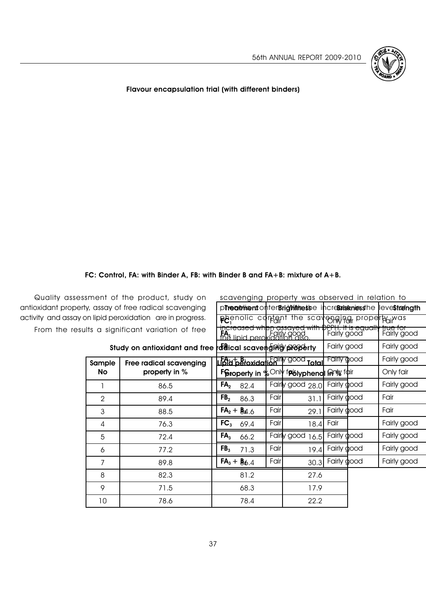p**treathient** onten**srighthess** e incre**sriseness he levestreingth** 

scavenging property was observed in relation to



# Flavour encapsulation trial (with different binders)

# FC: Control, FA: with Binder A, FB: with Binder B and FA+B: mixture of A+B.

Quality assessment of the product, study on antioxidant property, assay of free radical scavenging activity and assay on lip

From the results

|                | I lipid peroxidation are in progress. |                 |                                   |      | phenolic contant the scaven aina property was                 |             |             |
|----------------|---------------------------------------|-----------------|-----------------------------------|------|---------------------------------------------------------------|-------------|-------------|
|                | s a significant variation of free     |                 | <b>FA</b> lipid perokidation also |      | increased when assayed with DPPH. It is equally true for      | Fairly good | Fairly good |
|                | Study on antioxidant and free         |                 |                                   |      | rdFelical scavengি Migly © ନବ&୍ୟ ty                           | Fairly good | Fairly good |
| Sample         | Free radical scavenging               |                 |                                   |      | <b>.FA<sub>d</sub>+B</b> łoxidation <sup>  M</sup> good Total | Fairly good | Fairly good |
| No             | property in %                         |                 | <b>F</b> Sproperty in             |      | % Only fristyphend i mrty fair                                |             | Only fair   |
|                | 86.5                                  | FA,             | 82.4                              |      | Fairly good 28.0                                              | Fairly good | Fairly good |
| $\overline{2}$ | 89.4                                  | FB <sub>2</sub> | 86.3                              | Fair | 31.1                                                          | Fairly good | Fair        |
| $\mathfrak{S}$ | 88.5                                  |                 | $FA_2 + B_4.6$                    | Fair | 29.1                                                          | Fairly good | Fair        |
| 4              | 76.3                                  | FC <sub>3</sub> | 69.4                              | Fair | 18.4                                                          | Fair        | Fairly good |
| 5              | 72.4                                  | FA <sub>3</sub> | 66.2                              |      | Fairly good 16.5                                              | Fairly good | Fairly good |
| 6              | 77.2                                  | FB <sub>3</sub> | 71.3                              | Fair | 19.4                                                          | Fairly good | Fairly good |
| 7              | 89.8                                  |                 | $FA_3 + B_6.4$                    | Fair | 30.3                                                          | Fairly good | Fairly good |
| 8              | 82.3                                  |                 | 81.2                              |      | 27.6                                                          |             |             |
| 9              | 71.5                                  |                 | 68.3                              |      | 17.9                                                          |             |             |
| 10             | 78.6                                  |                 | 78.4                              |      | 22.2                                                          |             |             |
|                |                                       |                 |                                   |      |                                                               |             |             |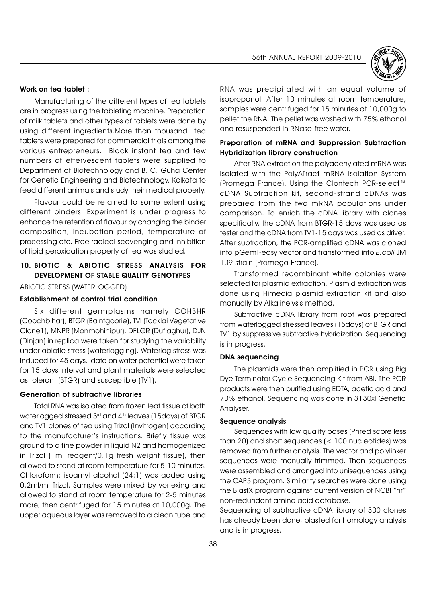

#### Work on tea tablet :

Manufacturing of the different types of tea tablets are in progress using the tableting machine. Preparation of milk tablets and other types of tablets were done by using different ingredients.More than thousand tea tablets were prepared for commercial trials among the various entrepreneurs. Black instant tea and few numbers of effervescent tablets were supplied to Department of Biotechnology and B. C. Guha Center for Genetic Engineering and Biotechnology, Kolkata to feed different animals and study their medical property.

Flavour could be retained to some extent using different binders. Experiment is under progress to enhance the retention of flavour by changing the binder composition, incubation period, temperature of processing etc. Free radical scavenging and inhibition of lipid peroxidation property of tea was studied.

# 10. BIOTIC & ABIOTIC STRESS ANALYSIS FOR DEVELOPMENT OF STABLE QUALITY GENOTYPES

ABIOTIC STRESS (WATERLOGGED)

#### Establishment of control trial condition

Six different germplasms namely COHBHR (Coochbihar), BTGR (Baintgoorie), TVI (Tocklai Vegetative Clone1), MNPR (Monmohinipur), DFLGR (Duflaghur), DJN (Dinjan) in replica were taken for studying the variability under abiotic stress (waterlogging). Waterlog stress was induced for 45 days, data on water potential were taken for 15 days interval and plant materials were selected as tolerant (BTGR) and susceptible (TV1).

#### Generation of subtractive libraries

Total RNA was isolated from frozen leaf tissue of both waterlogged stressed 3<sup>rd</sup> and 4<sup>th</sup> leaves (15days) of BTGR and TV1 clones of tea using Trizol (Invitrogen) according to the manufacturer's instructions. Briefly tissue was ground to a fine powder in liquid N2 and homogenized in Trizol (1ml reagent/0.1g fresh weight tissue), then allowed to stand at room temperature for 5-10 minutes. Chloroform: isoamyl alcohol (24:1) was added using 0.2ml/ml Trizol. Samples were mixed by vortexing and allowed to stand at room temperature for 2-5 minutes more, then centrifuged for 15 minutes at 10,000g. The upper aqueous layer was removed to a clean tube and RNA was precipitated with an equal volume of isopropanol. After 10 minutes at room temperature, samples were centrifuged for 15 minutes at 10,000g to pellet the RNA. The pellet was washed with 75% ethanol and resuspended in RNase-free water.

# Preparation of mRNA and Suppression Subtraction Hybridization library construction

After RNA extraction the polyadenylated mRNA was isolated with the PolyATract mRNA Isolation System (Promega France). Using the Clontech PCR-select™ cDNA Subtraction kit, second-strand cDNAs was prepared from the two mRNA populations under comparison. To enrich the cDNA library with clones specifically, the cDNA from BTGR-15 days was used as tester and the cDNA from TV1-15 days was used as driver. After subtraction, the PCR-amplified cDNA was cloned into pGemT-easy vector and transformed into E.coli JM 109 strain (Promega France).

Transformed recombinant white colonies were selected for plasmid extraction. Plasmid extraction was done using Himedia plasmid extraction kit and also manually by Alkalinelysis method.

Subtractive cDNA library from root was prepared from waterlogged stressed leaves (15days) of BTGR and TV1 by suppressive subtractive hybridization. Sequencing is in progress.

#### DNA sequencing

The plasmids were then amplified in PCR using Big Dye Terminator Cycle Sequencing Kit from ABI. The PCR products were then purified using EDTA, acetic acid and 70% ethanol. Sequencing was done in 3130xl Genetic Analyser.

#### Sequence analysis

Sequences with low quality bases (Phred score less than 20) and short sequences (< 100 nucleotides) was removed from further analysis. The vector and polylinker sequences were manually trimmed. Then sequences were assembled and arranged into unisequences using the CAP3 program. Similarity searches were done using the BlastX program against current version of NCBI "nr" non-redundant amino acid database.

Sequencing of subtractive cDNA library of 300 clones has already been done, blasted for homology analysis and is in progress.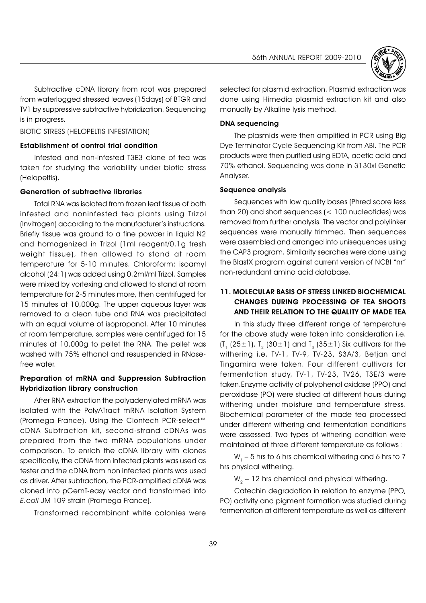

Subtractive cDNA library from root was prepared from waterlogged stressed leaves (15days) of BTGR and TV1 by suppressive subtractive hybridization. Sequencing is in progress.

# BIOTIC STRESS (HELOPELTIS INFESTATION)

# Establishment of control trial condition

Infested and non-infested T3E3 clone of tea was taken for studying the variability under biotic stress (Helopeltis).

## Generation of subtractive libraries

Total RNA was isolated from frozen leaf tissue of both infested and noninfested tea plants using Trizol (Invitrogen) according to the manufacturer's instructions. Briefly tissue was ground to a fine powder in liquid N2 and homogenized in Trizol (1ml reagent/0.1g fresh weight tissue), then allowed to stand at room temperature for 5-10 minutes. Chloroform: isoamyl alcohol (24:1) was added using 0.2ml/ml Trizol. Samples were mixed by vortexing and allowed to stand at room temperature for 2-5 minutes more, then centrifuged for 15 minutes at 10,000g. The upper aqueous layer was removed to a clean tube and RNA was precipitated with an equal volume of isopropanol. After 10 minutes at room temperature, samples were centrifuged for 15 minutes at 10,000g to pellet the RNA. The pellet was washed with 75% ethanol and resuspended in RNasefree water.

## Preparation of mRNA and Suppression Subtraction Hybridization library construction

After RNA extraction the polyadenylated mRNA was isolated with the PolyATract mRNA Isolation System (Promega France). Using the Clontech PCR-select™ cDNA Subtraction kit, second-strand cDNAs was prepared from the two mRNA populations under comparison. To enrich the cDNA library with clones specifically, the cDNA from infected plants was used as tester and the cDNA from non infected plants was used as driver. After subtraction, the PCR-amplified cDNA was cloned into pGemT-easy vector and transformed into E.coli JM 109 strain (Promega France).

Transformed recombinant white colonies were

selected for plasmid extraction. Plasmid extraction was done using Himedia plasmid extraction kit and also manually by Alkaline lysis method.

#### DNA sequencing

The plasmids were then amplified in PCR using Big Dye Terminator Cycle Sequencing Kit from ABI. The PCR products were then purified using EDTA, acetic acid and 70% ethanol. Sequencing was done in 3130xl Genetic Analyser.

#### Sequence analysis

Sequences with low quality bases (Phred score less than 20) and short sequences (< 100 nucleotides) was removed from further analysis. The vector and polylinker sequences were manually trimmed. Then sequences were assembled and arranged into unisequences using the CAP3 program. Similarity searches were done using the BlastX program against current version of NCBI "nr" non-redundant amino acid database.

# 11. MOLECULAR BASIS OF STRESS LINKED BIOCHEMICAL CHANGES DURING PROCESSING OF TEA SHOOTS AND THEIR RELATION TO THE QUALITY OF MADE TEA

In this study three different range of temperature for the above study were taken into consideration i.e. (T<sub>1</sub> (25 $\pm$ 1), T<sub>2</sub> (30 $\pm$ 1) and T<sub>3</sub> (35 $\pm$ 1).Six cultivars for the withering i.e. TV-1, TV-9, TV-23, S3A/3, Betjan and Tingamira were taken. Four different cultivars for fermentation study, TV-1, TV-23, TV26, T3E/3 were taken.Enzyme activity of polyphenol oxidase (PPO) and peroxidase (PO) were studied at different hours during withering under moisture and temperature stress. Biochemical parameter of the made tea processed under different withering and fermentation conditions were assessed. Two types of withering condition were maintained at three different temperature as follows :

W<sub>1</sub> – 5 hrs to 6 hrs chemical withering and 6 hrs to 7  $\,$ hrs physical withering.

 $\mathsf{W}_2^{\vphantom{\dagger}}$  – 12 hrs chemical and physical withering.

Catechin degradation in relation to enzyme (PPO, PO) activity and pigment formation was studied during fermentation at different temperature as well as different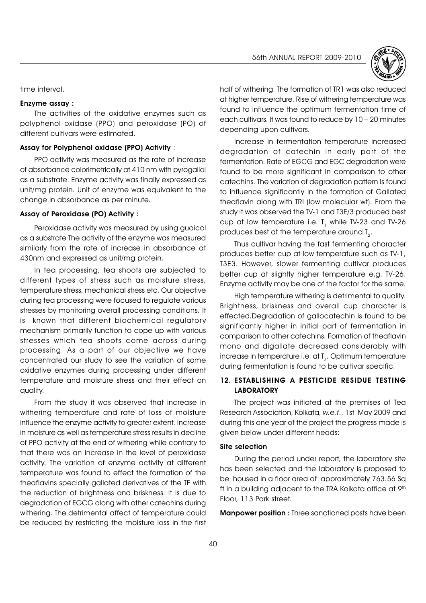

time interval.

#### Enzyme assay :

The activities of the oxidative enzymes such as polyphenol oxidase (PPO) and peroxidase (PO) of different cultivars were estimated.

# Assay for Polyphenol oxidase (PPO) Activity :

PPO activity was measured as the rate of increase of absorbance colorimetrically at 410 nm with pyrogallol as a substrate. Enzyme activity was finally expressed as unit/mg protein. Unit of enzyme was equivalent to the change in absorbance as per minute.

### Assay of Peroxidase (PO) Activity :

Peroxidase activity was measured by using guaicol as a substrate The activity of the enzyme was measured similarly from the rate of increase in absorbance at 430nm and expressed as unit/mg protein.

In tea processing, tea shoots are subjected to different types of stress such as moisture stress, temperature stress, mechanical stress etc. Our objective during tea processing were focused to regulate various stresses by monitoring overall processing conditions. It is known that different biochemical regulatory mechanism primarily function to cope up with various stresses which tea shoots come across during processing. As a part of our objective we have concentrated our study to see the variation of some oxidative enzymes during processing under different temperature and moisture stress and their effect on quality.

From the study it was observed that increase in withering temperature and rate of loss of moisture influence the enzyme activity to greater extent. Increase in moisture as well as temperature stress results in decline of PPO activity at the end of withering while contrary to that there was an increase in the level of peroxidase activity. The variation of enzyme activity at different temperature was found to effect the formation of the theaflavins specially gallated derivatives of the TF with the reduction of brightness and briskness. It is due to degradation of EGCG along with other catechins during withering. The detrimental affect of temperature could be reduced by restricting the moisture loss in the first half of withering. The formation of TR1 was also reduced at higher temperature. Rise of withering temperature was found to influence the optimum fermentation time of each cultivars. It was found to reduce by 10 – 20 minutes depending upon cultivars.

Increase in fermentation temperature increased degradation of catechin in early part of the fermentation. Rate of EGCG and EGC degradation were found to be more significant in comparison to other catechins. The variation of degradation pattern is found to influence significantly in the formation of Gallated theaflavin along with TRI (low molecular wt). From the study it was observed the TV-1 and T3E/3 produced best cup at low temperature i.e. T $_{\textrm{\tiny{\tiny{1}}} }$  while TV-23 and TV-26 produces best at the temperature around T $_{\textrm{\tiny{2}}}$ .

Thus cultivar having the fast fermenting character produces better cup at low temperature such as TV-1, T3E3. However, slower fermenting cultivar produces better cup at slightly higher temperature e.g. TV-26. Enzyme activity may be one of the factor for the same.

High temperature withering is detrimental to quality. Brightness, briskness and overall cup character is effected.Degradation of gallocatechin is found to be significantly higher in initial part of fermentation in comparison to other catechins. Formation of theaflavin mono and digallate decreased considerably with increase in temperature i.e. at T $_{\scriptscriptstyle 3}$ . Optimum temperature during fermentation is found to be cultivar specific.

# 12. ESTABLISHING A PESTICIDE RESIDUE TESTING **LABORATORY**

The project was initiated at the premises of Tea Research Association, Kolkata, w.e.f., 1st May 2009 and during this one year of the project the progress made is given below under different heads:

#### Site selection

During the period under report, the laboratory site has been selected and the laboratory is proposed to be housed in a floor area of approximately 763.56 Sq ft in a building adjacent to the TRA Kolkata office at 9<sup>th</sup> Floor, 113 Park street.

Manpower position : Three sanctioned posts have been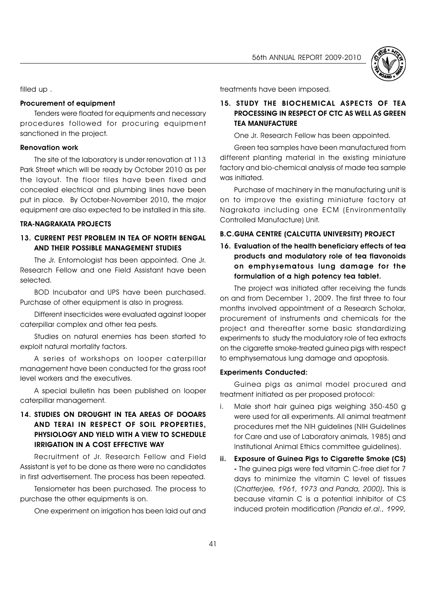

filled up .

#### Procurement of equipment

Tenders were floated for equipments and necessary procedures followed for procuring equipment sanctioned in the project.

# Renovation work

The site of the laboratory is under renovation at 113 Park Street which will be ready by October 2010 as per the layout. The floor tiles have been fixed and concealed electrical and plumbing lines have been put in place. By October-November 2010, the major equipment are also expected to be installed in this site.

# TRA-NAGRAKATA PROJECTS

# 13. CURRENT PEST PROBLEM IN TEA OF NORTH BENGAL AND THEIR POSSIBLE MANAGEMENT STUDIES

The Jr. Entomologist has been appointed. One Jr. Research Fellow and one Field Assistant have been selected.

BOD Incubator and UPS have been purchased. Purchase of other equipment is also in progress.

Different insecticides were evaluated against looper caterpillar complex and other tea pests.

Studies on natural enemies has been started to exploit natural mortality factors.

A series of workshops on looper caterpillar management have been conducted for the grass root level workers and the executives.

A special bulletin has been published on looper caterpillar management.

# 14. STUDIES ON DROUGHT IN TEA AREAS OF DOOARS AND TERAI IN RESPECT OF SOIL PROPERTIES, PHYSIOLOGY AND YIELD WITH A VIEW TO SCHEDULE IRRIGATION IN A COST EFFECTIVE WAY

Recruitment of Jr. Research Fellow and Field Assistant is yet to be done as there were no candidates in first advertisement. The process has been repeated.

Tensiometer has been purchased. The process to purchase the other equipments is on.

One experiment on irrigation has been laid out and

treatments have been imposed.

# 15. STUDY THE BIOCHEMICAL ASPECTS OF TEA PROCESSING IN RESPECT OF CTC AS WELL AS GREEN TEA MANUFACTURE

One Jr. Research Fellow has been appointed.

Green tea samples have been manufactured from different planting material in the existing miniature factory and bio-chemical analysis of made tea sample was initiated.

Purchase of machinery in the manufacturing unit is on to improve the existing miniature factory at Nagrakata including one ECM (Environmentally Controlled Manufacture) Unit.

# B.C.GUHA CENTRE (CALCUTTA UNIVERSITY) PROJECT

16. Evaluation of the health beneficiary effects of tea products and modulatory role of tea flavonoids on emphysematous lung damage for the formulation of a high potency tea tablet.

The project was initiated after receiving the funds on and from December 1, 2009. The first three to four months involved appointment of a Research Scholar, procurement of instruments and chemicals for the project and thereafter some basic standardizing experiments to study the modulatory role of tea extracts on the cigarette smoke-treated guinea pigs with respect to emphysematous lung damage and apoptosis.

## Experiments Conducted:

Guinea pigs as animal model procured and treatment initiated as per proposed protocol:

- i. Male short hair guinea pigs weighing 350-450 g were used for all experiments. All animal treatment procedures met the NIH guidelines (NIH Guidelines for Care and use of Laboratory animals, 1985) and Institutional Animal Ethics committee guidelines).
- ii. Exposure of Guinea Pigs to Cigarette Smoke (CS) - The guinea pigs were fed vitamin C-free diet for 7 days to minimize the vitamin C level of tissues (Chatterjee, 1961, 1973 and Panda, 2000). This is because vitamin C is a potential inhibitor of CS induced protein modification (Panda et.al., 1999,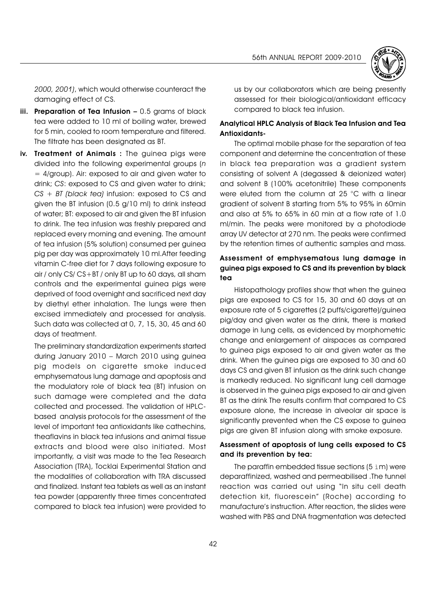

2000, 2001), which would otherwise counteract the damaging effect of CS.

- iii. Preparation of Tea Infusion  $-0.5$  grams of black tea were added to 10 ml of boiling water, brewed for 5 min, cooled to room temperature and filtered. The filtrate has been designated as BT.
- iv. Treatment of Animals : The guinea pigs were divided into the following experimental groups (n  $=$  4/group). Air: exposed to air and given water to drink; CS: exposed to CS and given water to drink;  $CS + BT$  (black tea) infusion: exposed to CS and given the BT infusion (0.5 g/10 ml) to drink instead of water; BT: exposed to air and given the BT infusion to drink. The tea infusion was freshly prepared and replaced every morning and evening. The amount of tea infusion (5% solution) consumed per guinea pig per day was approximately 10 ml.After feeding vitamin C-free diet for 7 days following exposure to air / only CS/ CS+BT / only BT up to 60 days, all sham controls and the experimental guinea pigs were deprived of food overnight and sacrificed next day by diethyl ether inhalation. The lungs were then excised immediately and processed for analysis. Such data was collected at 0, 7, 15, 30, 45 and 60 days of treatment.

The preliminary standardization experiments started during January 2010 – March 2010 using guinea pig models on cigarette smoke induced emphysematous lung damage and apoptosis and the modulatory role of black tea (BT) infusion on such damage were completed and the data collected and processed. The validation of HPLCbased analysis protocols for the assessment of the level of important tea antioxidants like cathechins, theaflavins in black tea infusions and animal tissue extracts and blood were also initiated. Most importantly, a visit was made to the Tea Research Association (TRA), Tocklai Experimental Station and the modalities of collaboration with TRA discussed and finalized. Instant tea tablets as well as an instant tea powder (apparently three times concentrated compared to black tea infusion) were provided to us by our collaborators which are being presently assessed for their biological/antioxidant efficacy compared to black tea infusion.

# Analytical HPLC Analysis of Black Tea Infusion and Tea Antioxidants-

The optimal mobile phase for the separation of tea component and determine the concentration of these in black tea preparation was a gradient system consisting of solvent A (degassed & deionized water) and solvent B (100% acetonitrile) These components were eluted from the column at 25 °C with a linear gradient of solvent B starting from 5% to 95% in 60min and also at 5% to 65% in 60 min at a flow rate of 1.0 ml/min. The peaks were monitored by a photodiode array UV detector at 270 nm. The peaks were confirmed by the retention times of authentic samples and mass.

# Assessment of emphysematous lung damage in guinea pigs exposed to CS and its prevention by black tea

Histopathology profiles show that when the guinea pigs are exposed to CS for 15, 30 and 60 days at an exposure rate of 5 cigarettes (2 puffs/cigarette)/guinea pig/day and given water as the drink, there is marked damage in lung cells, as evidenced by morphometric change and enlargement of airspaces as compared to guinea pigs exposed to air and given water as the drink. When the guinea pigs are exposed to 30 and 60 days CS and given BT infusion as the drink such change is markedly reduced. No significant lung cell damage is observed in the guinea pigs exposed to air and given BT as the drink The results confirm that compared to CS exposure alone, the increase in alveolar air space is significantly prevented when the CS expose to guinea pigs are given BT infusion along with smoke exposure.

# Assessment of apoptosis of lung cells exposed to CS and its prevention by tea:

The paraffin embedded tissue sections  $(5 \text{ in})$  were deparaffinized, washed and permeabilised .The tunnel reaction was carried out using "In situ cell death detection kit, fluorescein" (Roche) according to manufacture's instruction. After reaction, the slides were washed with PBS and DNA fragmentation was detected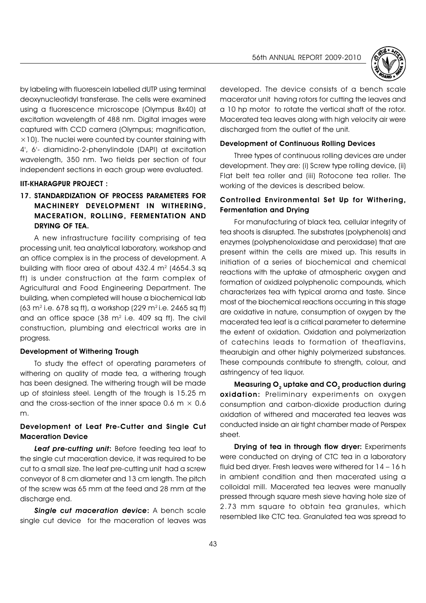

by labeling with fluorescein labelled dUTP using terminal deoxynucleotidyl transferase. The cells were examined using a fluorescence microscope (Olympus Bx40) at excitation wavelength of 488 nm. Digital images were captured with CCD camera (Olympus; magnification,  $\times$ 10). The nuclei were counted by counter staining with 4', 6'- diamidino-2-phenylindole (DAPI) at excitation wavelength, 350 nm. Two fields per section of four independent sections in each group were evaluated.

## IIT-KHARAGPUR PROJECT :

# 17. STANDARDIZATION OF PROCESS PARAMETERS FOR MACHINERY DEVELOPMENT IN WITHERING, MACERATION, ROLLING, FERMENTATION AND DRYING OF TEA.

A new infrastructure facility comprising of tea processing unit, tea analytical laboratory, workshop and an office complex is in the process of development. A building with floor area of about 432.4 m $^2$  (4654.3  $\mathsf{sq}$ ft) is under construction at the farm complex of Agricultural and Food Engineering Department. The building, when completed will house a biochemical lab (63 m² i.e. 678 sq ft), a workshop (229 m²i.e. 2465 sq ft) and an office space (38 m $^{\rm 2}$  i.e. 409 sq ft). The civil construction, plumbing and electrical works are in progress.

#### Development of Withering Trough

To study the effect of operating parameters of withering on quality of made tea, a withering trough has been designed. The withering trough will be made up of stainless steel. Length of the trough is 15.25 m and the cross-section of the inner space  $0.6$  m  $\times$   $0.6$ m.

# Development of Leaf Pre-Cutter and Single Cut Maceration Device

Leaf pre-cutting unit: Before feeding tea leaf to the single cut maceration device, it was required to be cut to a small size. The leaf pre-cutting unit had a screw conveyor of 8 cm diameter and 13 cm length. The pitch of the screw was 65 mm at the feed and 28 mm at the discharge end.

Single cut maceration device: A bench scale single cut device for the maceration of leaves was developed. The device consists of a bench scale macerator unit having rotors for cutting the leaves and a 10 hp motor to rotate the vertical shaft of the rotor. Macerated tea leaves along with high velocity air were discharged from the outlet of the unit.

#### Development of Continuous Rolling Devices

Three types of continuous rolling devices are under development. They are: (i) Screw type rolling device, (ii) Flat belt tea roller and (iii) Rotocone tea roller. The working of the devices is described below.

# Controlled Environmental Set Up for Withering, Fermentation and Drying

For manufacturing of black tea, cellular integrity of tea shoots is disrupted. The substrates (polyphenols) and enzymes (polyphenoloxidase and peroxidase) that are present within the cells are mixed up. This results in initiation of a series of biochemical and chemical reactions with the uptake of atmospheric oxygen and formation of oxidized polyphenolic compounds, which characterizes tea with typical aroma and taste. Since most of the biochemical reactions occurring in this stage are oxidative in nature, consumption of oxygen by the macerated tea leaf is a critical parameter to determine the extent of oxidation. Oxidation and polymerization of catechins leads to formation of theaflavins, thearubigin and other highly polymerized substances. These compounds contribute to strength, colour, and astringency of tea liquor.

Measuring  ${\sf O}_{_2}$  uptake and CO $_{_2}$  production during oxidation: Preliminary experiments on oxygen consumption and carbon-dioxide production during oxidation of withered and macerated tea leaves was conducted inside an air tight chamber made of Perspex sheet.

Drying of tea in through flow dryer: Experiments were conducted on drying of CTC tea in a laboratory fluid bed dryer. Fresh leaves were withered for 14 – 16 h in ambient condition and then macerated using a colloidal mill. Macerated tea leaves were manually pressed through square mesh sieve having hole size of 2.73 mm square to obtain tea granules, which resembled like CTC tea. Granulated tea was spread to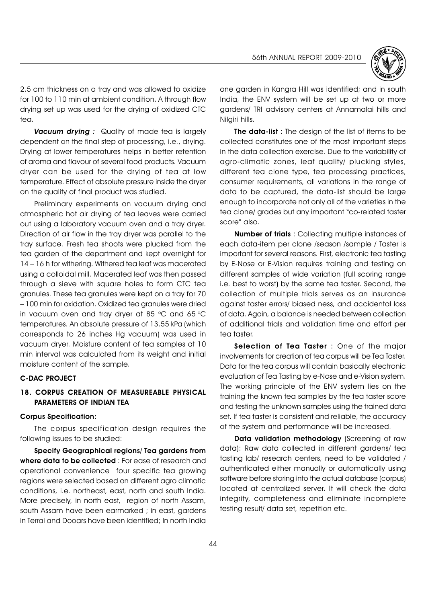

2.5 cm thickness on a tray and was allowed to oxidize for 100 to 110 min at ambient condition. A through flow drying set up was used for the drying of oxidized CTC tea.

Vacuum drying : Quality of made tea is largely dependent on the final step of processing, i.e., drying. Drying at lower temperatures helps in better retention of aroma and flavour of several food products. Vacuum dryer can be used for the drying of tea at low temperature. Effect of absolute pressure inside the dryer on the quality of final product was studied.

Preliminary experiments on vacuum drying and atmospheric hot air drying of tea leaves were carried out using a laboratory vacuum oven and a tray dryer. Direction of air flow in the tray dryer was parallel to the tray surface. Fresh tea shoots were plucked from the tea garden of the department and kept overnight for 14 – 16 h for withering. Withered tea leaf was macerated using a colloidal mill. Macerated leaf was then passed through a sieve with square holes to form CTC tea granules. These tea granules were kept on a tray for 70 – 100 min for oxidation. Oxidized tea granules were dried in vacuum oven and tray dryer at 85  $\degree$ C and 65  $\degree$ C temperatures. An absolute pressure of 13.55 kPa (which corresponds to 26 inches Hg vacuum) was used in vacuum dryer. Moisture content of tea samples at 10 min interval was calculated from its weight and initial moisture content of the sample.

#### C-DAC PROJECT

# 18. CORPUS CREATION OF MEASUREABLE PHYSICAL PARAMETERS OF INDIAN TEA

#### Corpus Specification:

The corpus specification design requires the following issues to be studied:

Specify Geographical regions/ Tea gardens from where data to be collected : For ease of research and operational convenience four specific tea growing regions were selected based on different agro climatic conditions, i.e. northeast, east, north and south India. More precisely, in north east, region of north Assam, south Assam have been earmarked ; in east, gardens in Terrai and Dooars have been identified; In north India

one garden in Kangra Hill was identified; and in south India, the ENV system will be set up at two or more gardens/ TRI advisory centers at Annamalai hills and Nilgiri hills.

The data-list : The design of the list of items to be collected constitutes one of the most important steps in the data collection exercise. Due to the variability of agro-climatic zones, leaf quality/ plucking styles, different tea clone type, tea processing practices, consumer requirements, all variations in the range of data to be captured, the data-list should be large enough to incorporate not only all of the varieties in the tea clone/ grades but any important "co-related taster score" also.

Number of trials : Collecting multiple instances of each data-item per clone /season /sample / Taster is important for several reasons. First, electronic tea tasting by E-Nose or E-Vision requires training and testing on different samples of wide variation (full scoring range i.e. best to worst) by the same tea taster. Second, the collection of multiple trials serves as an insurance against taster errors/ biased ness, and accidental loss of data. Again, a balance is needed between collection of additional trials and validation time and effort per tea taster.

Selection of Tea Taster : One of the major involvements for creation of tea corpus will be Tea Taster. Data for the tea corpus will contain basically electronic evaluation of Tea Tasting by e-Nose and e-Vision system. The working principle of the ENV system lies on the training the known tea samples by the tea taster score and testing the unknown samples using the trained data set. If tea taster is consistent and reliable, the accuracy of the system and performance will be increased.

Data validation methodology (Screening of raw data): Raw data collected in different gardens/ tea tasting lab/ research centers, need to be validated / authenticated either manually or automatically using software before storing into the actual database (corpus) located at centralized server. It will check the data integrity, completeness and eliminate incomplete testing result/ data set, repetition etc.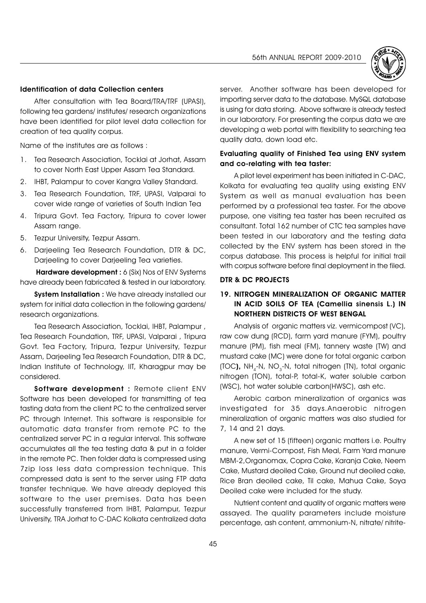

#### Identification of data Collection centers

After consultation with Tea Board/TRA/TRF (UPASI), following tea gardens/ institutes/ research organizations have been identified for pilot level data collection for creation of tea quality corpus.

Name of the institutes are as follows :

- 1. Tea Research Association, Tocklai at Jorhat, Assam to cover North East Upper Assam Tea Standard.
- 2. IHBT, Palampur to cover Kangra Valley Standard.
- 3. Tea Research Foundation, TRF, UPASI, Valparai to cover wide range of varieties of South Indian Tea
- 4. Tripura Govt. Tea Factory, Tripura to cover lower Assam range.
- 5. Tezpur University, Tezpur Assam.
- 6. Darjeeling Tea Research Foundation, DTR & DC, Darjeeling to cover Darjeeling Tea varieties.

Hardware development : 6 (Six) Nos of ENV Systems have already been fabricated & tested in our laboratory.

System Installation : We have already installed our system for initial data collection in the following gardens/ research organizations.

Tea Research Association, Tocklai, IHBT, Palampur , Tea Research Foundation, TRF, UPASI, Valparai , Tripura Govt. Tea Factory, Tripura, Tezpur University, Tezpur Assam, Darjeeling Tea Research Foundation, DTR & DC, Indian Institute of Technology, IIT, Kharagpur may be considered.

Software development : Remote client ENV Software has been developed for transmitting of tea tasting data from the client PC to the centralized server PC through Internet. This software is responsible for automatic data transfer from remote PC to the centralized server PC in a regular interval. This software accumulates all the tea testing data & put in a folder in the remote PC. Then folder data is compressed using 7zip loss less data compression technique. This compressed data is sent to the server using FTP data transfer technique. We have already deployed this software to the user premises. Data has been successfully transferred from IHBT, Palampur, Tezpur University, TRA Jorhat to C-DAC Kolkata centralized data server. Another software has been developed for importing server data to the database. MySQL database is using for data storing. Above software is already tested in our laboratory. For presenting the corpus data we are developing a web portal with flexibility to searching tea quality data, down load etc.

# Evaluating quality of Finished Tea using ENV system and co-relating with tea taster:

A pilot level experiment has been initiated in C-DAC, Kolkata for evaluating tea quality using existing ENV System as well as manual evaluation has been performed by a professional tea taster. For the above purpose, one visiting tea taster has been recruited as consultant. Total 162 number of CTC tea samples have been tested in our laboratory and the testing data collected by the ENV system has been stored in the corpus database. This process is helpful for initial trail with corpus software before final deployment in the filed.

# DTR & DC PROJECTS

# 19. NITROGEN MINERALIZATION OF ORGANIC MATTER IN ACID SOILS OF TEA (Camellia sinensis L.) IN NORTHERN DISTRICTS OF WEST BENGAL

Analysis of organic matters viz. vermicompost (VC), raw cow dung (RCD), farm yard manure (FYM), poultry manure (PM), fish meal (FM), tannery waste (TW) and mustard cake (MC) were done for total organic carbon (TOC**),** NH<sub>4</sub>-N, NO<sub>3</sub>-N, total nitrogen (TN), total organic nitrogen (TON), total-P, total-K, water soluble carbon (WSC), hot water soluble carbon(HWSC), ash etc.

Aerobic carbon mineralization of organics was investigated for 35 days.Anaerobic nitrogen mineralization of organic matters was also studied for 7, 14 and 21 days.

A new set of 15 (fifteen) organic matters i.e. Poultry manure, Vermi-Compost, Fish Meal, Farm Yard manure MBM-2,Organomax, Copra Cake, Karanja Cake, Neem Cake, Mustard deoiled Cake, Ground nut deoiled cake, Rice Bran deoiled cake, Til cake, Mahua Cake, Soya Deoiled cake were included for the study.

Nutrient content and quality of organic matters were assayed. The quality parameters include moisture percentage, ash content, ammonium-N, nitrate/ nitrite-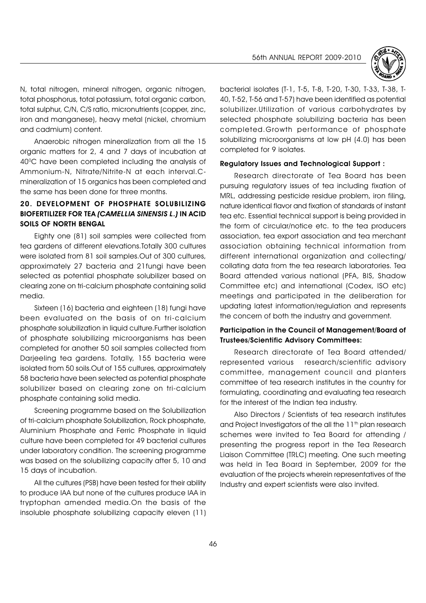

N, total nitrogen, mineral nitrogen, organic nitrogen, total phosphorus, total potassium, total organic carbon, total sulphur, C/N, C/S ratio, micronutrients (copper, zinc, iron and manganese), heavy metal (nickel, chromium and cadmium) content.

Anaerobic nitrogen mineralization from all the 15 organic matters for 2, 4 and 7 days of incubation at 40<sup>o</sup>C have been completed including the analysis of Ammonium-N, Nitrate/Nitrite-N at each interval.Cmineralization of 15 organics has been completed and the same has been done for three months.

# 20. DEVELOPMENT OF PHOSPHATE SOLUBILIZING BIOFERTILIZER FOR TEA (CAMELLIA SINENSIS L.) IN ACID SOILS OF NORTH BENGAL

Eighty one (81) soil samples were collected from tea gardens of different elevations.Totally 300 cultures were isolated from 81 soil samples.Out of 300 cultures, approximately 27 bacteria and 21fungi have been selected as potential phosphate solubilizer based on clearing zone on tri-calcium phosphate containing solid media.

Sixteen (16) bacteria and eighteen (18) fungi have been evaluated on the basis of on tri-calcium phosphate solubilization in liquid culture.Further isolation of phosphate solubilizing microorganisms has been completed for another 50 soil samples collected from Darjeeling tea gardens. Totally, 155 bacteria were isolated from 50 soils.Out of 155 cultures, approximately 58 bacteria have been selected as potential phosphate solubilizer based on clearing zone on tri-calcium phosphate containing solid media.

Screening programme based on the Solubilization of tri-calcium phosphate Solubilization, Rock phosphate, Aluminium Phosphate and Ferric Phosphate in liquid culture have been completed for 49 bacterial cultures under laboratory condition. The screening programme was based on the solubilizing capacity after 5, 10 and 15 days of incubation.

All the cultures (PSB) have been tested for their ability to produce IAA but none of the cultures produce IAA in tryptophan amended media. On the basis of the insoluble phosphate solubilizing capacity eleven (11) bacterial isolates (T-1, T-5, T-8, T-20, T-30, T-33, T-38, T-40, T-52, T-56 and T-57) have been identified as potential solubilizer.Utilization of various carbohydrates by selected phosphate solubilizing bacteria has been completed.Growth performance of phosphate solubilizing microorganisms at low pH (4.0) has been completed for 9 isolates.

#### Regulatory Issues and Technological Support :

Research directorate of Tea Board has been pursuing regulatory issues of tea including fixation of MRL, addressing pesticide residue problem, iron filing, nature identical flavor and fixation of standards of instant tea etc. Essential technical support is being provided in the form of circular/notice etc. to the tea producers association, tea export association and tea merchant association obtaining technical information from different international organization and collecting/ collating data from the tea research laboratories. Tea Board attended various national (PFA, BIS, Shadow Committee etc) and international (Codex, ISO etc) meetings and participated in the deliberation for updating latest information/regulation and represents the concern of both the industry and government.

# Participation in the Council of Management/Board of Trustees/Scientific Advisory Committees:

Research directorate of Tea Board attended/ represented various research/scientific advisory committee, management council and planters committee of tea research institutes in the country for formulating, coordinating and evaluating tea research for the interest of the Indian tea industry.

Also Directors / Scientists of tea research institutes and Project Investigators of the all the 11<sup>th</sup> plan research schemes were invited to Tea Board for attending / presenting the progress report in the Tea Research Liaison Committee (TRLC) meeting. One such meeting was held in Tea Board in September, 2009 for the evaluation of the projects wherein representatives of the Industry and expert scientists were also invited.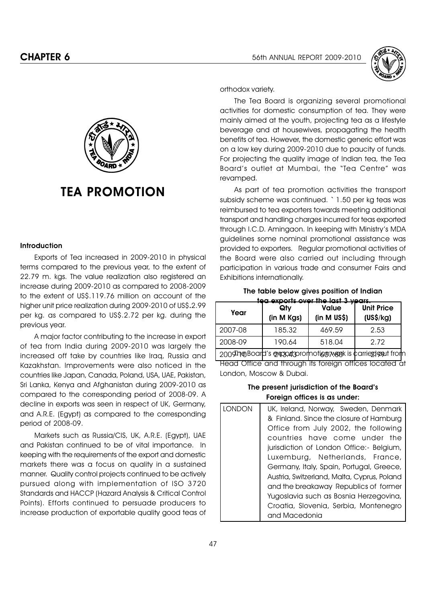



# TEA PROMOTION

#### Introduction

Exports of Tea increased in 2009-2010 in physical terms compared to the previous year, to the extent of 22.79 m. kgs. The value realization also registered an increase during 2009-2010 as compared to 2008-2009 to the extent of US\$.119.76 million on account of the higher unit price realization during 2009-2010 of US\$.2.99 per kg. as compared to US\$.2.72 per kg. during the previous year.

A major factor contributing to the increase in export of tea from India during 2009-2010 was largely the increased off take by countries like Iraq, Russia and Kazakhstan. Improvements were also noticed in the countries like Japan, Canada, Poland, USA, UAE, Pakistan, Sri Lanka, Kenya and Afghanistan during 2009-2010 as compared to the corresponding period of 2008-09. A decline in exports was seen in respect of UK, Germany, and A.R.E. (Egypt) as compared to the corresponding period of 2008-09.

Markets such as Russia/CIS, UK, A.R.E. (Egypt), UAE and Pakistan continued to be of vital importance. In keeping with the requirements of the export and domestic markets there was a focus on quality in a sustained manner. Quality control projects continued to be actively pursued along with implementation of ISO 3720 Standards and HACCP (Hazard Analysis & Critical Control Points). Efforts continued to persuade producers to increase production of exportable quality good teas of orthodox variety.

The Tea Board is organizing several promotional activities for domestic consumption of tea. They were mainly aimed at the youth, projecting tea as a lifestyle beverage and at housewives, propagating the health benefits of tea. However, the domestic generic effort was on a low key during 2009-2010 due to paucity of funds. For projecting the quality image of Indian tea, the Tea Board's outlet at Mumbai, the "Tea Centre" was revamped.

As part of tea promotion activities the transport subsidy scheme was continued. ` 1.50 per kg teas was reimbursed to tea exporters towards meeting additional transport and handling charges incurred for teas exported through I.C.D. Amingaon. In keeping with Ministry's MDA guidelines some nominal promotional assistance was provided to exporters. Regular promotional activities of the Board were also carried out including through participation in various trade and consumer Fairs and Exhibitions internationally.

#### The table below gives position of Indian teg exports over the last 3 years.

| Year    | Qtv<br>(in M Kgs) | Value<br>(in M US\$) | <b>Unit Price</b><br>(US <sup>5</sup> /kg)                |
|---------|-------------------|----------------------|-----------------------------------------------------------|
| 2007-08 | 185.32            | 469.59               | 2.53                                                      |
| 2008-09 | 190.64            | 518.04               | 2.72                                                      |
|         |                   |                      | 2009 he Board's export promotion weak is carried out from |

Head Office and through its foreign offices located at London, Moscow & Dubai.

## The present jurisdiction of the Board's Foreign offices is as under:

| LONDON | UK, Ireland, Norway, Sweden, Denmark<br>& Finland. Since the closure of Hamburg<br>Office from July 2002, the following<br>countries have come under the<br>jurisdiction of London Office: Belgium,<br>Luxemburg, Netherlands, France,<br>Germany, Italy, Spain, Portugal, Greece,<br>Austria, Switzerland, Malta, Cyprus, Poland<br>and the breakaway Republics of former<br>Yugoslavia such as Bosnia Herzegovina, |
|--------|----------------------------------------------------------------------------------------------------------------------------------------------------------------------------------------------------------------------------------------------------------------------------------------------------------------------------------------------------------------------------------------------------------------------|
|        | Croatia, Slovenia, Serbia, Montenegro<br>and Macedonia                                                                                                                                                                                                                                                                                                                                                               |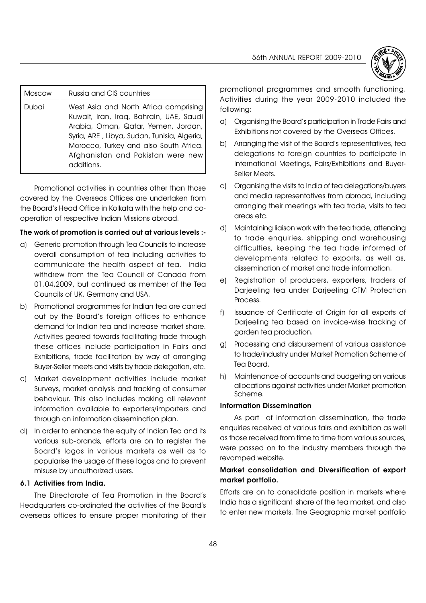

| Moscow | Russia and CIS countries                                                                                                                                                                                                                                            |
|--------|---------------------------------------------------------------------------------------------------------------------------------------------------------------------------------------------------------------------------------------------------------------------|
| Dubai  | West Asia and North Africa comprising<br>Kuwait, Iran, Iraq, Bahrain, UAE, Saudi<br>Arabia, Oman, Qatar, Yemen, Jordan,<br>Syria, ARE, Libya, Sudan, Tunisia, Algeria,<br>Morocco, Turkey and also South Africa.<br>Afghanistan and Pakistan were new<br>additions. |

Promotional activities in countries other than those covered by the Overseas Offices are undertaken from the Board's Head Office in Kolkata with the help and cooperation of respective Indian Missions abroad.

# The work of promotion is carried out at various levels :-

- a) Generic promotion through Tea Councils to increase overall consumption of tea including activities to communicate the health aspect of tea. India withdrew from the Tea Council of Canada from 01.04.2009, but continued as member of the Tea Councils of UK, Germany and USA.
- b) Promotional programmes for Indian tea are carried out by the Board's foreign offices to enhance demand for Indian tea and increase market share. Activities geared towards facilitating trade through these offices include participation in Fairs and Exhibitions, trade facilitation by way of arranging Buyer-Seller meets and visits by trade delegation, etc.
- c) Market development activities include market Surveys, market analysis and tracking of consumer behaviour. This also includes making all relevant information available to exporters/importers and through an information dissemination plan.
- d) In order to enhance the equity of Indian Tea and its various sub-brands, efforts are on to register the Board's logos in various markets as well as to popularise the usage of these logos and to prevent misuse by unauthorized users.

# 6.1 Activities from India.

The Directorate of Tea Promotion in the Board's Headquarters co-ordinated the activities of the Board's overseas offices to ensure proper monitoring of their promotional programmes and smooth functioning. Activities during the year 2009-2010 included the following:

- a) Organising the Board's participation in Trade Fairs and Exhibitions not covered by the Overseas Offices.
- b) Arranging the visit of the Board's representatives, tea delegations to foreign countries to participate in International Meetings, Fairs/Exhibitions and Buyer-Seller Meets.
- c) Organising the visits to India of tea delegations/buyers and media representatives from abroad, including arranging their meetings with tea trade, visits to tea areas etc.
- d) Maintaining liaison work with the tea trade, attending to trade enquiries, shipping and warehousing difficulties, keeping the tea trade informed of developments related to exports, as well as, dissemination of market and trade information.
- e) Registration of producers, exporters, traders of Darjeeling tea under Darjeeling CTM Protection Process.
- f) Issuance of Certificate of Origin for all exports of Darjeeling tea based on invoice-wise tracking of garden tea production.
- g) Processing and disbursement of various assistance to trade/industry under Market Promotion Scheme of Tea Board.
- h) Maintenance of accounts and budgeting on various allocations against activities under Market promotion Scheme.

# Information Dissemination

As part of information dissemination, the trade enquiries received at various fairs and exhibition as well as those received from time to time from various sources, were passed on to the industry members through the revamped website.

# Market consolidation and Diversification of export market portfolio.

Efforts are on to consolidate position in markets where India has a significant share of the tea market, and also to enter new markets. The Geographic market portfolio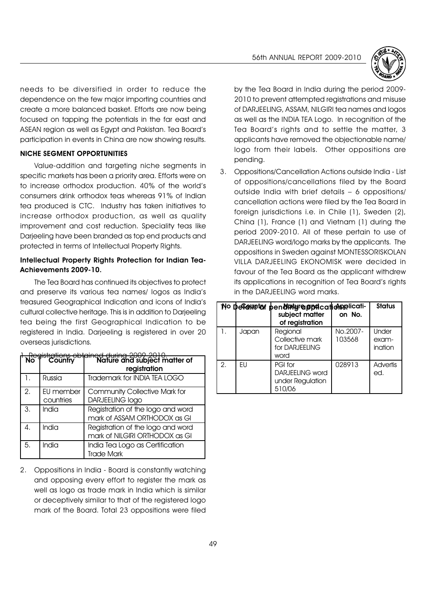

needs to be diversified in order to reduce the dependence on the few major importing countries and create a more balanced basket. Efforts are now being focused on tapping the potentials in the far east and ASEAN region as well as Egypt and Pakistan. Tea Board's participation in events in China are now showing results.

# NICHE SEGMENT OPPORTUNITIES

Value-addition and targeting niche segments in specific markets has been a priority area. Efforts were on to increase orthodox production. 40% of the world's consumers drink orthodox teas whereas 91% of Indian tea produced is CTC. Industry has taken initiatives to increase orthodox production, as well as quality improvement and cost reduction. Speciality teas like Darjeeling have been branded as top end products and protected in terms of Intellectual Property Rights.

# Intellectual Property Rights Protection for Indian Tea-Achievements 2009-10.

The Tea Board has continued its objectives to protect and preserve its various tea names/ logos as India's treasured Geographical Indication and icons of India's cultural collective heritage. This is in addition to Darjeeling tea being the first Geographical Indication to be registered in India. Darjeeling is registered in over 20 overseas jurisdictions.

| trations obtained during 2 |           |                                      |  |  |
|----------------------------|-----------|--------------------------------------|--|--|
| Νò                         | Country   | Nature and subject matter of         |  |  |
|                            |           | registration                         |  |  |
| 1.                         | Russia    | Trademark for INDIA TEA LOGO         |  |  |
| 2.                         | EU member | <b>Community Collective Mark for</b> |  |  |
|                            | countries | <b>DARJEELING logo</b>               |  |  |
| 3.                         | India     | Registration of the logo and word    |  |  |
|                            |           | mark of ASSAM ORTHODOX as GI         |  |  |
| 4.                         | India     | Registration of the logo and word    |  |  |
|                            |           | mark of NILGIRI ORTHODOX as GI       |  |  |
| 5.                         | India     | India Tea Logo as Certification      |  |  |
|                            |           | <b>Trade Mark</b>                    |  |  |

2. Oppositions in India - Board is constantly watching and opposing every effort to register the mark as well as logo as trade mark in India which is similar or deceptively similar to that of the registered logo mark of the Board. Total 23 oppositions were filed

by the Tea Board in India during the period 2009- 2010 to prevent attempted registrations and misuse of DARJEELING, ASSAM, NILGIRI tea names and logos as well as the INDIA TEA Logo. In recognition of the Tea Board's rights and to settle the matter, 3 applicants have removed the objectionable name/ logo from their labels. Other oppositions are pending.

3. Oppositions/Cancellation Actions outside India - List of oppositions/cancellations filed by the Board outside India with brief details – 6 oppositions/ cancellation actions were filed by the Tea Board in foreign jurisdictions i.e. in Chile (1), Sweden (2), China (1), France (1) and Vietnam (1) during the period 2009-2010. All of these pertain to use of DARJEELING word/logo marks by the applicants. The oppositions in Sweden against MONTESSORISKOLAN VILLA DARJEELING EKONOMISK were decided in favour of the Tea Board as the applicant withdrew its applications in recognition of Tea Board's rights in the DARJEELING word marks.

|                        |           | No becoustor pendinture port cationsplicati-<br>subject matter<br>of registration | on No.             | <b>Status</b>             |
|------------------------|-----------|-----------------------------------------------------------------------------------|--------------------|---------------------------|
| $\mathbf{1}$ .         | Japan     | Regional<br>Collective mark<br>for DARJEELING<br>word                             | No.2007-<br>103568 | Under<br>exam-<br>ination |
| $\mathcal{D}_{\alpha}$ | <b>FU</b> | <b>PGI</b> for<br><b>DARJEELING word</b><br>under Regulation<br>510/06            | 028913             | Advertis<br>ed.           |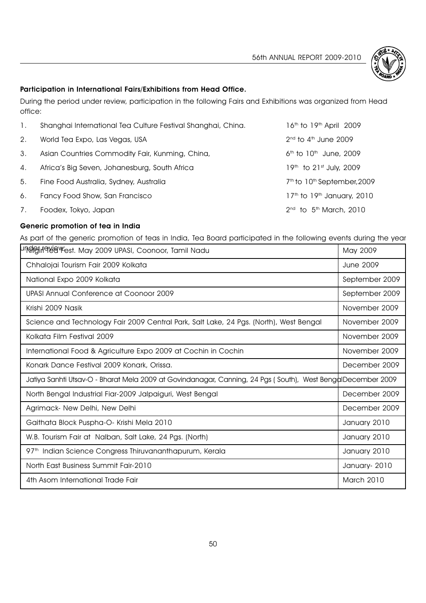

## Participation in International Fairs/Exhibitions from Head Office.

During the period under review, participation in the following Fairs and Exhibitions was organized from Head office:

| 1.             | Shanghai International Tea Culture Festival Shanghai, China. | 16th to 19th April 2009                             |
|----------------|--------------------------------------------------------------|-----------------------------------------------------|
| 2.             | World Tea Expo, Las Vegas, USA                               | $2nd$ to $4th$ June 2009                            |
| 3.             | Asian Countries Commodity Fair, Kunming, China,              | 6 <sup>th</sup> to 10 <sup>th</sup> June, 2009      |
| 4.             | Africa's Big Seven, Johanesburg, South Africa                | 19th to 21st July, 2009                             |
| 5 <sub>1</sub> | Fine Food Australia, Sydney, Australia                       | 7 <sup>th</sup> to 10 <sup>th</sup> September, 2009 |
| 6.             | Fancy Food Show, San Francisco                               | 17 <sup>th</sup> to 19 <sup>th</sup> January, 2010  |
| 7.             | Foodex, Tokyo, Japan                                         | $2nd$ to $5th$ March, 2010                          |

## Generic promotion of tea in India

As part of the generic promotion of teas in India, Tea Board participated in the following events during the year

|                                                                                                             | May 2009          |
|-------------------------------------------------------------------------------------------------------------|-------------------|
| Chhalojai Tourism Fair 2009 Kolkata                                                                         | <b>June 2009</b>  |
| National Expo 2009 Kolkata                                                                                  | September 2009    |
| UPASI Annual Conference at Coonoor 2009                                                                     | September 2009    |
| Krishi 2009 Nasik                                                                                           | November 2009     |
| Science and Technology Fair 2009 Central Park, Salt Lake, 24 Pgs. (North), West Bengal                      | November 2009     |
| Kolkata Film Festival 2009                                                                                  | November 2009     |
| International Food & Agriculture Expo 2009 at Cochin in Cochin                                              | November 2009     |
| Konark Dance Festival 2009 Konark, Orissa.                                                                  | December 2009     |
| Jatiya Sanhti Utsav-O - Bharat Mela 2009 at Govindanagar, Canning, 24 Pgs (South), West BengalDecember 2009 |                   |
| North Bengal Industrial Fiar-2009 Jalpaiguri, West Bengal                                                   | December 2009     |
| Agrimack- New Delhi, New Delhi                                                                              | December 2009     |
| Gaithata Block Puspha-O- Krishi Mela 2010                                                                   | January 2010      |
| W.B. Tourism Fair at Nalban, Salt Lake, 24 Pgs. (North)                                                     | January 2010      |
| 97 <sup>th</sup> Indian Science Congress Thiruvananthapurum, Kerala                                         | January 2010      |
| North Fast Business Summit Fair-2010                                                                        | January-2010      |
| 4th Asom International Trade Fair                                                                           | <b>March 2010</b> |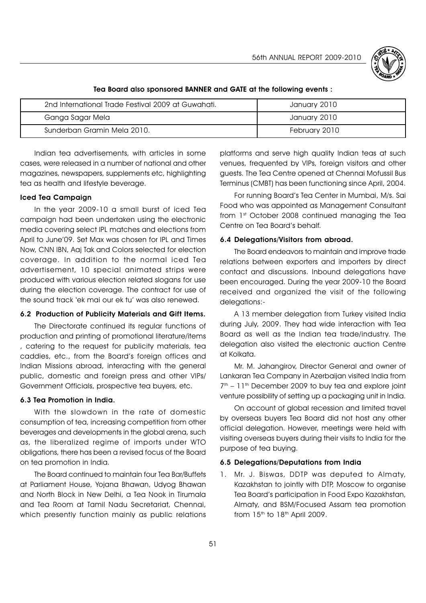

| 2nd International Trade Festival 2009 at Guwahati. | January 2010  |
|----------------------------------------------------|---------------|
| Ganga Sagar Mela                                   | January 2010  |
| Sunderban Gramin Mela 2010.                        | February 2010 |

#### Tea Board also sponsored BANNER and GATE at the following events :

Indian tea advertisements, with articles in some cases, were released in a number of national and other magazines, newspapers, supplements etc, highlighting tea as health and lifestyle beverage.

#### Iced Tea Campaign

In the year 2009-10 a small burst of iced Tea campaign had been undertaken using the electronic media covering select IPL matches and elections from April to June'09. Set Max was chosen for IPL and Times Now, CNN IBN, Aaj Tak and Colors selected for election coverage. In addition to the normal iced Tea advertisement, 10 special animated strips were produced with various election related slogans for use during the election coverage. The contract for use of the sound track 'ek mai our ek tu' was also renewed.

## 6.2 Production of Publicity Materials and Gift Items.

The Directorate continued its regular functions of production and printing of promotional literature/items , catering to the request for publicity materials, tea caddies, etc., from the Board's foreign offices and Indian Missions abroad, interacting with the general public, domestic and foreign press and other VIPs/ Government Officials, prospective tea buyers, etc.

#### 6.3 Tea Promotion in India.

With the slowdown in the rate of domestic consumption of tea, increasing competition from other beverages and developments in the global arena, such as, the liberalized regime of imports under WTO obligations, there has been a revised focus of the Board on tea promotion in India.

The Board continued to maintain four Tea Bar/Buffets at Parliament House, Yojana Bhawan, Udyog Bhawan and North Block in New Delhi, a Tea Nook in Tirumala and Tea Room at Tamil Nadu Secretariat, Chennai, which presently function mainly as public relations platforms and serve high quality Indian teas at such venues, frequented by VIPs, foreign visitors and other guests. The Tea Centre opened at Chennai Mofussil Bus Terminus (CMBT) has been functioning since April, 2004.

For running Board's Tea Center in Mumbai, M/s. Sai Food who was appointed as Management Consultant from 1<sup>st</sup> October 2008 continued managing the Tea Centre on Tea Board's behalf.

#### 6.4 Delegations/Visitors from abroad.

The Board endeavors to maintain and improve trade relations between exporters and importers by direct contact and discussions. Inbound delegations have been encouraged. During the year 2009-10 the Board received and organized the visit of the following delegations:-

A 13 member delegation from Turkey visited India during July, 2009. They had wide interaction with Tea Board as well as the Indian tea trade/industry. The delegation also visited the electronic auction Centre at Kolkata.

Mr. M. Jahangirov, Director General and owner of Lankaran Tea Company in Azerbaijan visited India from 7 th – 11th December 2009 to buy tea and explore joint venture possibility of setting up a packaging unit in India.

On account of global recession and limited travel by overseas buyers Tea Board did not host any other official delegation. However, meetings were held with visiting overseas buyers during their visits to India for the purpose of tea buying.

#### 6.5 Delegations/Deputations from India

1. Mr. J. Biswas, DDTP was deputed to Almaty, Kazakhstan to jointly with DTP, Moscow to organise Tea Board's participation in Food Expo Kazakhstan, Almaty, and BSM/Focused Assam tea promotion from  $15<sup>th</sup>$  to  $18<sup>th</sup>$  April 2009.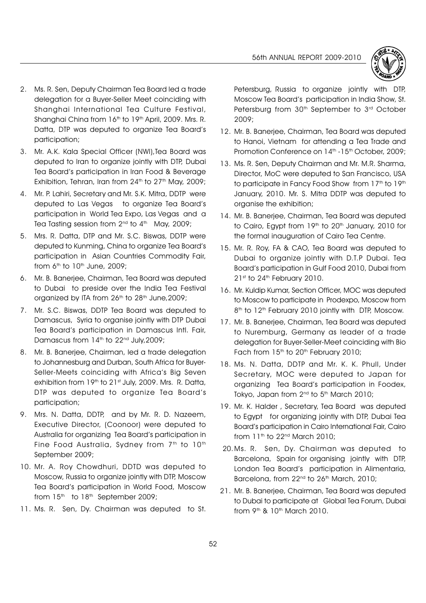

- 2. Ms. R. Sen, Deputy Chairman Tea Board led a trade delegation for a Buyer-Seller Meet coinciding with Shanghai International Tea Culture Festival, Shanghai China from 16<sup>th</sup> to 19<sup>th</sup> April, 2009. Mrs. R. Datta, DTP was deputed to organize Tea Board's participation;
- 3. Mr. A.K. Kala Special Officer (NWI),Tea Board was deputed to Iran to organize jointly with DTP, Dubai Tea Board's participation in Iran Food & Beverage Exhibition, Tehran, Iran from  $24<sup>th</sup>$  to  $27<sup>th</sup>$  May,  $2009$ ;
- 4. Mr. P. Lahiri, Secretary and Mr. S.K. Mitra, DDTP were deputed to Las Vegas to organize Tea Board's participation in World Tea Expo, Las Vegas and a Tea Tasting session from  $2^{nd}$  to  $4^{th}$  May, 2009;
- 5. Mrs. R. Datta, DTP and Mr. S.C. Biswas, DDTP were deputed to Kunming, China to organize Tea Board's participation in Asian Countries Commodity Fair, from  $6<sup>th</sup>$  to  $10<sup>th</sup>$  June, 2009;
- 6. Mr. B. Banerjee, Chairman, Tea Board was deputed to Dubai to preside over the India Tea Festival organized by ITA from 26<sup>th</sup> to 28<sup>th</sup> June, 2009;
- 7. Mr. S.C. Biswas, DDTP Tea Board was deputed to Damascus, Syria to organise jointly with DTP Dubai Tea Board's participation in Damascus Intl. Fair, Damascus from 14<sup>th</sup> to 22<sup>nd</sup> July, 2009;
- 8. Mr. B. Banerjee, Chairman, led a trade delegation to Johannesburg and Durban, South Africa for Buyer-Seller-Meets coinciding with Africa's Big Seven exhibition from 19<sup>th</sup> to 21<sup>st</sup> July, 2009. Mrs. R. Datta, DTP was deputed to organize Tea Board's participation;
- 9. Mrs. N. Datta, DDTP, and by Mr. R. D. Nazeem, Executive Director, (Coonoor) were deputed to Australia for organizing Tea Board's participation in Fine Food Australia, Sydney from 7<sup>th</sup> to 10<sup>th</sup> September 2009;
- 10. Mr. A. Roy Chowdhuri, DDTD was deputed to Moscow, Russia to organize jointly with DTP, Moscow Tea Board's participation in World Food, Moscow from  $15<sup>th</sup>$  to  $18<sup>th</sup>$  September 2009;
- 11. Ms. R. Sen, Dy. Chairman was deputed to St.

Petersburg, Russia to organize jointly with DTP, Moscow Tea Board's participation in India Show, St. Petersburg from 30<sup>th</sup> September to 3<sup>rd</sup> October 2009;

- 12. Mr. B. Banerjee, Chairman, Tea Board was deputed to Hanoi, Vietnam for attending a Tea Trade and Promotion Conference on 14<sup>th</sup> -15<sup>th</sup> October, 2009;
- 13. Ms. R. Sen, Deputy Chairman and Mr. M.R. Sharma, Director, MoC were deputed to San Francisco, USA to participate in Fancy Food Show from 17<sup>th</sup> to 19<sup>th</sup> January, 2010. Mr. S. Mitra DDTP was deputed to organise the exhibition;
- 14. Mr. B. Banerjee, Chairman, Tea Board was deputed to Cairo, Egypt from 19<sup>th</sup> to 20<sup>th</sup> January, 2010 for the formal inauguration of Cairo Tea Centre.
- 15. Mr. R. Roy, FA & CAO, Tea Board was deputed to Dubai to organize jointly with D.T.P Dubai. Tea Board's participation in Gulf Food 2010, Dubai from 21st to 24th February 2010.
- 16. Mr. Kuldip Kumar, Section Officer, MOC was deputed to Moscow to participate in Prodexpo, Moscow from 8<sup>th</sup> to 12<sup>th</sup> February 2010 jointly with DTP, Moscow.
- 17. Mr. B. Banerjee, Chairman, Tea Board was deputed to Nuremburg, Germany as leader of a trade delegation for Buyer-Seller-Meet coinciding with Bio Fach from 15<sup>th</sup> to 20<sup>th</sup> February 2010;
- 18. Ms. N. Datta, DDTP and Mr. K. K. Phull, Under Secretary, MOC were deputed to Japan for organizing Tea Board's participation in Foodex, Tokyo, Japan from 2<sup>nd</sup> to 5<sup>th</sup> March 2010;
- 19. Mr. K. Halder , Secretary, Tea Board was deputed to Egypt for organizing jointly with DTP, Dubai Tea Board's participation in Cairo International Fair, Cairo from  $11<sup>th</sup>$  to 22<sup>nd</sup> March 2010;
- 20. Ms. R. Sen, Dy. Chairman was deputed to Barcelona, Spain for organising jointly with DTP, London Tea Board's participation in Alimentaria, Barcelona, from 22<sup>nd</sup> to 26<sup>th</sup> March, 2010;
- 21. Mr. B. Banerjee, Chairman, Tea Board was deputed to Dubai to participate at Global Tea Forum, Dubai from  $9<sup>th</sup>$  &  $10<sup>th</sup>$  March 2010.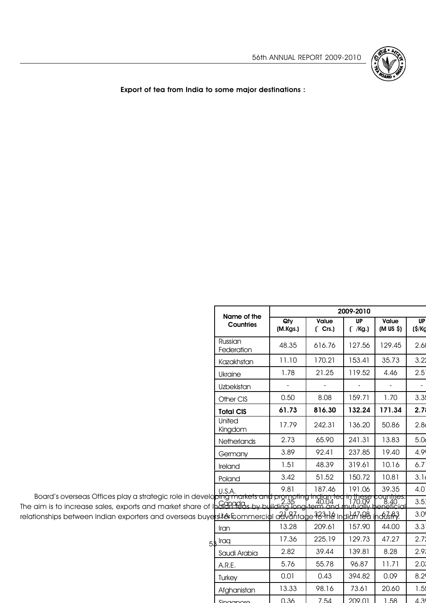

Export of tea from India to some major destinations :

|                                                                                                                                                                                                                                    | Name of the           | 2009-2010       |                            |                        |                                           |                     |
|------------------------------------------------------------------------------------------------------------------------------------------------------------------------------------------------------------------------------------|-----------------------|-----------------|----------------------------|------------------------|-------------------------------------------|---------------------|
|                                                                                                                                                                                                                                    | Countries             | Qty<br>(M.Kgs.) | Value<br>(Crs.)            | <b>UP</b><br>$($ /Kg.) | Value<br>(M US \$)                        | <b>UP</b><br>(S/Kg) |
|                                                                                                                                                                                                                                    | Russian<br>Federation | 48.35           | 616.76                     | 127.56                 | 129.45                                    | 2.6                 |
|                                                                                                                                                                                                                                    | Kazakhstan            | 11.10           | 170.21                     | 153.41                 | 35.73                                     | 3.22                |
|                                                                                                                                                                                                                                    | Ukraine               | 1.78            | 21.25                      | 119.52                 | 4.46                                      | $2.5^{\circ}$       |
|                                                                                                                                                                                                                                    | Uzbekistan            |                 |                            |                        |                                           |                     |
|                                                                                                                                                                                                                                    | Other CIS             | 0.50            | 8.08                       | 159.71                 | 1.70                                      | 3.35                |
|                                                                                                                                                                                                                                    | <b>Total CIS</b>      | 61.73           | 816.30                     | 132.24                 | 171.34                                    | 2.75                |
|                                                                                                                                                                                                                                    | United<br>Kingdom     | 17.79           | 242.31                     | 136.20                 | 50.86                                     | 2.8 <sub>4</sub>    |
|                                                                                                                                                                                                                                    | Netherlands           | 2.73            | 65.90                      | 241.31                 | 13.83                                     | 5.0 <sub>0</sub>    |
|                                                                                                                                                                                                                                    | Germany               | 3.89            | 92.41                      | 237.85                 | 19.40                                     | 4.9                 |
|                                                                                                                                                                                                                                    | Ireland               | 1.51            | 48.39                      | 319.61                 | 10.16                                     | 6.7                 |
|                                                                                                                                                                                                                                    | Poland                | 3.42            | 51.52                      | 150.72                 | 10.81                                     | 3.1 <sub>6</sub>    |
|                                                                                                                                                                                                                                    | U.S.A.                | 9.81            | 187.46                     | 191.06                 | 39.35                                     | 4.0                 |
| Board's overseas Offices play a strategic role in develop <del>ing markets and promoting Indian ted in these</del><br>170.09 Ine aim is to increase sales, exports and market share of Ipdiding by puilding long term and mutually |                       |                 |                            |                        | <del>oyntries.</del><br>8,40<br>eneficial | 3.5                 |
| relationships between Indian exporters and overseas buyers take commercial                                                                                                                                                         |                       |                 | odv&ntage 363He Indid47te& |                        | ndଫି <del>ମ</del> ୍ପର                     | 3.09                |
|                                                                                                                                                                                                                                    | Iran                  | 13.28           | 209.61                     | 157.90                 | 44.00                                     | $3.3^{\circ}$       |
| 5.3                                                                                                                                                                                                                                | Iraq                  | 17.36           | 225.19                     | 129.73                 | 47.27                                     | 2.71                |
|                                                                                                                                                                                                                                    | Saudi Arabia          | 2.82            | 39.44                      | 139.81                 | 8.28                                      | 2.9 <sup>′</sup>    |
|                                                                                                                                                                                                                                    | A.R.E.                | 5.76            | 55.78                      | 96.87                  | 11.71                                     | 2.03                |
|                                                                                                                                                                                                                                    | Turkey                | 0.01            | 0.43                       | 394.82                 | 0.09                                      | 8.2 <sup>°</sup>    |
|                                                                                                                                                                                                                                    | Afghanistan           | 13.33           | 98.16                      | 73.61                  | 20.60                                     | 1.55                |
|                                                                                                                                                                                                                                    | Singaporo             | 0.36            | 7.54                       | 209.01                 | 1.58                                      | 4.3 <sup>°</sup>    |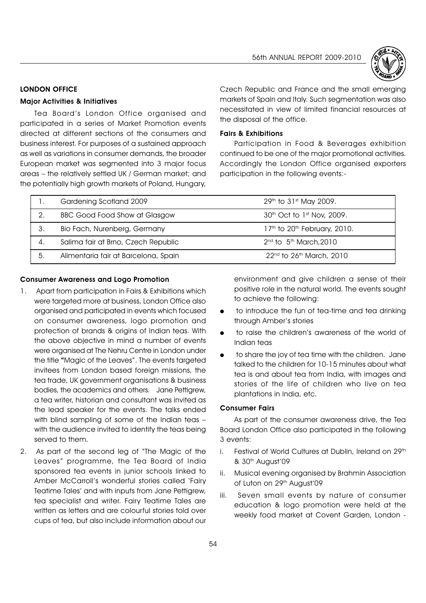

# LONDON OFFICE

## Major Activities & Initiatives

Tea Board's London Office organised and participated in a series of Market Promotion events directed at different sections of the consumers and business interest. For purposes of a sustained approach as well as variations in consumer demands, the broader European market was segmented into 3 major focus areas – the relatively settled UK / German market; and the potentially high growth markets of Poland, Hungary,

Czech Republic and France and the small emerging markets of Spain and Italy. Such segmentation was also necessitated in view of limited financial resources at the disposal of the office.

### Fairs & Exhibitions

Participation in Food & Beverages exhibition continued to be one of the major promotional activities. Accordingly the London Office organised exporters participation in the following events:-

|     | Gardening Scotland 2009              | 29 <sup>th</sup> to 31st May 2009.                   |
|-----|--------------------------------------|------------------------------------------------------|
|     | <b>BBC Good Food Show at Glasgow</b> | 30 <sup>th</sup> Oct to 1 <sup>st</sup> Nov, 2009.   |
|     | Bio Fach, Nurenberg, Germany         | 17 <sup>th</sup> to 20 <sup>th</sup> February, 2010. |
| -4. | Salima fair at Brno, Czech Republic  | $2nd$ to $5th$ March, 2010                           |
| 5   | Alimentaria fair at Barcelona, Spain | 22 <sup>nd</sup> to 26 <sup>th</sup> March, 2010     |

#### Consumer Awareness and Logo Promotion

- 1. Apart from participation in Fairs & Exhibitions which were targeted more at business, London Office also organised and participated in events which focused on consumer awareness, logo promotion and protection of brands & origins of Indian teas. With the above objective in mind a number of events were organised at The Nehru Centre in London under the title "Magic of the Leaves". The events targeted invitees from London based foreign missions, the tea trade, UK government organisations & business bodies, the academics and others. Jane Pettigrew, a tea writer, historian and consultant was invited as the lead speaker for the events. The talks ended with blind sampling of some of the Indian teas with the audience invited to identify the teas being served to them.
- 2. As part of the second leg of "The Magic of the Leaves" programme, the Tea Board of India sponsored tea events in junior schools linked to Amber McCarroll's wonderful stories called 'Fairy Teatime Tales' and with inputs from Jane Pettigrew, tea specialist and writer. Fairy Teatime Tales are written as letters and are colourful stories told over cups of tea, but also include information about our

environment and give children a sense of their positive role in the natural world. The events sought to achieve the following:

- to introduce the fun of tea-time and tea drinking through Amber's stories
- to raise the children's awareness of the world of Indian teas
- to share the joy of tea time with the children. Jane talked to the children for 10-15 minutes about what tea is and about tea from India, with images and stories of the life of children who live on tea plantations in India, etc.

#### Consumer Fairs

As part of the consumer awareness drive, the Tea Board London Office also participated in the following 3 events:

- i. Festival of World Cultures at Dublin, Ireland on 29th & 30<sup>th</sup> August'09
- ii. Musical evening organised by Brahmin Association of Luton on 29<sup>th</sup> August'09
- iii. Seven small events by nature of consumer education & logo promotion were held at the weekly food market at Covent Garden, London -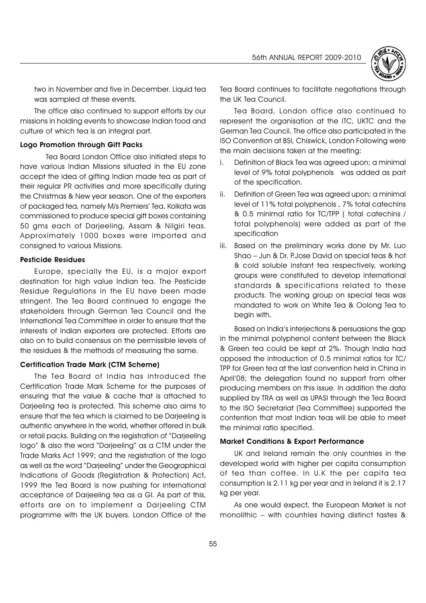

two in November and five in December. Liquid tea was sampled at these events.

The office also continued to support efforts by our missions in holding events to showcase Indian food and culture of which tea is an integral part.

#### Logo Promotion through Gift Packs

Tea Board London Office also initiated steps to have various Indian Missions situated in the EU zone accept the idea of gifting Indian made tea as part of their regular PR activities and more specifically during the Christmas & New year season. One of the exporters of packaged tea, namely M/s Premiers' Tea, Kolkata was commissioned to produce special gift boxes containing 50 gms each of Darjeeling, Assam & Nilgiri teas. Approximately 1000 boxes were imported and consigned to various Missions.

#### Pesticide Residues

Europe, specially the EU, is a major export destination for high value Indian tea. The Pesticide Residue Regulations in the EU have been made stringent. The Tea Board continued to engage the stakeholders through German Tea Council and the International Tea Committee in order to ensure that the interests of Indian exporters are protected. Efforts are also on to build consensus on the permissible levels of the residues & the methods of measuring the same.

# Certification Trade Mark (CTM Scheme)

The Tea Board of India has introduced the Certification Trade Mark Scheme for the purposes of ensuring that the value & cache that is attached to Darjeeling tea is protected. This scheme also aims to ensure that the tea which is claimed to be Darjeeling is authentic anywhere in the world, whether offered in bulk or retail packs. Building on the registration of "Darjeeling logo" & also the word "Darjeeling" as a CTM under the Trade Marks Act 1999; and the registration of the logo as well as the word "Darjeeling" under the Geographical Indications of Goods (Registration & Protection) Act, 1999 the Tea Board is now pushing for international acceptance of Darjeeling tea as a GI. As part of this, efforts are on to implement a Darjeeling CTM programme with the UK buyers. London Office of the Tea Board continues to facilitate negotiations through the UK Tea Council.

Tea Board, London office also continued to represent the organisation at the ITC, UKTC and the German Tea Council. The office also participated in the ISO Convention at BSI, Chiswick, London Following were the main decisions taken at the meeting:

- i. Definition of Black Tea was agreed upon; a minimal level of 9% total polyphenols was added as part of the specification.
- ii. Definition of Green Tea was agreed upon; a minimal level of 11% total polyphenols , 7% total catechins & 0.5 minimal ratio for TC/TPP ( total catechins / total polyphenols) were added as part of the specification
- iii. Based on the preliminary works done by Mr. Luo Shao – Jun & Dr. P.Jose David on special teas & hot & cold soluble instant tea respectively, working groups were constituted to develop international standards & specifications related to these products. The working group on special teas was mandated to work on White Tea & Oolong Tea to begin with.

Based on India's interjections & persuasions the gap in the minimal polyphenol content between the Black & Green tea could be kept at 2%. Though India had opposed the introduction of 0.5 minimal ratios for TC/ TPP for Green tea at the last convention held in China in April'08; the delegation found no support from other producing members on this issue. In addition the data supplied by TRA as well as UPASI through the Tea Board to the ISO Secretariat (Tea Committee) supported the contention that most Indian teas will be able to meet the minimal ratio specified.

#### Market Conditions & Export Performance

UK and Ireland remain the only countries in the developed world with higher per capita consumption of tea than coffee. In U.K the per capita tea consumption is 2.11 kg per year and in Ireland it is 2.17 kg per year.

As one would expect, the European Market is not monolithic – with countries having distinct tastes &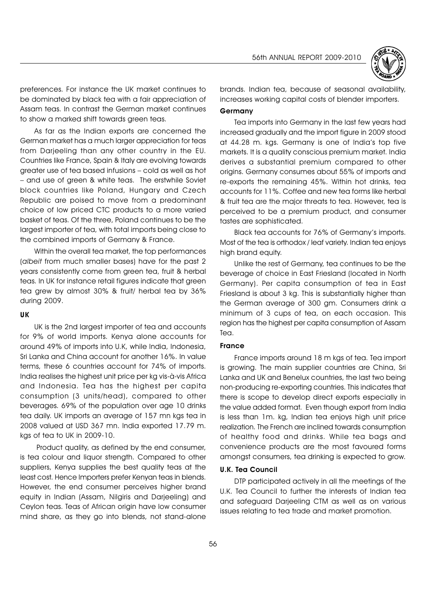

preferences. For instance the UK market continues to be dominated by black tea with a fair appreciation of Assam teas. In contrast the German market continues to show a marked shift towards areen teas.

As far as the Indian exports are concerned the German market has a much larger appreciation for teas from Darjeeling than any other country in the EU. Countries like France, Spain & Italy are evolving towards greater use of tea based infusions – cold as well as hot – and use of green & white teas. The erstwhile Soviet block countries like Poland, Hungary and Czech Republic are poised to move from a predominant choice of low priced CTC products to a more varied basket of teas. Of the three, Poland continues to be the largest importer of tea, with total imports being close to the combined imports of Germany & France.

Within the overall tea market, the top performances (albeit from much smaller bases) have for the past 2 years consistently come from green tea, fruit & herbal teas. In UK for instance retail figures indicate that green tea grew by almost 30% & fruit/ herbal tea by 36% during 2009.

#### UK

UK is the 2nd largest importer of tea and accounts for 9% of world imports. Kenya alone accounts for around 49% of imports into U.K, while India, Indonesia, Sri Lanka and China account for another 16%. In value terms, these 6 countries account for 74% of imports. India realises the highest unit price per kg vis-à-vis Africa and Indonesia. Tea has the highest per capita consumption (3 units/head), compared to other beverages. 69% of the population over age 10 drinks tea daily. UK imports an average of 157 mn kgs tea in 2008 valued at USD 367 mn. India exported 17.79 m. kgs of tea to UK in 2009-10.

 Product quality, as defined by the end consumer, is tea colour and liquor strength. Compared to other suppliers, Kenya supplies the best quality teas at the least cost. Hence Importers prefer Kenyan teas in blends. However, the end consumer perceives higher brand equity in Indian (Assam, Nilgiris and Darjeeling) and Ceylon teas. Teas of African origin have low consumer mind share, as they go into blends, not stand-alone

brands. Indian tea, because of seasonal availability, increases working capital costs of blender importers.

#### Germany

Tea imports into Germany in the last few years had increased gradually and the import figure in 2009 stood at 44.28 m. kgs. Germany is one of India's top five markets. It is a quality conscious premium market. India derives a substantial premium compared to other origins. Germany consumes about 55% of imports and re-exports the remaining 45%. Within hot drinks, tea accounts for 11%. Coffee and new tea forms like herbal & fruit tea are the major threats to tea. However, tea is perceived to be a premium product, and consumer tastes are sophisticated.

Black tea accounts for 76% of Germany's imports. Most of the tea is orthodox / leaf variety. Indian tea enjoys high brand equity.

Unlike the rest of Germany, tea continues to be the beverage of choice in East Friesland (located in North Germany). Per capita consumption of tea in East Friesland is about 3 kg. This is substantially higher than the German average of 300 gm. Consumers drink a minimum of 3 cups of tea, on each occasion. This region has the highest per capita consumption of Assam Tea.

#### France

France imports around 18 m kgs of tea. Tea import is growing. The main supplier countries are China, Sri Lanka and UK and Benelux countries, the last two being non-producing re-exporting countries. This indicates that there is scope to develop direct exports especially in the value added format. Even though export from India is less than 1m. kg, Indian tea enjoys high unit price realization. The French are inclined towards consumption of healthy food and drinks. While tea bags and convenience products are the most favoured forms amongst consumers, tea drinking is expected to grow.

#### U.K. Tea Council

DTP participated actively in all the meetings of the U.K. Tea Council to further the interests of Indian tea and safeguard Darjeeling CTM as well as on various issues relating to tea trade and market promotion.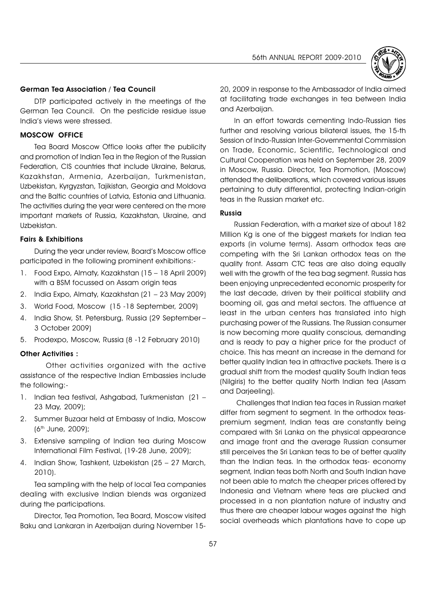

#### German Tea Association / Tea Council

DTP participated actively in the meetings of the German Tea Council. On the pesticide residue issue India's views were stressed.

#### MOSCOW OFFICE

Tea Board Moscow Office looks after the publicity and promotion of Indian Tea in the Region of the Russian Federation, CIS countries that include Ukraine, Belarus, Kazakhstan, Armenia, Azerbaijan, Turkmenistan, Uzbekistan, Kyrgyzstan, Tajikistan, Georgia and Moldova and the Baltic countries of Latvia, Estonia and Lithuania. The activities during the year were centered on the more important markets of Russia, Kazakhstan, Ukraine, and Uzbekistan.

#### Fairs & Exhibitions

During the year under review, Board's Moscow office participated in the following prominent exhibitions:-

- 1. Food Expo, Almaty, Kazakhstan (15 18 April 2009) with a BSM focussed on Assam origin teas
- 2. India Expo, Almaty, Kazakhstan (21 23 May 2009)
- 3. World Food, Moscow (15 -18 September, 2009)
- 4. India Show, St. Petersburg, Russia (29 September 3 October 2009)
- 5. Prodexpo, Moscow, Russia (8 -12 February 2010)

#### Other Activities :

Other activities organized with the active assistance of the respective Indian Embassies include the following:-

- 1. Indian tea festival, Ashgabad, Turkmenistan (21 23 May, 2009);
- 2. Summer Buzaar held at Embassy of India, Moscow (6th June, 2009);
- 3. Extensive sampling of Indian tea during Moscow International Film Festival, (19-28 June, 2009);
- 4. Indian Show, Tashkent, Uzbekistan (25 27 March, 2010).

Tea sampling with the help of local Tea companies dealing with exclusive Indian blends was organized during the participations.

Director, Tea Promotion, Tea Board, Moscow visited Baku and Lankaran in Azerbaijan during November 15-

20, 2009 in response to the Ambassador of India aimed at facilitating trade exchanges in tea between India and Azerbaijan.

In an effort towards cementing Indo-Russian ties further and resolving various bilateral issues, the 15-th Session of Indo-Russian Inter-Governmental Commission on Trade, Economic, Scientific, Technological and Cultural Cooperation was held on September 28, 2009 in Moscow, Russia. Director, Tea Promotion, (Moscow) attended the deliberations, which covered various issues pertaining to duty differential, protecting Indian-origin teas in the Russian market etc.

#### Russia

Russian Federation, with a market size of about 182 Million Kg is one of the biggest markets for Indian tea exports (in volume terms). Assam orthodox teas are competing with the Sri Lankan orthodox teas on the quality front. Assam CTC teas are also doing equally well with the growth of the tea bag segment. Russia has been enjoying unprecedented economic prosperity for the last decade, driven by their political stability and booming oil, gas and metal sectors. The affluence at least in the urban centers has translated into high purchasing power of the Russians. The Russian consumer is now becoming more quality conscious, demanding and is ready to pay a higher price for the product of choice. This has meant an increase in the demand for better quality Indian tea in attractive packets. There is a gradual shift from the modest quality South Indian teas (Nilgiris) to the better quality North Indian tea (Assam and Darjeeling).

 Challenges that Indian tea faces in Russian market differ from segment to segment. In the orthodox teaspremium segment, Indian teas are constantly being compared with Sri Lanka on the physical appearance and image front and the average Russian consumer still perceives the Sri Lankan teas to be of better quality than the Indian teas. In the orthodox teas- economy segment, Indian teas both North and South Indian have not been able to match the cheaper prices offered by Indonesia and Vietnam where teas are plucked and processed in a non plantation nature of industry and thus there are cheaper labour wages against the high social overheads which plantations have to cope up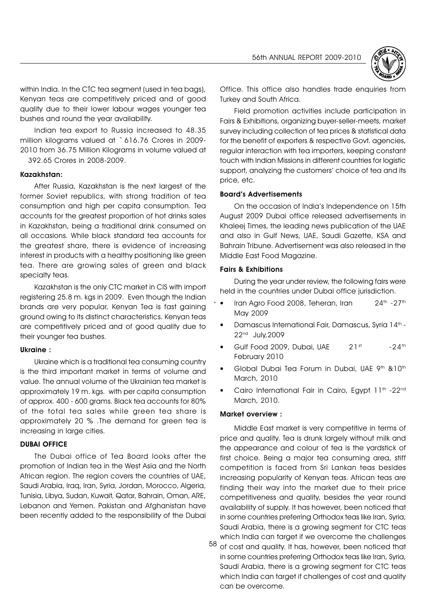

within India. In the CTC tea segment (used in tea bags), Kenyan teas are competitively priced and of good quality due to their lower labour wages younger tea bushes and round the year availability.

Indian tea export to Russia increased to 48.35 million kilograms valued at ` 616.76 Crores in 2009- 2010 from 36.75 Million Kilograms in volume valued at 392.65 Crores in 2008-2009.

#### Kazakhstan:

After Russia, Kazakhstan is the next largest of the former Soviet republics, with strong tradition of tea consumption and high per capita consumption. Tea accounts for the greatest proportion of hot drinks sales in Kazakhstan, being a traditional drink consumed on all occasions. While black standard tea accounts for the greatest share, there is evidence of increasing interest in products with a healthy positioning like green tea. There are growing sales of green and black specialty teas.

Kazakhstan is the only CTC market in CIS with import registering 25.8 m. kgs in 2009. Even though the Indian brands are very popular, Kenyan Tea is fast gaining ground owing to its distinct characteristics. Kenyan teas are competitively priced and of good quality due to their younger tea bushes.

#### Ukraine :

Ukraine which is a traditional tea consuming country is the third important market in terms of volume and value. The annual volume of the Ukrainian tea market is approximately 19 m. kgs. with per capita consumption of approx. 400 - 600 grams. Black tea accounts for 80% of the total tea sales while green tea share is approximately 20 % .The demand for green tea is increasing in large cities.

#### DUBAI OFFICE

The Dubai office of Tea Board looks after the promotion of Indian tea in the West Asia and the North African region. The region covers the countries of UAE, Saudi Arabia, Iraq, Iran, Syria, Jordan, Morocco, Algeria, Tunisia, Libya, Sudan, Kuwait, Qatar, Bahrain, Oman, ARE, Lebanon and Yemen. Pakistan and Afghanistan have been recently added to the responsibility of the Dubai Office. This office also handles trade enquiries from Turkey and South Africa.

Field promotion activities include participation in Fairs & Exhibitions, organizing buyer-seller-meets, market survey including collection of tea prices & statistical data for the benefit of exporters & respective Govt. agencies, regular interaction with tea importers, keeping constant touch with Indian Missions in different countries for logistic support, analyzing the customers' choice of tea and its price, etc.

#### Board's Advertisements

On the occasion of India's Independence on 15th August 2009 Dubai office released advertisements in Khaleej Times, the leading news publication of the UAE and also in Gulf News, UAE, Saudi Gazette, KSA and Bahrain Tribune. Advertisement was also released in the Middle East Food Magazine.

#### Fairs & Exhibitions

`

During the year under review, the following fairs were held in the countries under Dubai office jurisdiction.

- Iran Agro Food 2008, Teheran, Iran 24th -27th May 2009
- Damascus International Fair, Damascus, Syria 14<sup>th</sup> -22nd July,2009
- Gulf Food 2009, Dubai, UAE 21st -24th February 2010
- Global Dubai Tea Forum in Dubai, UAE 9<sup>th</sup> &10<sup>th</sup> March, 2010
- Cairo International Fair in Cairo, Egypt 11<sup>th</sup> -22<sup>nd</sup> March, 2010.

#### Market overview :

 $^{58}$  of cost and quality. It has, however, been noticed that Middle East market is very competitive in terms of price and quality. Tea is drunk largely without milk and the appearance and colour of tea is the yardstick of first choice. Being a major tea consuming area, stiff competition is faced from Sri Lankan teas besides increasing popularity of Kenyan teas. African teas are finding their way into the market due to their price competitiveness and quality, besides the year round availability of supply. It has however, been noticed that in some countries preferring Orthodox teas like Iran, Syria, Saudi Arabia, there is a growing segment for CTC teas which India can target if we overcome the challenges in some countries preferring Orthodox teas like Iran, Syria, Saudi Arabia, there is a growing segment for CTC teas which India can target if challenges of cost and quality can be overcome.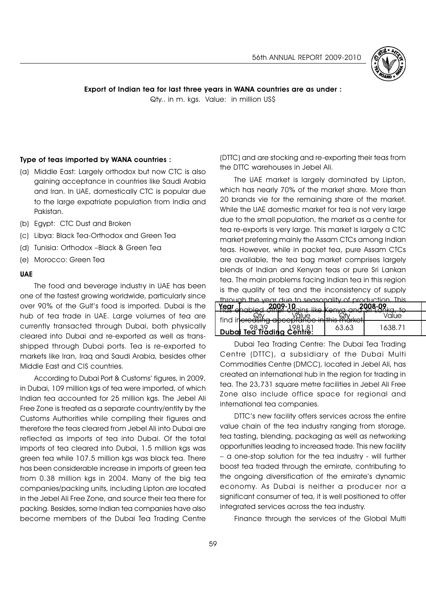

Export of Indian tea for last three years in WANA countries are as under :

Qty.. in m. kgs. Value: in million US\$

#### Type of teas imported by WANA countries :

- (a) Middle East: Largely orthodox but now CTC is also gaining acceptance in countries like Saudi Arabia and Iran. In UAE, domestically CTC is popular due to the large expatriate population from India and Pakistan.
- (b) Egypt: CTC Dust and Broken
- (c) Libya: Black Tea-Orthodox and Green Tea
- (d) Tunisia: Orthodox –Black & Green Tea
- (e) Morocco: Green Tea

#### UAE

The food and beverage industry in UAE has been one of the fastest growing worldwide, particularly since over 90% of the Gulf's food is imported. Dubai is the hub of tea trade in UAE. Large volumes of tea are currently transacted through Dubai, both physically cleared into Dubai and re-exported as well as transshipped through Dubai ports. Tea is re-exported to markets like Iran, Iraq and Saudi Arabia, besides other Middle East and CIS countries.

According to Dubai Port & Customs' figures, in 2009, in Dubai, 109 million kgs of tea were imported, of which Indian tea accounted for 25 million kgs. The Jebel Ali Free Zone is treated as a separate country/entity by the Customs Authorities while compiling their figures and therefore the teas cleared from Jebel Ali into Dubai are reflected as imports of tea into Dubai. Of the total imports of tea cleared into Dubai, 1.5 million kgs was green tea while 107.5 million kgs was black tea. There has been considerable increase in imports of green tea from 0.38 million kgs in 2004. Many of the big tea companies/packing units, including Lipton are located in the Jebel Ali Free Zone, and source their tea there for packing. Besides, some Indian tea companies have also become members of the Dubai Tea Trading Centre

(DTTC) and are stocking and re-exporting their teas from the DTTC warehouses in Jebel Ali.

The UAE market is largely dominated by Lipton, which has nearly 70% of the market share. More than 20 brands vie for the remaining share of the market. While the UAE domestic market for tea is not very large due to the small population, the market as a centre for tea re-exports is very large. This market is largely a CTC market preferring mainly the Assam CTCs among Indian teas. However, while in packet tea, pure Assam CTCs are available, the tea bag market comprises largely blends of Indian and Kenyan teas or pure Sri Lankan tea. The main problems facing Indian tea in this region is the quality of tea and the inconsistency of supply through the year due to seasonality of production. This

|                                                           | $\frac{\gamma_{eqr}}{\gamma_{eqr}}$ and $\frac{2009}{\gamma_{eqr}}$ and $\frac{10}{\gamma_{eqr}}$ and $\frac{2008}{\gamma_{eqr}}$ to |       |         |
|-----------------------------------------------------------|--------------------------------------------------------------------------------------------------------------------------------------|-------|---------|
|                                                           | find in <i>ereasing abceptance</i> in this market.                                                                                   |       |         |
| $\begin{bmatrix} 98.39 \\ -28.39 \end{bmatrix}$ [1981.81] |                                                                                                                                      | 63.63 | 1638.71 |
|                                                           |                                                                                                                                      |       |         |

Dubai Tea Trading Centre: The Dubai Tea Trading Centre (DTTC), a subsidiary of the Dubai Multi Commodities Centre (DMCC), located in Jebel Ali, has created an international hub in the region for trading in tea. The 23,731 square metre facilities in Jebel Ali Free Zone also include office space for regional and international tea companies.

DTTC's new facility offers services across the entire value chain of the tea industry ranging from storage, tea tasting, blending, packaging as well as networking opportunities leading to increased trade. This new facility – a one-stop solution for the tea industry - will further boost tea traded through the emirate, contributing to the ongoing diversification of the emirate's dynamic economy. As Dubai is neither a producer nor a significant consumer of tea, it is well positioned to offer integrated services across the tea industry.

Finance through the services of the Global Multi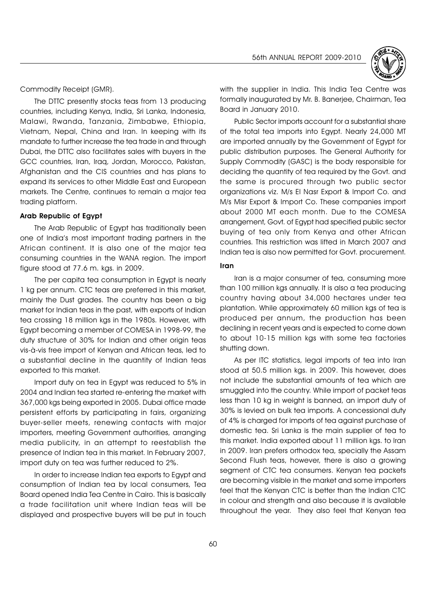

Commodity Receipt (GMR).

The DTTC presently stocks teas from 13 producing countries, including Kenya, India, Sri Lanka, Indonesia, Malawi, Rwanda, Tanzania, Zimbabwe, Ethiopia, Vietnam, Nepal, China and Iran. In keeping with its mandate to further increase the tea trade in and through Dubai, the DTTC also facilitates sales with buyers in the GCC countries, Iran, Iraq, Jordan, Morocco, Pakistan, Afghanistan and the CIS countries and has plans to expand its services to other Middle East and European markets. The Centre, continues to remain a major tea trading platform.

#### Arab Republic of Egypt

The Arab Republic of Egypt has traditionally been one of India's most important trading partners in the African continent. It is also one of the major tea consuming countries in the WANA region. The import figure stood at 77.6 m. kgs. in 2009.

The per capita tea consumption in Eavpt is nearly 1 kg per annum. CTC teas are preferred in this market, mainly the Dust grades. The country has been a big market for Indian teas in the past, with exports of Indian tea crossing 18 million kgs in the 1980s. However, with Egypt becoming a member of COMESA in 1998-99, the duty structure of 30% for Indian and other origin teas vis-à-vis free import of Kenyan and African teas, led to a substantial decline in the quantity of Indian teas exported to this market.

Import duty on tea in Egypt was reduced to 5% in 2004 and Indian tea started re-entering the market with 367,000 kgs being exported in 2005. Dubai office made persistent efforts by participating in fairs, organizing buyer-seller meets, renewing contacts with major importers, meeting Government authorities, arranging media publicity, in an attempt to reestablish the presence of Indian tea in this market. In February 2007, import duty on tea was further reduced to 2%.

In order to increase Indian tea exports to Egypt and consumption of Indian tea by local consumers, Tea Board opened India Tea Centre in Cairo. This is basically a trade facilitation unit where Indian teas will be displayed and prospective buyers will be put in touch with the supplier in India. This India Tea Centre was formally inaugurated by Mr. B. Banerjee, Chairman, Tea Board in January 2010.

Public Sector imports account for a substantial share of the total tea imports into Egypt. Nearly 24,000 MT are imported annually by the Government of Egypt for public distribution purposes. The General Authority for Supply Commodity (GASC) is the body responsible for deciding the quantity of tea required by the Govt. and the same is procured through two public sector organizations viz. M/s El Nasr Export & Import Co. and M/s Misr Export & Import Co. These companies import about 2000 MT each month. Due to the COMESA arrangement, Govt. of Egypt had specified public sector buying of tea only from Kenya and other African countries. This restriction was lifted in March 2007 and Indian tea is also now permitted for Govt. procurement.

#### Iran

Iran is a major consumer of tea, consuming more than 100 million kgs annually. It is also a tea producing country having about 34,000 hectares under tea plantation. While approximately 60 million kgs of tea is produced per annum, the production has been declining in recent years and is expected to come down to about 10-15 million kgs with some tea factories shutting down.

As per ITC statistics, legal imports of tea into Iran stood at 50.5 million kgs. in 2009. This however, does not include the substantial amounts of tea which are smuggled into the country. While import of packet teas less than 10 kg in weight is banned, an import duty of 30% is levied on bulk tea imports. A concessional duty of 4% is charged for imports of tea against purchase of domestic tea. Sri Lanka is the main supplier of tea to this market. India exported about 11 million kgs. to Iran in 2009. Iran prefers orthodox tea, specially the Assam Second Flush teas, however, there is also a growing segment of CTC tea consumers. Kenyan tea packets are becoming visible in the market and some importers feel that the Kenyan CTC is better than the Indian CTC in colour and strength and also because it is available throughout the year. They also feel that Kenyan tea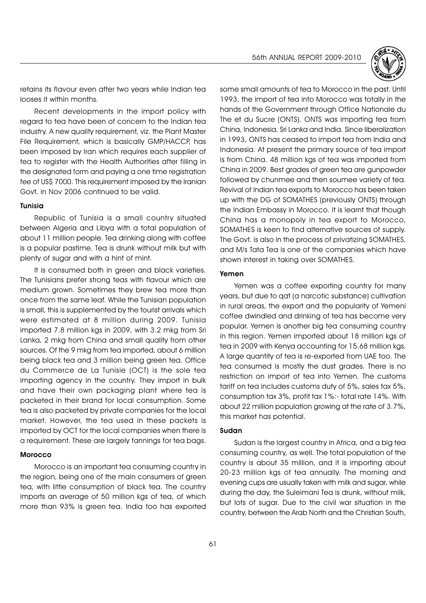

retains its flavour even after two years while Indian tea looses it within months.

Recent developments in the import policy with regard to tea have been of concern to the Indian tea industry. A new quality requirement, viz. the Plant Master File Requirement, which is basically GMP/HACCP, has been imposed by Iran which requires each supplier of tea to register with the Health Authorities after filling in the designated form and paying a one time registration fee of US\$ 7000. This requirement imposed by the Iranian Govt. in Nov 2006 continued to be valid.

#### Tunisia

Republic of Tunisia is a small country situated between Algeria and Libya with a total population of about 11 million people. Tea drinking along with coffee is a popular pastime. Tea is drunk without milk but with plenty of sugar and with a hint of mint.

It is consumed both in green and black varieties. The Tunisians prefer strong teas with flavour which are medium grown. Sometimes they brew tea more than once from the same leaf. While the Tunisian population is small, this is supplemented by the tourist arrivals which were estimated at 8 million during 2009. Tunisia imported 7.8 million kgs in 2009, with 3.2 mkg from Sri Lanka, 2 mkg from China and small quality from other sources. Of the 9 mkg from tea imported, about 6 million being black tea and 3 million being green tea. Office du Commerce de La Tunisie (OCT) is the sole tea importing agency in the country. They import in bulk and have their own packaging plant where tea is packeted in their brand for local consumption. Some tea is also packeted by private companies for the local market. However, the tea used in these packets is imported by OCT for the local companies when there is a requirement. These are largely fannings for tea bags.

### **Morocco**

Morocco is an important tea consuming country in the region, being one of the main consumers of green tea, with little consumption of black tea. The country imports an average of 50 million kgs of tea, of which more than 93% is green tea. India too has exported some small amounts of tea to Morocco in the past. Until 1993, the import of tea into Morocco was totally in the hands of the Government through Office Nationale du The et du Sucre (ONTS). ONTS was importing tea from China, Indonesia, Sri Lanka and India. Since liberalization in 1993, ONTS has ceased to import tea from India and Indonesia. At present the primary source of tea import is from China. 48 million kgs of tea was imported from China in 2009. Best grades of green tea are gunpowder followed by chunmee and then soumee variety of tea. Revival of Indian tea exports to Morocco has been taken up with the DG of SOMATHES (previously ONTS) through the Indian Embassy in Morocco. It is learnt that though China has a monopoly in tea export to Morocco, SOMATHES is keen to find alternative sources of supply. The Govt. is also in the process of privatizing SOMATHES, and M/s Tata Tea is one of the companies which have shown interest in taking over SOMATHES.

#### Yemen

Yemen was a coffee exporting country for many years, but due to qat (a narcotic substance) cultivation in rural areas, the export and the popularity of Yemeni coffee dwindled and drinking of tea has become very popular. Yemen is another big tea consuming country in this region. Yemen imported about 18 million kgs of tea in 2009 with Kenya accounting for 15.68 million kgs. A large quantity of tea is re-exported from UAE too. The tea consumed is mostly the dust grades. There is no restriction on import of tea into Yemen. The customs tariff on tea includes customs duty of 5%, sales tax 5%, consumption tax 3%, profit tax 1%:- total rate 14%. With about 22 million population growing at the rate of 3.7%, this market has potential.

#### Sudan

Sudan is the largest country in Africa, and a big tea consuming country, as well. The total population of the country is about 35 million, and it is importing about 20-23 million kgs of tea annually. The morning and evening cups are usually taken with milk and sugar, while during the day, the Suleimani Tea is drunk, without milk, but lots of sugar. Due to the civil war situation in the country, between the Arab North and the Christian South,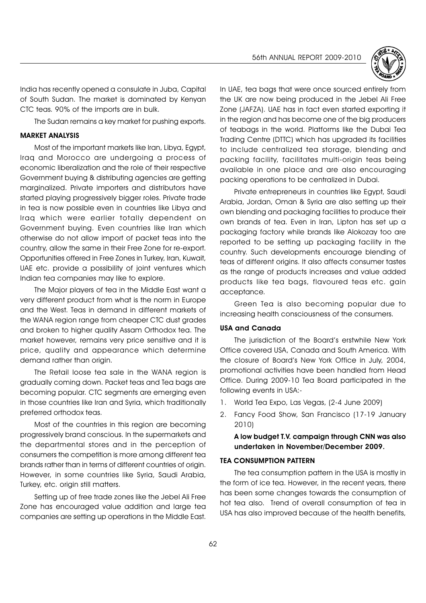

India has recently opened a consulate in Juba, Capital of South Sudan. The market is dominated by Kenyan CTC teas. 90% of the imports are in bulk.

The Sudan remains a key market for pushing exports.

#### MARKET ANALYSIS

Most of the important markets like Iran, Libya, Egypt, Iraq and Morocco are undergoing a process of economic liberalization and the role of their respective Government buying & distributing agencies are getting marginalized. Private importers and distributors have started playing progressively bigger roles. Private trade in tea is now possible even in countries like Libya and Iraq which were earlier totally dependent on Government buying. Even countries like Iran which otherwise do not allow import of packet teas into the country, allow the same in their Free Zone for re-export. Opportunities offered in Free Zones in Turkey, Iran, Kuwait, UAE etc. provide a possibility of joint ventures which Indian tea companies may like to explore.

The Major players of tea in the Middle East want a very different product from what is the norm in Europe and the West. Teas in demand in different markets of the WANA region range from cheaper CTC dust grades and broken to higher quality Assam Orthodox tea. The market however, remains very price sensitive and it is price, quality and appearance which determine demand rather than origin.

The Retail loose tea sale in the WANA region is gradually coming down. Packet teas and Tea bags are becoming popular. CTC segments are emerging even in those countries like Iran and Syria, which traditionally preferred orthodox teas.

Most of the countries in this region are becoming progressively brand conscious. In the supermarkets and the departmental stores and in the perception of consumers the competition is more among different tea brands rather than in terms of different countries of origin. However, in some countries like Syria, Saudi Arabia, Turkey, etc. origin still matters.

Setting up of free trade zones like the Jebel Ali Free Zone has encouraged value addition and large tea companies are setting up operations in the Middle East.

In UAE, tea bags that were once sourced entirely from the UK are now being produced in the Jebel Ali Free Zone (JAFZA). UAE has in fact even started exporting it in the region and has become one of the big producers of teabags in the world. Platforms like the Dubai Tea Trading Centre (DTTC) which has upgraded its facilities to include centralized tea storage, blending and packing facility, facilitates multi-origin teas being available in one place and are also encouraging packing operations to be centralized in Dubai.

Private entrepreneurs in countries like Egypt, Saudi Arabia, Jordan, Oman & Syria are also setting up their own blending and packaging facilities to produce their own brands of tea. Even in Iran, Lipton has set up a packaging factory while brands like Alokozay too are reported to be setting up packaging facility in the country. Such developments encourage blending of teas of different origins. It also affects consumer tastes as the range of products increases and value added products like tea bags, flavoured teas etc. gain acceptance.

Green Tea is also becoming popular due to increasing health consciousness of the consumers.

# USA and Canada

The jurisdiction of the Board's erstwhile New York Office covered USA, Canada and South America. With the closure of Board's New York Office in July, 2004, promotional activities have been handled from Head Office. During 2009-10 Tea Board participated in the following events in USA:-

- 1. World Tea Expo, Las Vegas, (2-4 June 2009)
- 2. Fancy Food Show, San Francisco (17-19 January 2010)

# A low budget T.V. campaign through CNN was also undertaken in November/December 2009.

# TEA CONSUMPTION PATTERN

The tea consumption pattern in the USA is mostly in the form of ice tea. However, in the recent years, there has been some changes towards the consumption of hot tea also. Trend of overall consumption of tea in USA has also improved because of the health benefits,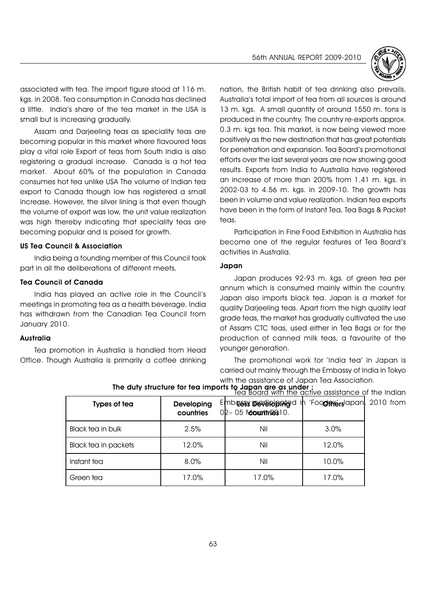

associated with tea. The import figure stood at 116 m. kgs. in 2008. Tea consumption in Canada has declined a little. India's share of the tea market in the USA is small but is increasing gradually.

Assam and Darjeeling teas as speciality teas are becoming popular in this market where flavoured teas play a vital role Export of teas from South India is also registering a gradual increase. Canada is a hot tea market. About 60% of the population in Canada consumes hot tea unlike USA The volume of Indian tea export to Canada though low has registered a small increase. However, the silver lining is that even though the volume of export was low, the unit value realization was high thereby indicating that speciality teas are becoming popular and is poised for growth.

#### US Tea Council & Association

India being a founding member of this Council took part in all the deliberations of different meets.

# Tea Council of Canada

India has played an active role in the Council's meetings in promoting tea as a health beverage. India has withdrawn from the Canadian Tea Council from January 2010.

#### Australia

Tea promotion in Australia is handled from Head Office. Though Australia is primarily a coffee drinking nation, the British habit of tea drinking also prevails. Australia's total import of tea from all sources is around 13 m. kgs. A small quantity of around 1550 m. tons is produced in the country. The country re-exports approx. 0.3 m. kgs tea. This market, is now being viewed more positively as the new destination that has great potentials for penetration and expansion. Tea Board's promotional efforts over the last several years are now showing good results. Exports from India to Australia have registered an increase of more than 200% from 1.41 m. kgs. in 2002-03 to 4.56 m. kgs. in 2009-10. The growth has been in volume and value realization. Indian tea exports have been in the form of Instant Tea, Tea Bags & Packet teas.

Participation in Fine Food Exhibition in Australia has become one of the regular features of Tea Board's activities in Australia.

## Japan

Japan produces 92-93 m. kgs. of green tea per annum which is consumed mainly within the country. Japan also imports black tea. Japan is a market for quality Darjeeling teas. Apart from the high quality leaf grade teas, the market has gradually cultivated the use of Assam CTC teas, used either in Tea Bags or for the production of canned milk teas, a favourite of the younger generation.

The promotional work for 'India tea' in Japan is carried out mainly through the Embassy of India in Tokyo with the assistance of Japan Tea Association.

| <b>Types of tea</b>  | Developing<br>countries | EIMDRESS DEVERSEMENT<br>02-05 Modunthries 10. | in 'Food mérs <sup>iapan</sup> | 2010 from |
|----------------------|-------------------------|-----------------------------------------------|--------------------------------|-----------|
| Black tea in bulk    | 2.5%                    | Nil                                           | 3.0%                           |           |
| Black tea in packets | 12.0%                   | Nil                                           | 12.0%                          |           |
| Instant tea          | 8.0%                    | Nil                                           | 10.0%                          |           |
| Green tea            | 17.0%                   | 17.0%                                         | 17.0%                          |           |

The duty structure for tea imports to Japan are as under :<br>Tea Board with the active assistance of the Indian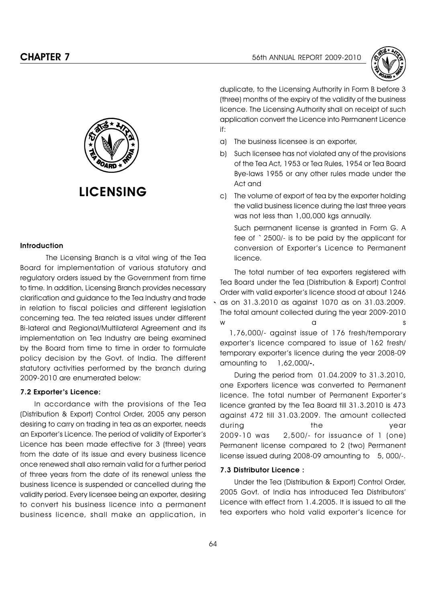

LICENSING

#### Introduction

The Licensing Branch is a vital wing of the Tea Board for implementation of various statutory and regulatory orders issued by the Government from time to time. In addition, Licensing Branch provides necessary clarification and guidance to the Tea Industry and trade in relation to fiscal policies and different legislation concerning tea. The tea related issues under different Bi-lateral and Regional/Multilateral Agreement and its implementation on Tea Industry are being examined by the Board from time to time in order to formulate policy decision by the Govt. of India. The different statutory activities performed by the branch during 2009-2010 are enumerated below:

#### 7.2 Exporter's Licence:

In accordance with the provisions of the Tea (Distribution & Export) Control Order, 2005 any person desiring to carry on trading in tea as an exporter, needs an Exporter's Licence. The period of validity of Exporter's Licence has been made effective for 3 (three) years from the date of its issue and every business licence once renewed shall also remain valid for a further period of three years from the date of its renewal unless the business licence is suspended or cancelled during the validity period. Every licensee being an exporter, desiring to convert his business licence into a permanent business licence, shall make an application, in duplicate, to the Licensing Authority in Form B before 3 (three) months of the expiry of the validity of the business licence. The Licensing Authority shall on receipt of such application convert the Licence into Permanent Licence if:

- a) The business licensee is an exporter,
- b) Such licensee has not violated any of the provisions of the Tea Act, 1953 or Tea Rules, 1954 or Tea Board Bye-laws 1955 or any other rules made under the Act and
- c) The volume of export of tea by the exporter holding the valid business licence during the last three years was not less than 1,00,000 kgs annually.

Such permanent license is granted in Form G. A fee of ` 2500/- is to be paid by the applicant for conversion of Exporter's Licence to Permanent licence.

The total number of tea exporters registered with Tea Board under the Tea (Distribution & Export) Control Order with valid exporter's licence stood at about 1246 as on 31.3.2010 as against 1070 as on 31.03.2009. ` `The total amount collected during the year 2009-2010 w and the contract of the contract of the contract of the contract of the contract of the contract of the contract of the contract of the contract of the contract of the contract of the contract of the contract of the cont 1,76,000/- against issue of 176 fresh/temporary

exporter's licence compared to issue of 162 fresh/ temporary exporter's licence during the year 2008-09 amounting to 1,62,000/-.

During the period from 01.04.2009 to 31.3.2010, one Exporters licence was converted to Permanent licence. The total number of Permanent Exporter's licence granted by the Tea Board till 31.3.2010 is 473 against 472 till 31.03.2009. The amount collected during the the year 2009-10 was 2,500/- for issuance of 1 (one) Permanent license compared to 2 (two) Permanent license issued during 2008-09 amounting to 5, 000/-.

#### 7.3 Distributor Licence :

Under the Tea (Distribution & Export) Control Order, 2005 Govt. of India has introduced Tea Distributors' Licence with effect from 1.4.2005. It is issued to all the tea exporters who hold valid exporter's licence for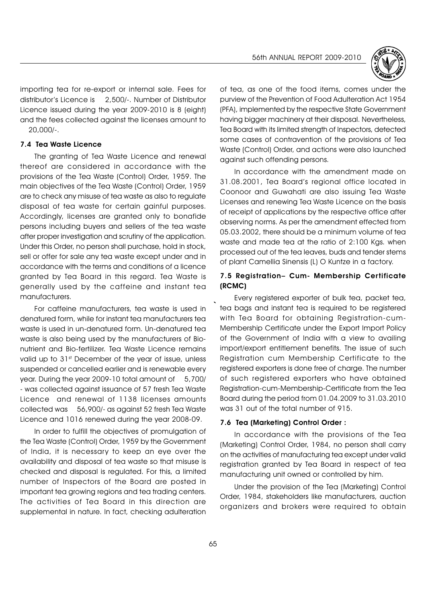

importing tea for re-export or internal sale. Fees for distributor's Licence is 2,500/-. Number of Distributor Licence issued during the year 2009-2010 is 8 (eight) and the fees collected against the licenses amount to 20,000/-.

#### 7.4 Tea Waste Licence

The granting of Tea Waste Licence and renewal thereof are considered in accordance with the provisions of the Tea Waste (Control) Order, 1959. The main objectives of the Tea Waste (Control) Order, 1959 are to check any misuse of tea waste as also to regulate disposal of tea waste for certain gainful purposes. Accordingly, licenses are granted only to bonafide persons including buyers and sellers of the tea waste after proper investigation and scrutiny of the application. Under this Order, no person shall purchase, hold in stock, sell or offer for sale any tea waste except under and in accordance with the terms and conditions of a licence granted by Tea Board in this regard. Tea Waste is generally used by the caffeine and instant tea manufacturers.

For caffeine manufacturers, tea waste is used in denatured form, while for instant tea manufacturers tea waste is used in un-denatured form. Un-denatured tea waste is also being used by the manufacturers of Bionutrient and Bio-fertilizer. Tea Waste Licence remains valid up to 31<sup>st</sup> December of the year of issue, unless suspended or cancelled earlier and is renewable every year. During the year 2009-10 total amount of 5,700/ - was collected against issuance of 57 fresh Tea Waste Licence and renewal of 1138 licenses amounts collected was 56,900/- as against 52 fresh Tea Waste Licence and 1016 renewed during the year 2008-09.

In order to fulfill the objectives of promulgation of the Tea Waste (Control) Order, 1959 by the Government of India, it is necessary to keep an eye over the availability and disposal of tea waste so that misuse is checked and disposal is regulated. For this, a limited number of Inspectors of the Board are posted in important tea growing regions and tea trading centers. The activities of Tea Board in this direction are supplemental in nature. In fact, checking adulteration of tea, as one of the food items, comes under the purview of the Prevention of Food Adulteration Act 1954 (PFA), implemented by the respective State Government having bigger machinery at their disposal. Nevertheless, Tea Board with its limited strength of Inspectors, detected some cases of contravention of the provisions of Tea Waste (Control) Order, and actions were also launched against such offending persons.

In accordance with the amendment made on 31.08.2001, Tea Board's regional office located in Coonoor and Guwahati are also issuing Tea Waste Licenses and renewing Tea Waste Licence on the basis of receipt of applications by the respective office after observing norms. As per the amendment effected from 05.03.2002, there should be a minimum volume of tea waste and made tea at the ratio of 2:100 Kgs. when processed out of the tea leaves, buds and tender stems of plant Camellia Sinensis (L) O Kuntze in a factory.

# 7.5 Registration– Cum- Membership Certificate (RCMC)

Every registered exporter of bulk tea, packet tea, tea bags and instant tea is required to be registered with Tea Board for obtaining Registration-cum-Membership Certificate under the Export Import Policy of the Government of India with a view to availing import/export entitlement benefits. The issue of such Registration cum Membership Certificate to the registered exporters is done free of charge. The number of such registered exporters who have obtained Registration-cum-Membership-Certificate from the Tea Board during the period from 01.04.2009 to 31.03.2010 was 31 out of the total number of 915.

#### 7.6 Tea (Marketing) Control Order :

In accordance with the provisions of the Tea (Marketing) Control Order, 1984, no person shall carry on the activities of manufacturing tea except under valid registration granted by Tea Board in respect of tea manufacturing unit owned or controlled by him.

Under the provision of the Tea (Marketing) Control Order, 1984, stakeholders like manufacturers, auction organizers and brokers were required to obtain

`

`

`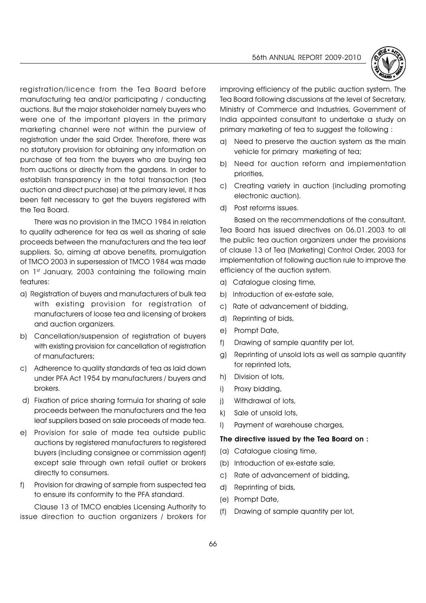

registration/licence from the Tea Board before manufacturing tea and/or participating / conducting auctions. But the major stakeholder namely buyers who were one of the important players in the primary marketing channel were not within the purview of registration under the said Order. Therefore, there was no statutory provision for obtaining any information on purchase of tea from the buyers who are buying tea from auctions or directly from the gardens. In order to establish transparency in the total transaction (tea auction and direct purchase) at the primary level, it has been felt necessary to get the buyers registered with the Tea Board.

There was no provision in the TMCO 1984 in relation to quality adherence for tea as well as sharing of sale proceeds between the manufacturers and the tea leaf suppliers. So, aiming at above benefits, promulgation of TMCO 2003 in supersession of TMCO 1984 was made on 1st January, 2003 containing the following main features:

- a) Registration of buyers and manufacturers of bulk tea with existing provision for registration of manufacturers of loose tea and licensing of brokers and auction organizers.
- b) Cancellation/suspension of registration of buyers with existing provision for cancellation of registration of manufacturers;
- c) Adherence to quality standards of tea as laid down under PFA Act 1954 by manufacturers / buyers and brokers.
- d) Fixation of price sharing formula for sharing of sale proceeds between the manufacturers and the tea leaf suppliers based on sale proceeds of made tea.
- e) Provision for sale of made tea outside public auctions by registered manufacturers to registered buyers (including consignee or commission agent) except sale through own retail outlet or brokers directly to consumers.
- f) Provision for drawing of sample from suspected tea to ensure its conformity to the PFA standard.

Clause 13 of TMCO enables Licensing Authority to issue direction to auction organizers / brokers for improving efficiency of the public auction system. The Tea Board following discussions at the level of Secretary, Ministry of Commerce and Industries, Government of India appointed consultant to undertake a study on primary marketing of tea to suggest the following :

- a) Need to preserve the auction system as the main vehicle for primary marketing of tea;
- b) Need for auction reform and implementation priorities,
- c) Creating variety in auction (including promoting electronic auction).
- d) Post reforms issues.

Based on the recommendations of the consultant, Tea Board has issued directives on 06.01.2003 to all the public tea auction organizers under the provisions of clause 13 of Tea (Marketing) Control Order, 2003 for implementation of following auction rule to improve the efficiency of the auction system.

- a) Catalogue closing time,
- b) Introduction of ex-estate sale,
- c) Rate of advancement of bidding,
- d) Reprinting of bids,
- e) Prompt Date,
- f) Drawing of sample quantity per lot,
- g) Reprinting of unsold lots as well as sample quantity for reprinted lots,
- h) Division of lots,
- i) Proxy bidding,
- j) Withdrawal of lots,
- k) Sale of unsold lots,
- l) Payment of warehouse charges,

#### The directive issued by the Tea Board on :

- (a) Catalogue closing time,
- (b) Introduction of ex-estate sale,
- c) Rate of advancement of bidding,
- d) Reprinting of bids,
- (e) Prompt Date,
- (f) Drawing of sample quantity per lot,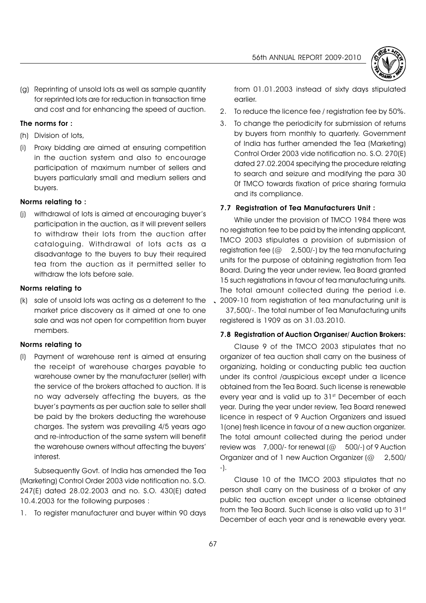

(g) Reprinting of unsold lots as well as sample quantity for reprinted lots are for reduction in transaction time and cost and for enhancing the speed of auction.

## The norms for :

- (h) Division of lots,
- (i) Proxy bidding are aimed at ensuring competition in the auction system and also to encourage participation of maximum number of sellers and buyers particularly small and medium sellers and buyers.

#### Norms relating to :

(j) withdrawal of lots is aimed at encouraging buyer's participation in the auction, as it will prevent sellers to withdraw their lots from the auction after cataloguing. Withdrawal of lots acts as a disadvantage to the buyers to buy their required tea from the auction as it permitted seller to withdraw the lots before sale.

#### Norms relating to

(k) sale of unsold lots was acting as a deterrent to the market price discovery as it aimed at one to one sale and was not open for competition from buyer members.

#### Norms relating to

(l) Payment of warehouse rent is aimed at ensuring the receipt of warehouse charges payable to warehouse owner by the manufacturer (seller) with the service of the brokers attached to auction. It is no way adversely affecting the buyers, as the buyer's payments as per auction sale to seller shall be paid by the brokers deducting the warehouse charges. The system was prevailing 4/5 years ago and re-introduction of the same system will benefit the warehouse owners without affecting the buyers' interest.

Subsequently Govt. of India has amended the Tea (Marketing) Control Order 2003 vide notification no. S.O. 247(E) dated 28.02.2003 and no. S.O. 430(E) dated 10.4.2003 for the following purposes :

1. To register manufacturer and buyer within 90 days

from 01.01.2003 instead of sixty days stipulated earlier.

- 2. To reduce the licence fee / registration fee by 50%.
- 3. To change the periodicity for submission of returns by buyers from monthly to quarterly. Government of India has further amended the Tea (Marketing) Control Order 2003 vide notification no. S.O. 270(E) dated 27.02.2004 specifying the procedure relating to search and seizure and modifying the para 30 0f TMCO towards fixation of price sharing formula and its compliance.

# 7.7 Registration of Tea Manufacturers Unit :

While under the provision of TMCO 1984 there was no registration fee to be paid by the intending applicant, TMCO 2003 stipulates a provision of submission of registration fee (@  $\;$  2,500/-) by the tea manufacturing 2009-10 from registration of tea manufacturing unit is units for the purpose of obtaining registration from Tea Board. During the year under review, Tea Board granted 15 such registrations in favour of tea manufacturing units. The total amount collected during the period i.e.

37,500/-. The total number of Tea Manufacturing units registered is 1909 as on 31.03.2010.

## 7.8 Registration of Auction Organiser/ Auction Brokers:

Clause 9 of the TMCO 2003 stipulates that no organizer of tea auction shall carry on the business of organizing, holding or conducting public tea auction under its control /auspicious except under a licence obtained from the Tea Board. Such license is renewable every year and is valid up to 31st December of each year. During the year under review, Tea Board renewed licence in respect of 9 Auction Organizers and issued 1(one) fresh licence in favour of a new auction organizer. The total amount collected during the period under review was 7,000/- for renewal (@ 500/-) of 9 Auction Organizer and of 1 new Auction Organizer (@ 2,500/ -).

Clause 10 of the TMCO 2003 stipulates that no person shall carry on the business of a broker of any public tea auction except under a license obtained from the Tea Board. Such license is also valid up to 31st December of each year and is renewable every year.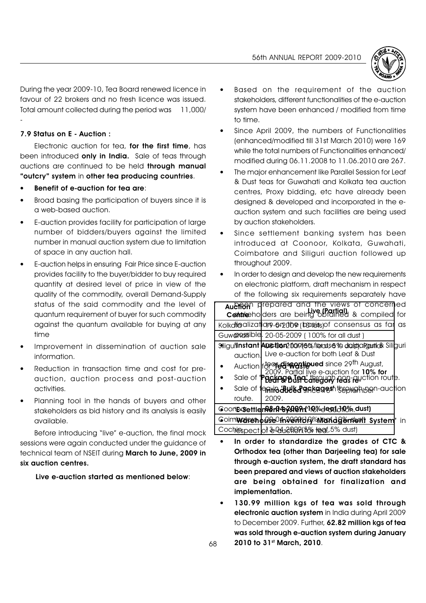

During the year 2009-10, Tea Board renewed licence in favour of 22 brokers and no fresh licence was issued. Total amount collected during the period was 11,000/ -

# 7.9 Status on E - Auction :

Electronic auction for tea, for the first time, has been introduced only in India. Sale of teas through auctions are continued to be held through manual "outcry" system in other tea producing countries.

- Benefit of e-auction for tea are:
- Broad basing the participation of buyers since it is a web-based auction.
- E-auction provides facility for participation of large number of bidders/buyers against the limited number in manual auction system due to limitation of space in any auction hall.
- E-auction helps in ensuring Fair Price since E-auction provides facility to the buyer/bidder to buy required quantity at desired level of price in view of the quality of the commodity, overall Demand-Supply status of the said commodity and the level of quantum requirement of buyer for such commodity against the quantum available for buying at any time
- Improvement in dissemination of auction sale information.
- Reduction in transaction time and cost for preauction, auction process and post-auction activities.
- Planning tool in the hands of buyers and other stakeholders as bid history and its analysis is easily available.

Before introducing "live" e-auction, the final mock sessions were again conducted under the guidance of technical team of NSEIT during March to June, 2009 in six auction centres.

# Live e-auction started as mentioned below:

- Based on the requirement of the auction stakeholders, different functionalities of the e-auction system have been enhanced / modified from time to time.
- Since April 2009, the numbers of Functionalities (enhanced/modified till 31st March 2010) were 169 while the total numbers of Functionalities enhanced/ modified during 06.11.2008 to 11.06.2010 are 267.
- The major enhancement like Parallel Session for Leaf & Dust teas for Guwahati and Kolkata tea auction centres, Proxy bidding, etc have already been designed & developed and incorporated in the eauction system and such facilities are being used by auction stakeholders.
- Since settlement banking system has been introduced at Coonoor, Kolkata, Guwahati, Coimbatore and Siliguri auction followed up throughout 2009.
- In order to design and develop the new requirements on electronic platform, draft mechanism in respect of the following six requirements separately have

|        | Auction prepared and the views of concerned<br><b>Complied belog to the Contract of the Complied</b> for                                             |    |
|--------|------------------------------------------------------------------------------------------------------------------------------------------------------|----|
|        | Kolkatinalization organoe (banissof consensus as far<br>$\alpha$ s                                                                                   |    |
|        | Guw@\@\$Bible. 20-05-2009 (100% for all dust)                                                                                                        |    |
|        | Siligufinstant <b>Austion2000/6%</b> forats 6% dalphargunide Siliguri<br>auction, Live e-auction for both Leaf & Dust                                |    |
|        | Auction f& or discorrigued since 29th August,<br>Sale of "Perdici live e-auction for 10% for July 10% for Sale of "Perdicipal" and discussion route. |    |
| route. | Sale of <b>tantiodRuded and tegesth the of the production</b><br>2009.                                                                               |    |
|        | Goon <b>D-SettlemPerA467408m</b> "lO%destidlO% dust)                                                                                                 |    |
|        | Coimbret personnellation system                                                                                                                      | in |
|        | Cochiespect of & ColdeRO9(5% teat, 5% dust)                                                                                                          |    |

- In order to standardize the grades of CTC & Orthodox tea (other than Darjeeling tea) for sale through e-auction system, the draft standard has been prepared and views of auction stakeholders are being obtained for finalization and implementation.
- 130.99 million kgs of tea was sold through electronic auction system in India during April 2009 to December 2009. Further, 62.82 million kas of tea was sold through e-auction system during January 2010 to 31st March, 2010.

68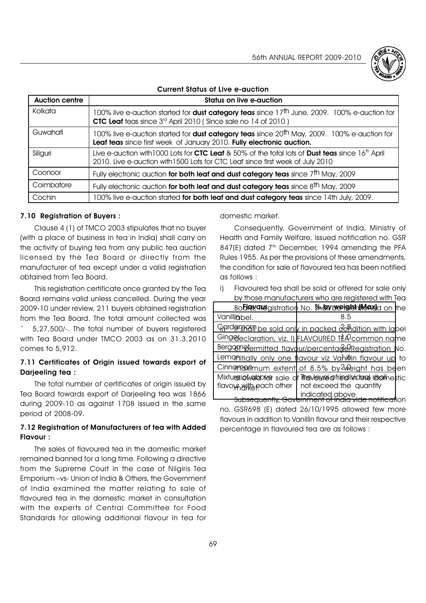

| <b>Auction centre</b> | <b>Status on live e-auction</b>                                                                                                                                                                |
|-----------------------|------------------------------------------------------------------------------------------------------------------------------------------------------------------------------------------------|
| Kolkata               | 100% live e-auction started for <b>dust category teas</b> since 17 <sup>th</sup> June, 2009. 100% e-auction for<br>CTC Leaf teas since 3rd April 2010 (Since sale no 14 of 2010)               |
| Guwahati              | 100% live e-auction started for <b>dust category teas</b> since 20 <sup>th</sup> May, 2009. 100% e-auction for<br>Leaf teas since first week of January 2010. Fully electronic auction.        |
| Siliguri              | Live e-auction with 1000 Lots for CTC Leaf & 50% of the total lots of Dust teas since 16 <sup>th</sup> April<br>2010. Live e-auction with 1500 Lots for CTC Leaf since first week of July 2010 |
| Coonoor               | Fully electronic auction for both leaf and dust category teas since 7 <sup>th</sup> May, 2009                                                                                                  |
| Coimbatore            | Fully electronic auction for both leaf and dust category teas since 8 <sup>th</sup> May, 2009                                                                                                  |
| Cochin                | 100% live e-auction started for both leaf and dust category teas since 14th July, 2009.                                                                                                        |

#### 7.10 Registration of Buyers :

Clause 4 (1) of TMCO 2003 stipulates that no buyer (with a place of business in tea in India) shall carry on the activity of buying tea from any public tea auction licensed by the Tea Board or directly from the manufacturer of tea except under a valid registration obtained from Tea Board.

This registration certificate once granted by the Tea Board remains valid unless cancelled. During the year 2009-10 under review, 211 buyers obtained registration from the Tea Board. The total amount collected was ` 5,27,500/-. The total number of buyers registered

with Tea Board under TMCO 2003 as on 31.3.2010 comes to 5,912.

# 7.11 Certificates of Origin issued towards export of Darjeeling tea :

The total number of certificates of origin issued by Tea Board towards export of Darjeeling tea was 1866 during 2009-10 as against 1708 issued in the same period of 2008-09.

# 7.12 Registration of Manufacturers of tea with Added Flavour :

The sales of flavoured tea in the domestic market remained banned for a long time. Following a directive from the Supreme Court in the case of Nilgiris Tea Emporium –vs- Union of India & Others, the Government of India examined the matter relating to sale of flavoured tea in the domestic market in consultation with the experts of Central Committee for Food Standards for allowing additional flavour in tea for domestic market.

Consequently, Government of India, Ministry of Health and Family Welfare, issued notification no. GSR 847(E) dated  $7<sup>th</sup>$  December, 1994 amending the PFA Rules 1955. As per the provisions of these amendments, the condition for sale of flavoured tea has been notified as follows :

i) Flavoured tea shall be sold or offered for sale only by those manufacturers who are registered with Tea

|                          | Bobley wegistration No. Shelly weight in Mand on the                                       |  |
|--------------------------|--------------------------------------------------------------------------------------------|--|
| Vanillabel.              | 8.5                                                                                        |  |
|                          | Giprdarshell be sold only in packed condition with label                                   |  |
|                          | Ginggeclaration, viz. I) FLAVOURED TEACommon name                                          |  |
|                          | Bergamptermitted flavour/percentaceneraistration No.                                       |  |
|                          | Lemonitially only one flavour viz Vahinin flavour up to                                    |  |
|                          | Cinname Simum extent of 8.5% by 2 weight has been                                          |  |
| flavour, with each other | Mixturglowedopter sale of They evrel of the dividual shothestic<br>not exceed the quantity |  |
| <del>insequemiy,</del>   | indicated above                                                                            |  |

no. GSR698 (E) dated 26/10/1995 allowed few more flavours in addition to Vanillin flavour and their respective percentage in flavoured tea are as follows :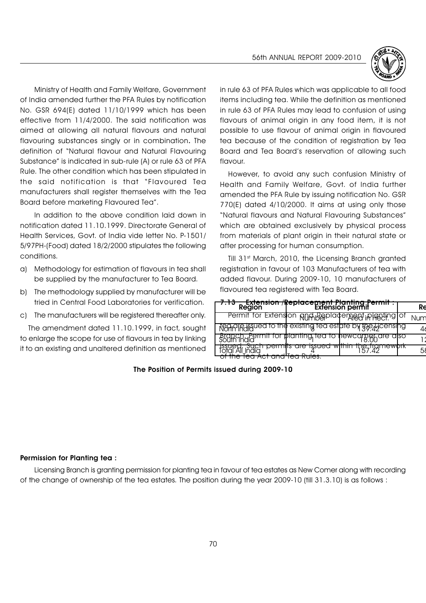

Ministry of Health and Family Welfare, Government of India amended further the PFA Rules by notification No. GSR 694(E) dated 11/10/1999 which has been effective from 11/4/2000. The said notification was aimed at allowing all natural flavours and natural flavouring substances singly or in combination. The definition of "Natural flavour and Natural Flavouring Substance" is indicated in sub-rule (A) or rule 63 of PFA Rule. The other condition which has been stipulated in the said notification is that " Flavoured Tea manufacturers shall register themselves with the Tea Board before marketing Flavoured Tea".

In addition to the above condition laid down in notification dated 11.10.1999. Directorate General of Health Services, Govt. of India vide letter No. P-1501/ 5/97PH-(Food) dated 18/2/2000 stipulates the following conditions.

- a) Methodology for estimation of flavours in tea shall be supplied by the manufacturer to Tea Board.
- b) The methodology supplied by manufacturer will be tried in Central Food Laboratories for verification.
- c) The manufacturers will be registered thereafter only.

The amendment dated 11.10.1999, in fact, sought to enlarge the scope for use of flavours in tea by linking it to an existing and unaltered definition as mentioned

in rule 63 of PFA Rules which was applicable to all food items including tea. While the definition as mentioned in rule 63 of PFA Rules may lead to confusion of using flavours of animal origin in any food item, it is not possible to use flavour of animal origin in flavoured tea because of the condition of registration by Tea Board and Tea Board's reservation of allowing such flavour.

However, to avoid any such confusion Ministry of Health and Family Welfare, Govt. of India further amended the PFA Rule by issuing notification No. GSR 770(E) dated 4/10/2000. It aims at using only those "Natural flavours and Natural Flavouring Substances" which are obtained exclusively by physical process from materials of plant origin in their natural state or after processing for human consumption.

Till 31<sup>st</sup> March, 2010, the Licensing Branch granted registration in favour of 103 Manufacturers of tea with added flavour. During 2009-10, 10 manufacturers of flavoured tea registered with Tea Board.

| <b>Region</b><br>- 11                                           | <b>Dieni Framing.r</b> |                               |      | Re  |
|-----------------------------------------------------------------|------------------------|-------------------------------|------|-----|
| Permit for Extension                                            |                        | RnAR Splacement in lasting of |      | Num |
| <b>TRAPIR ISLED TO The existing ted estate by the Licensing</b> |                        |                               |      |     |
|                                                                 | теа<br>ummg, r         | <b>IGMCON PRIPIG</b>          | aiso |     |
|                                                                 | e                      | <b>EWDIK</b>                  |      |     |
| ᇦ                                                               | uies.                  |                               |      |     |

# The Position of Permits issued during 2009-10

#### Permission for Planting tea :

Licensing Branch is granting permission for planting tea in favour of tea estates as New Comer along with recording of the change of ownership of the tea estates. The position during the year 2009-10 (till 31.3.10) is as follows :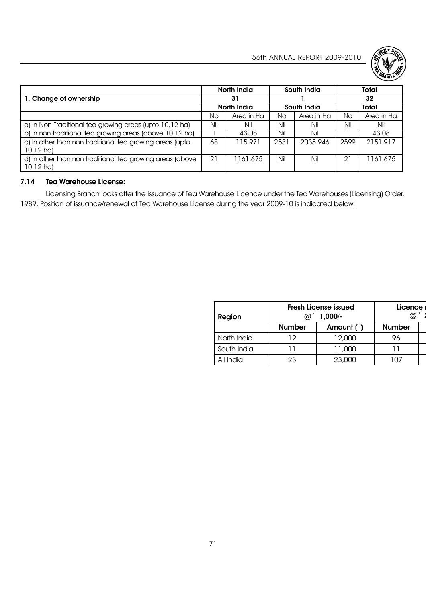

|                                                                          |             | North India |             | South India |       | Total      |
|--------------------------------------------------------------------------|-------------|-------------|-------------|-------------|-------|------------|
| 1. Change of ownership<br>31                                             |             |             |             |             | 32    |            |
|                                                                          | North India |             | South India |             | Total |            |
|                                                                          | No          | Area in Ha  | No          | Area in Ha  | No    | Area in Ha |
| a) In Non-Traditional tea growing areas (upto 10.12 ha)                  | Nil         | Nil         | Nil         | Nil         | Nil   | Nil        |
| b) In non traditional tea growing areas (above 10.12 ha)                 |             | 43.08       | Nil         | Nil         |       | 43.08      |
| c) In other than non traditional tea growing areas (upto<br>$10.12$ ha)  | 68          | 15.971      | 2531        | 2035.946    | 2599  | 2151.917   |
| d) In other than non traditional tea growing areas (above<br>$10.12$ ha) | 21          | 1161.675    | Nil         | Nil         | 21    | 1161.675   |

# 7.14 Tea Warehouse License:

Licensing Branch looks after the issuance of Tea Warehouse Licence under the Tea Warehouses (Licensing) Order, 1989. Position of issuance/renewal of Tea Warehouse License during the year 2009-10 is indicated below:

| Region      | <b>Fresh License issued</b><br>@ | Licence<br>@ |               |  |
|-------------|----------------------------------|--------------|---------------|--|
|             | <b>Number</b>                    | Amount $( )$ | <b>Number</b> |  |
| North India | 12                               | 12,000       | 96            |  |
| South India |                                  | 11,000       |               |  |
| All India   | 23                               | 23,000       | 107           |  |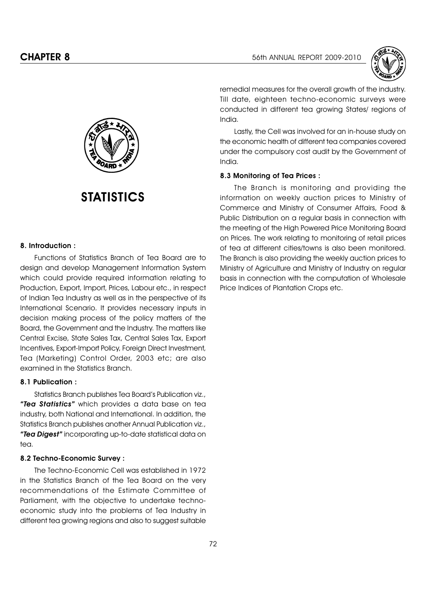



# **STATISTICS**

#### 8. Introduction :

Functions of Statistics Branch of Tea Board are to design and develop Management Information System which could provide required information relating to Production, Export, Import, Prices, Labour etc., in respect of Indian Tea Industry as well as in the perspective of its International Scenario. It provides necessary inputs in decision making process of the policy matters of the Board, the Government and the Industry. The matters like Central Excise, State Sales Tax, Central Sales Tax, Export Incentives, Export-Import Policy, Foreign Direct Investment, Tea (Marketing) Control Order, 2003 etc; are also examined in the Statistics Branch.

#### 8.1 Publication :

Statistics Branch publishes Tea Board's Publication viz., "Tea Statistics" which provides a data base on tea industry, both National and International. In addition, the Statistics Branch publishes another Annual Publication viz., "Tea Digest" incorporating up-to-date statistical data on tea.

# 8.2 Techno-Economic Survey :

The Techno-Economic Cell was established in 1972 in the Statistics Branch of the Tea Board on the very recommendations of the Estimate Committee of Parliament, with the objective to undertake technoeconomic study into the problems of Tea Industry in different tea growing regions and also to suggest suitable

remedial measures for the overall growth of the industry. Till date, eighteen techno-economic surveys were conducted in different tea growing States/ regions of India.

Lastly, the Cell was involved for an in-house study on the economic health of different tea companies covered under the compulsory cost audit by the Government of India.

# 8.3 Monitoring of Tea Prices :

The Branch is monitoring and providing the information on weekly auction prices to Ministry of Commerce and Ministry of Consumer Affairs, Food & Public Distribution on a regular basis in connection with the meeting of the High Powered Price Monitoring Board on Prices. The work relating to monitoring of retail prices of tea at different cities/towns is also been monitored. The Branch is also providing the weekly auction prices to Ministry of Agriculture and Ministry of Industry on regular basis in connection with the computation of Wholesale Price Indices of Plantation Crops etc.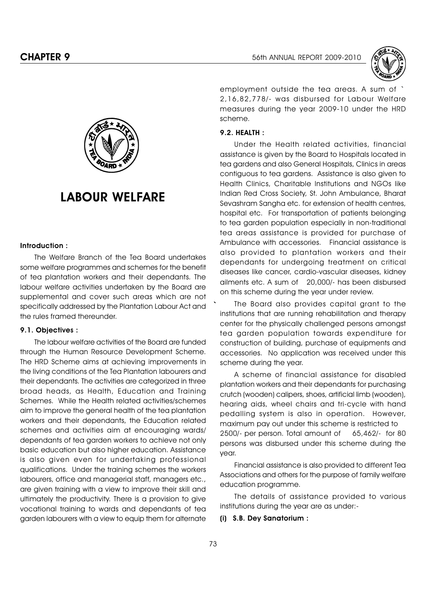



# LABOUR WELFARE

#### Introduction :

The Welfare Branch of the Tea Board undertakes some welfare programmes and schemes for the benefit of tea plantation workers and their dependants. The labour welfare activities undertaken by the Board are supplemental and cover such areas which are not specifically addressed by the Plantation Labour Act and the rules framed thereunder.

#### 9.1. Objectives :

The labour welfare activities of the Board are funded through the Human Resource Development Scheme. The HRD Scheme aims at achieving improvements in the living conditions of the Tea Plantation labourers and their dependants. The activities are categorized in three broad heads, as Health, Education and Training Schemes. While the Health related activities/schemes aim to improve the general health of the tea plantation workers and their dependants, the Education related schemes and activities aim at encouraging wards/ dependants of tea garden workers to achieve not only basic education but also higher education. Assistance is also given even for undertaking professional qualifications. Under the training schemes the workers labourers, office and managerial staff, managers etc., are given training with a view to improve their skill and ultimately the productivity. There is a provision to give vocational training to wards and dependants of tea garden labourers with a view to equip them for alternate

employment outside the tea areas. A sum of 2,16,82,778/- was disbursed for Labour Welfare measures during the year 2009-10 under the HRD scheme.

#### 9.2. HEALTH :

Under the Health related activities, financial assistance is given by the Board to Hospitals located in tea gardens and also General Hospitals, Clinics in areas contiguous to tea gardens. Assistance is also given to Health Clinics, Charitable Institutions and NGOs like Indian Red Cross Society, St. John Ambulance, Bharat Sevashram Sangha etc. for extension of health centres, hospital etc. For transportation of patients belonging to tea garden population especially in non-traditional tea areas assistance is provided for purchase of Ambulance with accessories. Financial assistance is also provided to plantation workers and their dependants for undergoing treatment on critical diseases like cancer, cardio-vascular diseases, kidney ailments etc. A sum of 20,000/- has been disbursed on this scheme during the year under review.

The Board also provides capital grant to the institutions that are running rehabilitation and therapy center for the physically challenged persons amongst tea garden population towards expenditure for construction of building, purchase of equipments and accessories. No application was received under this scheme during the year.

A scheme of financial assistance for disabled plantation workers and their dependants for purchasing crutch (wooden) calipers, shoes, artificial limb (wooden), hearing aids, wheel chairs and tri-cycle with hand pedalling system is also in operation. However, maximum pay out under this scheme is restricted to 2500/- per person. Total amount of 65,462/- for 80 persons was disbursed under this scheme during the year.

Financial assistance is also provided to different Tea Associations and others for the purpose of family welfare education programme.

The details of assistance provided to various institutions during the year are as under:-

(i) S.B. Dey Sanatorium :

`

`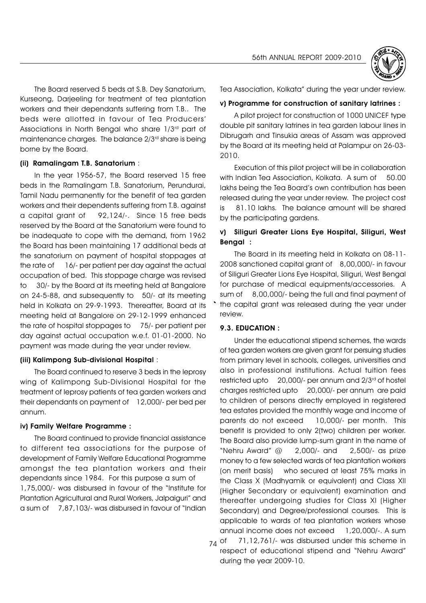The Board reserved 5 beds at S.B. Dey Sanatorium, Kurseong, Darjeeling for treatment of tea plantation workers and their dependants suffering from T.B.. The beds were allotted in favour of Tea Producers' Associations in North Bengal who share 1/3rd part of maintenance charges. The balance 2/3<sup>rd</sup> share is being borne by the Board.

#### (ii) Ramalingam T.B. Sanatorium :

In the year 1956-57, the Board reserved 15 free beds in the Ramalingam T.B. Sanatorium, Perundurai, Tamil Nadu permanently for the benefit of tea garden workers and their dependents suffering from T.B. against a capital grant of 92,124/-. Since 15 free beds reserved by the Board at the Sanatorium were found to be inadequate to cope with the demand, from 1962 the Board has been maintaining 17 additional beds at the sanatorium on payment of hospital stoppages at the rate of 16/- per patient per day against the actual occupation of bed. This stoppage charge was revised to 30/- by the Board at its meeting held at Bangalore<br>4-5-88, and subsequently to  $-$  50/- at its meeting<br>in Kolkata on 29-9-1993. Thereafter. Board at its on 24-5-88, and subsequently to 50/- at its meeting held in Kolkata on 29-9-1993. Thereafter, Board at its meeting held at Bangalore on 29-12-1999 enhanced the rate of hospital stoppages to 75/- per patient per day against actual occupation w.e.f. 01-01-2000. No payment was made during the year under review.

#### (iii) Kalimpong Sub-divisional Hospital :

The Board continued to reserve 3 beds in the leprosy wing of Kalimpong Sub-Divisional Hospital for the treatment of leprosy patients of tea garden workers and their dependants on payment of 12,000/- per bed per annum.

#### iv) Family Welfare Programme :

The Board continued to provide financial assistance to different tea associations for the purpose of development of Family Welfare Educational Programme amongst the tea plantation workers and their dependants since 1984. For this purpose a sum of 1,75,000/- was disbursed in favour of the "Institute for Plantation Agricultural and Rural Workers, Jalpaiguri" and a sum of 7,87,103/- was disbursed in favour of "Indian

56th ANNUAL REPORT 2009-2010



Tea Association, Kolkata" during the year under review.

#### v) Programme for construction of sanitary latrines :

A pilot project for construction of 1000 UNICEF type double pit sanitary latrines in tea garden labour lines in Dibrugarh and Tinsukia areas of Assam was approved by the Board at its meeting held at Palampur on 26-03- 2010.

Execution of this pilot project will be in collaboration with Indian Tea Association, Kolkata. A sum of 50.00 lakhs being the Tea Board's own contribution has been released during the year under review. The project cost is 81.10 lakhs. The balance amount will be shared by the participating gardens.

### v) Siliguri Greater Lions Eye Hospital, Siliguri, West Bengal :

The Board in its meeting held in Kolkata on 08-11- 2008 sanctioned capital grant of 8,00,000/- in favour of Siliguri Greater Lions Eye Hospital, Siliguri, West Bengal for purchase of medical equipments/accessories. A sum of 8,00,000/- being the full and final payment of the capital grant was released during the year under review.

#### 9.3. EDUCATION :

`

74 of Under the educational stipend schemes, the wards of tea garden workers are given grant for persuing studies from primary level in schools, colleges, universities and also in professional institutions. Actual tuition fees restricted upto 20,000/- per annum and 2/3rd of hostel charges restricted upto 20,000/- per annum are paid to children of persons directly employed in registered tea estates provided the monthly wage and income of parents do not exceed 10,000/- per month. This benefit is provided to only 2(two) children per worker. The Board also provide lump-sum grant in the name of "Nehru Award" @ 2,000/- and 2,500/- as prize money to a few selected wards of tea plantation workers (on merit basis) who secured at least 75% marks in the Class X (Madhyamik or equivalent) and Class XII (Higher Secondary or equivalent) examination and thereafter undergoing studies for Class XI (Higher Secondary) and Degree/professional courses. This is applicable to wards of tea plantation workers whose annual income does not exceed 1,20,000/-. A sum 71,12,761/- was disbursed under this scheme in

respect of educational stipend and "Nehru Award" during the year 2009-10.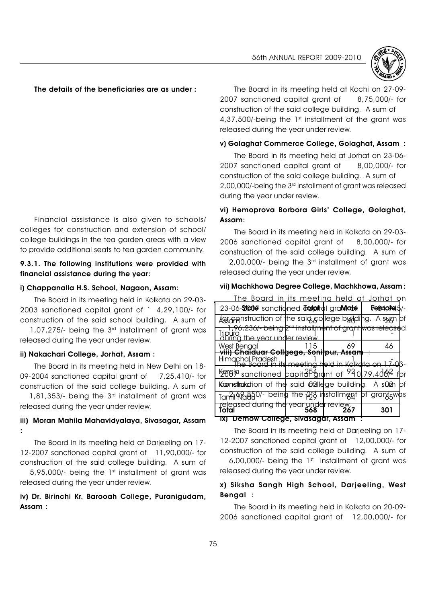#### The details of the beneficiaries are as under :

Financial assistance is also given to schools/ colleges for construction and extension of school/ college buildings in the tea garden areas with a view to provide additional seats to tea garden community.

#### 9.3.1. The following institutions were provided with financial assistance during the year:

#### i) Chappanalla H.S. School, Nagaon, Assam:

The Board in its meeting held in Kolkata on 29-03- 2003 sanctioned capital grant of ` 4,29,100/- for construction of the said school building. A sum of

 $1,07,275$ /- being the  $3<sup>rd</sup>$  installment of grant was released during the year under review.

#### ii) Nakachari College, Jorhat, Assam :

The Board in its meeting held in New Delhi on 18- 09-2004 sanctioned capital grant of 7,25,410/- for construction of the said college building. A sum of

 $1,81,353/$ - being the  $3<sup>rd</sup>$  installment of grant was released during the year under review.

### iii) Moran Mahila Mahavidyalaya, Sivasagar, Assam :

The Board in its meeting held at Darjeeling on 17- 12-2007 sanctioned capital grant of 11,90,000/- for construction of the said college building. A sum of

5,95,000/- being the  $1<sup>st</sup>$  installment of grant was released during the year under review.

# iv) Dr. Birinchi Kr. Barooah College, Puranigudam, Assam :

56th ANNUAL REPORT 2009-2010



The Board in its meeting held at Kochi on 27-09- 2007 sanctioned capital grant of 8,75,000/- for construction of the said college building. A sum of 4,37,500/-being the  $1<sup>st</sup>$  installment of the grant was

#### v) Golaghat Commerce College, Golaghat, Assam :

released during the year under review.

The Board in its meeting held at Jorhat on 23-06- 2007 sanctioned capital grant of 8,00,000/- for construction of the said college building. A sum of 2,00,000/-being the 3rd installment of grant was released during the year under review.

#### vi) Hemoprova Borbora Girls' College, Golaghat, Assam:

The Board in its meeting held in Kolkata on 29-03- 2006 sanctioned capital grant of 8,00,000/- for construction of the said college building. A sum of

 2,00,000/- being the 3rd installment of grant was released during the year under review.

#### vii) Machkhowa Degree College, Machkhowa, Assam :

| The Board in its meeting held at Jorhat on                                                                                  |    |     |             |
|-----------------------------------------------------------------------------------------------------------------------------|----|-----|-------------|
| 23-06-21000 sanctioned dotail di gramaté                                                                                    |    |     | Fe8qQ/eq.5/ |
| Assenant action of the said college building. A sum                                                                         |    |     |             |
| <del>1 ,96,236/- being 2<sup>nd</sup> installment of grant was release</del> d<br>Tripura<br>during the year under review.  |    |     |             |
| West Benaal                                                                                                                 | 15 | 69  | 46          |
| <del>iiii) Chaĭduar Collgege, Soni†pur, Assam</del><br>Himachal Pradesh<br>e Board in its meeting held in Kolkata on 17-08- |    |     |             |
| <sup>K</sup> <sub>20</sub> <sup>9</sup> anctioned capita <sup>5</sup> grant of <sup>92</sup> 0 79,40 <sup>\$</sup> for      |    |     |             |
| Kcornstrukction of the said college building. A such                                                                        |    |     | bf          |
| Tantil (2006) Tantil Policy of the 1200 installment of grant was                                                            |    |     |             |
| Total                                                                                                                       |    | 267 | 301         |
| <b>Demow College, Sivasagar, Assam</b><br>IX)                                                                               |    |     |             |

The Board in its meeting held at Darjeeling on 17- 12-2007 sanctioned capital grant of 12,00,000/- for construction of the said college building. A sum of 6,00,000/- being the  $1<sup>st</sup>$  installment of grant was

released during the year under review.

### x) Siksha Sangh High School, Darjeeling, West Bengal :

The Board in its meeting held in Kolkata on 20-09- 2006 sanctioned capital grant of 12,00,000/- for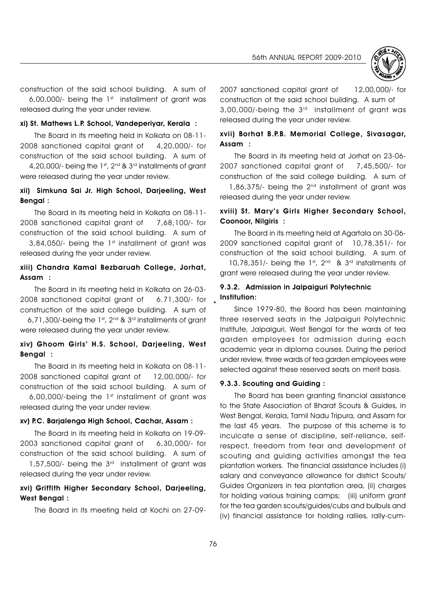

construction of the said school building. A sum of 6,00,000/- being the  $1<sup>st</sup>$  installment of grant was

released during the year under review. xi) St. Mathews L.P. School, Vandeperiyar, Kerala :

The Board in its meeting held in Kolkata on 08-11- 2008 sanctioned capital grant of construction of the said school building. A sum of

4,20,000/- being the  $1<sup>st</sup>$ ,  $2<sup>nd</sup>$  &  $3<sup>rd</sup>$  installments of grant were released during the year under review.

### xii) Simkuna Sai Jr. High School, Darjeeling, West Bengal :

4,20,000/- for<br>ng. A sum of<br>lments of grant<br>iew.<br>**rjeeling, West**<br>sata on 08-11-<br>7,68,100/- for<br>ng. A sum of<br>of grant was<br>**lege, Jorhat,**<br>sata on 26-03-<br>6.71,300/- for The Board in its meeting held in Kolkata on 08-11- 2008 sanctioned capital grant of 7,68,100/- for construction of the said school building. A sum of

 $3,84,050$ /- being the 1st installment of grant was released during the year under review.

### xiii) Chandra Kamal Bezbaruah College, Jorhat, Assam :

 $6.71,300/-$  for  $\Box$ The Board in its meeting held in Kolkata on 26-03- 2008 sanctioned capital grant of construction of the said college building. A sum of

6,71,300/-being the  $1<sup>st</sup>$ ,  $2<sup>nd</sup>$  &  $3<sup>rd</sup>$  installments of grant were released during the year under review.

# xiv) Ghoom Girls' H.S. School, Darjeeling, West Bengal :

The Board in its meeting held in Kolkata on 08-11- 2008 sanctioned capital grant of 12,00,000/- for construction of the said school building. A sum of

6,00,000/-being the  $1<sup>st</sup>$  installment of grant was released during the year under review.

#### xv) P.C. Barjalenga High School, Cachar, Assam :

The Board in its meeting held in Kolkata on 19-09- 2003 sanctioned capital grant of 6,30,000/- for construction of the said school building. A sum of

 $1,57,500$ /- being the  $3<sup>rd</sup>$  installment of grant was released during the year under review.

#### xvi) Griffith Higher Secondary School, Darjeeling, West Bengal :

The Board in its meeting held at Kochi on 27-09-

2007 sanctioned capital grant of 12,00,000/- for construction of the said school building. A sum of 3,00,000/-being the 3rd installment of grant was released during the year under review.

#### xvii) Borhat B.P.B. Memorial College, Sivasagar, Assam :

The Board in its meeting held at Jorhat on 23-06- 2007 sanctioned capital grant of 7,45,500/- for construction of the said college building. A sum of

 $1,86,375$ /- being the  $2<sup>nd</sup>$  installment of grant was released during the year under review.

#### xviii) St. Mary's Girls Higher Secondary School, Coonoor, Nilgiris :

The Board in its meeting held at Agartala on 30-06- 2009 sanctioned capital grant of 10,78,351/- for construction of the said school building. A sum of

10,78,351/- being the  $1<sup>st</sup>$ ,  $2<sup>nd</sup>$  &  $3<sup>rd</sup>$  installments of grant were released during the year under review.

#### 9.3.2. Admission in Jalpaiguri Polytechnic Institution:

Since 1979-80, the Board has been maintaining three reserved seats in the Jalpaiguri Polytechnic Institute, Jalpaiguri, West Bengal for the wards of tea garden employees for admission during each academic year in diploma courses. During the period under review, three wards of tea garden employees were selected against these reserved seats on merit basis.

#### 9.3.3. Scouting and Guiding :

The Board has been granting financial assistance to the State Association of Bharat Scouts & Guides, in West Bengal, Kerala, Tamil Nadu Tripura, and Assam for the last 45 years. The purpose of this scheme is to inculcate a sense of discipline, self-reliance, selfrespect, freedom from fear and development of scouting and guiding activities amongst the tea plantation workers. The financial assistance includes (i) salary and conveyance allowance for district Scouts/ Guides Organizers in tea plantation area, (ii) charges for holding various training camps; (iii) uniform grant for the tea garden scouts/guides/cubs and bulbuls and (iv) financial assistance for holding rallies, rally-cum-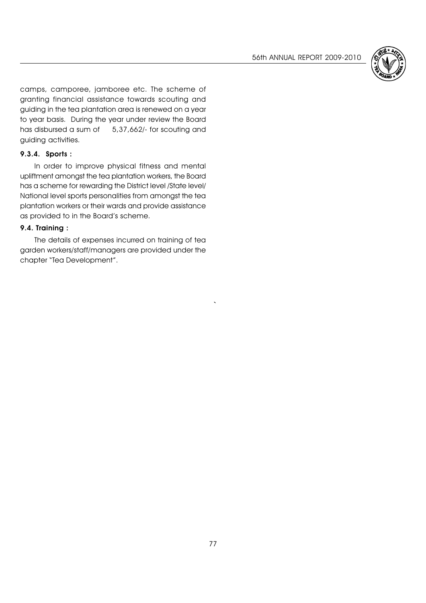

camps, camporee, jamboree etc. The scheme of granting financial assistance towards scouting and guiding in the tea plantation area is renewed on a year to year basis. During the year under review the Board has disbursed a sum of 5,37,662/- for scouting and guiding activities.

## 9.3.4. Sports :

In order to improve physical fitness and mental upliftment amongst the tea plantation workers, the Board has a scheme for rewarding the District level /State level/ National level sports personalities from amongst the tea plantation workers or their wards and provide assistance as provided to in the Board's scheme.

#### 9.4. Training :

The details of expenses incurred on training of tea garden workers/staff/managers are provided under the chapter "Tea Development".

`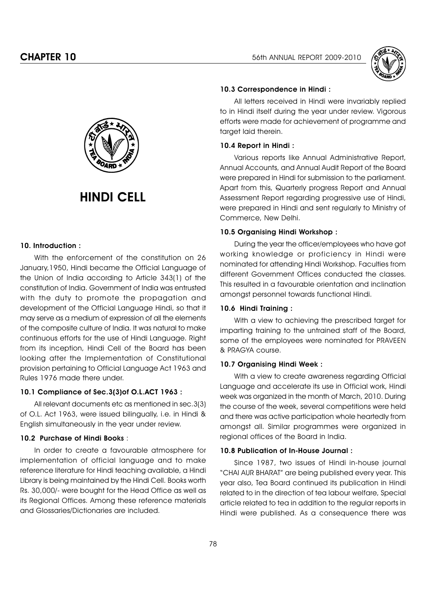

# HINDI CELL

#### 10. Introduction :

With the enforcement of the constitution on 26 January,1950, Hindi became the Official Language of the Union of India according to Article 343(1) of the constitution of India. Government of India was entrusted with the duty to promote the propagation and development of the Official Language Hindi, so that it may serve as a medium of expression of all the elements of the composite culture of India. It was natural to make continuous efforts for the use of Hindi Language. Right from its inception, Hindi Cell of the Board has been looking after the Implementation of Constitutional provision pertaining to Official Language Act 1963 and Rules 1976 made there under.

#### 10.1 Compliance of Sec.3(3)of O.L.ACT 1963 :

All relevant documents etc as mentioned in sec.3(3) of O.L. Act 1963, were issued bilingually, i.e. in Hindi & English simultaneously in the year under review.

#### 10.2 Purchase of Hindi Books :

In order to create a favourable atmosphere for implementation of official language and to make reference literature for Hindi teaching available, a Hindi Library is being maintained by the Hindi Cell. Books worth Rs. 30,000/- were bought for the Head Office as well as its Regional Offices. Among these reference materials and Glossaries/Dictionaries are included.

#### 10.3 Correspondence in Hindi :

All letters received in Hindi were invariably replied to in Hindi itself during the year under review. Vigorous efforts were made for achievement of programme and target laid therein.

#### 10.4 Report in Hindi :

Various reports like Annual Administrative Report, Annual Accounts, and Annual Audit Report of the Board were prepared in Hindi for submission to the parliament. Apart from this, Quarterly progress Report and Annual Assessment Report regarding progressive use of Hindi, were prepared in Hindi and sent regularly to Ministry of Commerce, New Delhi.

#### 10.5 Organising Hindi Workshop :

During the year the officer/employees who have got working knowledge or proficiency in Hindi were nominated for attending Hindi Workshop. Faculties from different Government Offices conducted the classes. This resulted in a favourable orientation and inclination amongst personnel towards functional Hindi.

#### 10.6 Hindi Training :

With a view to achieving the prescribed target for imparting training to the untrained staff of the Board, some of the employees were nominated for PRAVEEN & PRAGYA course.

#### 10.7 Organising Hindi Week :

With a view to create awareness regarding Official Language and accelerate its use in Official work, Hindi week was organized in the month of March, 2010. During the course of the week, several competitions were held and there was active participation whole heartedly from amongst all. Similar programmes were organized in regional offices of the Board in India.

#### 10.8 Publication of In-House Journal :

Since 1987, two issues of Hindi in-house journal "CHAI AUR BHARAT" are being published every year. This year also, Tea Board continued its publication in Hindi related to in the direction of tea labour welfare, Special article related to tea in addition to the regular reports in Hindi were published. As a consequence there was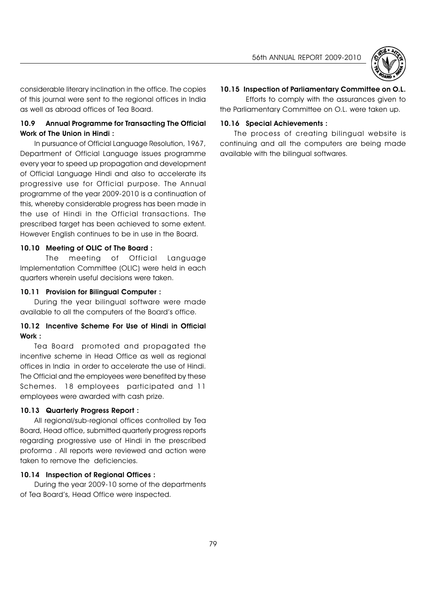

considerable literary inclination in the office. The copies of this journal were sent to the regional offices in India as well as abroad offices of Tea Board.

# 10.9 Annual Programme for Transacting The Official Work of The Union in Hindi :

In pursuance of Official Language Resolution, 1967, Department of Official Language issues programme every year to speed up propagation and development of Official Language Hindi and also to accelerate its progressive use for Official purpose. The Annual programme of the year 2009-2010 is a continuation of this, whereby considerable progress has been made in the use of Hindi in the Official transactions. The prescribed target has been achieved to some extent. However English continues to be in use in the Board.

#### 10.10 Meeting of OLIC of The Board :

The meeting of Official Language Implementation Committee (OLIC) were held in each quarters wherein useful decisions were taken.

#### 10.11 Provision for Bilingual Computer :

During the year bilingual software were made available to all the computers of the Board's office.

## 10.12 Incentive Scheme For Use of Hindi in Official Work :

Tea Board promoted and propagated the incentive scheme in Head Office as well as regional offices in India in order to accelerate the use of Hindi. The Official and the employees were benefited by these Schemes. 18 employees participated and 11 employees were awarded with cash prize.

#### 10.13 Quarterly Progress Report :

All regional/sub-regional offices controlled by Tea Board, Head office, submitted quarterly progress reports regarding progressive use of Hindi in the prescribed proforma . All reports were reviewed and action were taken to remove the deficiencies.

#### 10.14 Inspection of Regional Offices :

During the year 2009-10 some of the departments of Tea Board's, Head Office were inspected.

#### 10.15 Inspection of Parliamentary Committee on O.L.

Efforts to comply with the assurances given to the Parliamentary Committee on O.L. were taken up.

#### 10.16 Special Achievements :

The process of creating bilingual website is continuing and all the computers are being made available with the bilingual softwares.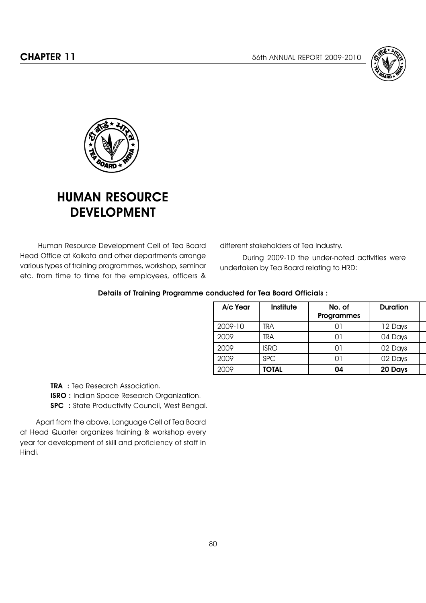



# HUMAN RESOURCE DEVELOPMENT

 Human Resource Development Cell of Tea Board Head Office at Kolkata and other departments arrange various types of training programmes, workshop, seminar etc. from time to time for the employees, officers & different stakeholders of Tea Industry.

 During 2009-10 the under-noted activities were undertaken by Tea Board relating to HRD:

### Details of Training Programme conducted for Tea Board Officials :

| A/c Year | <b>Institute</b> | No. of<br>Programmes | <b>Duration</b> |
|----------|------------------|----------------------|-----------------|
| 2009-10  | tra              | 01                   | 12 Days         |
| 2009     | tra              | Ω1                   | 04 Days         |
| 2009     | <b>ISRO</b>      | 01                   | 02 Days         |
| 2009     | <b>SPC</b>       | 01                   | 02 Days         |
| 2009     | <b>TOTAL</b>     | 04                   | 20 Days         |

TRA : Tea Research Association.

ISRO : Indian Space Research Organization.

SPC : State Productivity Council, West Bengal.

 Apart from the above, Language Cell of Tea Board at Head Quarter organizes training & workshop every year for development of skill and proficiency of staff in Hindi.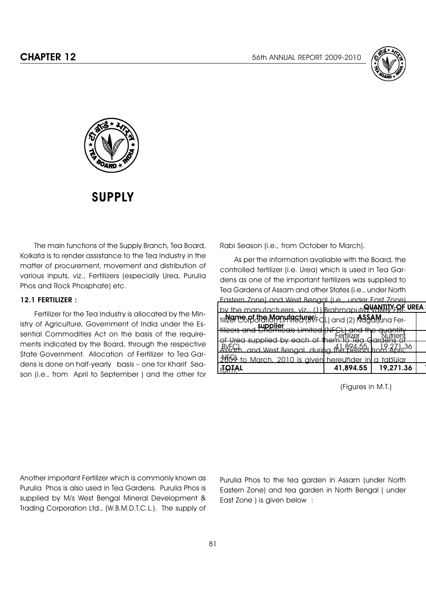



# **SUPPIY**

The main functions of the Supply Branch, Tea Board, Kolkata is to render assistance to the Tea Industry in the matter of procurement, movement and distribution of various inputs, viz., Fertilizers (especially Urea, Purulia Phos and Rock Phosphate) etc.

#### 12.1 FERTILIZER :

Fertilizer for the Tea Industry is allocated by the Ministry of Agriculture, Government of India under the Essential Commodities Act on the basis of the requirements indicated by the Board, through the respective State Government. Allocation of Fertilizer to Tea Gardens is done on half-yearly basis – one for Kharif Season (i.e., from April to September ) and the other for Rabi Season (i.e., from October to March).

| As per the information available with the Board, the        |           |             |  |
|-------------------------------------------------------------|-----------|-------------|--|
| controlled fertilizer (i.e. Urea) which is used in Tea Gar- |           |             |  |
| dens as one of the important fertilizers was supplied to    |           |             |  |
| Tea Gardens of Assam and other States (i.e., under North    |           |             |  |
| Eastern Zone) and West Benaal (i.e., under East Zone)       |           |             |  |
| by the manufacturers, viz., (1) Brahmaputre WANLUVERF       |           | <b>UREA</b> |  |
| tillere of the iMan Hinstrict (L) and (2) ASSAM in Fer-     |           |             |  |
| supplier                                                    |           |             |  |
|                                                             |           |             |  |
| and West Bengal during the                                  |           |             |  |
| March. 2010 is aivenl hereuïñder inla                       |           | tahījar     |  |
|                                                             | 41.894.55 | 19.271.36   |  |

(Figures in M.T.)

Another important Fertilizer which is commonly known as Purulia Phos is also used in Tea Gardens. Purulia Phos is supplied by M/s West Bengal Mineral Development & Trading Corporation Ltd., (W.B.M.D.T.C.L.). The supply of

Purulia Phos to the tea garden in Assam (under North Eastern Zone) and tea garden in North Bengal ( under East Zone ) is given below :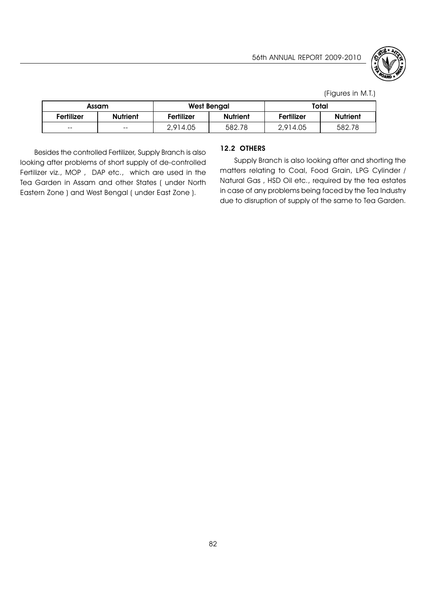

(Figures in M.T.)

| Assam         |                 | <b>West Bengal</b> |                 | Total             |                 |
|---------------|-----------------|--------------------|-----------------|-------------------|-----------------|
| Fertilizer    | <b>Nutrient</b> | <b>Fertilizer</b>  | <b>Nutrient</b> | <b>Fertilizer</b> | <b>Nutrient</b> |
| $\sim$ $\sim$ | $- -$           | 2,914.05           | 582.78          | 2,914.05          | 582.78          |

Besides the controlled Fertilizer, Supply Branch is also looking after problems of short supply of de-controlled Fertilizer viz., MOP, DAP etc., which are used in the Tea Garden in Assam and other States ( under North Eastern Zone ) and West Bengal ( under East Zone ).

#### 12.2 OTHERS

Supply Branch is also looking after and shorting the matters relating to Coal, Food Grain, LPG Cylinder / Natural Gas , HSD Oil etc., required by the tea estates in case of any problems being faced by the Tea Industry due to disruption of supply of the same to Tea Garden.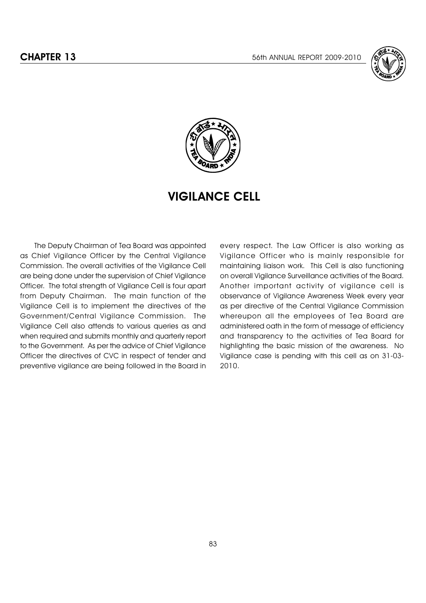



# VIGILANCE CELL

The Deputy Chairman of Tea Board was appointed as Chief Vigilance Officer by the Central Vigilance Commission. The overall activities of the Vigilance Cell are being done under the supervision of Chief Vigilance Officer. The total strength of Vigilance Cell is four apart from Deputy Chairman. The main function of the Vigilance Cell is to implement the directives of the Government/Central Vigilance Commission. The Vigilance Cell also attends to various queries as and when required and submits monthly and quarterly report to the Government. As per the advice of Chief Vigilance Officer the directives of CVC in respect of tender and preventive vigilance are being followed in the Board in

every respect. The Law Officer is also working as Vigilance Officer who is mainly responsible for maintaining liaison work. This Cell is also functioning on overall Vigilance Surveillance activities of the Board. Another important activity of vigilance cell is observance of Vigilance Awareness Week every year as per directive of the Central Vigilance Commission whereupon all the employees of Tea Board are administered oath in the form of message of efficiency and transparency to the activities of Tea Board for highlighting the basic mission of the awareness. No Vigilance case is pending with this cell as on 31-03- 2010.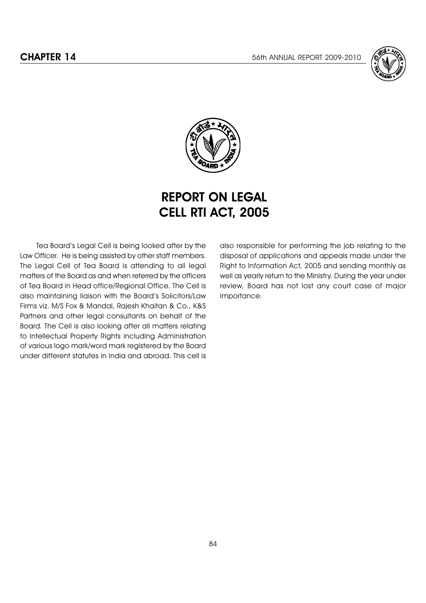



# REPORT ON LEGAL CELL RTI ACT, 2005

 Tea Board's Legal Cell is being looked after by the Law Officer. He is being assisted by other staff members. The Legal Cell of Tea Board is attending to all legal matters of the Board as and when referred by the officers of Tea Board in Head office/Regional Office. The Cell is also maintaining liaison with the Board's Solicitors/Law Firms viz. M/S Fox & Mandal, Rajesh Khaitan & Co., K&S Partners and other legal consultants on behalf of the Board. The Cell is also looking after all matters relating to Intellectual Property Rights including Administration of various logo mark/word mark registered by the Board under different statutes in India and abroad. This cell is

also responsible for performing the job relating to the disposal of applications and appeals made under the Right to Information Act, 2005 and sending monthly as well as yearly return to the Ministry. During the year under review, Board has not lost any court case of major importance.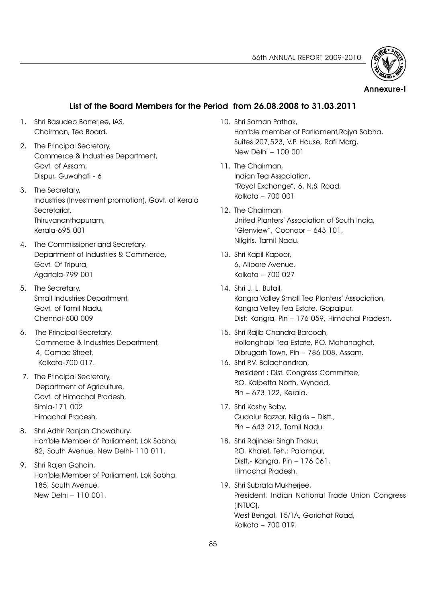

# List of the Board Members for the Period from 26.08.2008 to 31.03.2011

- 1. Shri Basudeb Banerjee, IAS, Chairman, Tea Board.
- 2. The Principal Secretary, Commerce & Industries Department, Govt. of Assam, Dispur, Guwahati - 6
- 3. The Secretary, Industries (Investment promotion), Govt. of Kerala Secretariat, Thiruvananthapuram, Kerala-695 001
- 4. The Commissioner and Secretary, Department of Industries & Commerce, Govt. Of Tripura, Agartala-799 001
- 5. The Secretary, Small Industries Department, Govt. of Tamil Nadu, Chennai-600 009
- 6. The Principal Secretary, Commerce & Industries Department, 4, Camac Street, Kolkata-700 017.
- 7. The Principal Secretary, Department of Agriculture, Govt. of Himachal Pradesh, Simla-171 002 Himachal Pradesh.
- 8. Shri Adhir Ranjan Chowdhury, Hon'ble Member of Parliament, Lok Sabha, 82, South Avenue, New Delhi- 110 011.
- 9. Shri Rajen Gohain, Hon'ble Member of Parliament, Lok Sabha. 185, South Avenue, New Delhi – 110 001.
- 10. Shri Saman Pathak, Hon'ble member of Parliament,Rajya Sabha, Suites 207,523, V.P. House, Rafi Marg, New Delhi – 100 001
- 11. The Chairman, Indian Tea Association, "Royal Exchange", 6, N.S. Road, Kolkata – 700 001
- 12. The Chairman, United Planters' Association of South India, "Glenview", Coonoor – 643 101, Nilgiris, Tamil Nadu.
- 13. Shri Kapil Kapoor, 6, Alipore Avenue, Kolkata – 700 027
- 14. Shri J. L. Butail, Kangra Valley Small Tea Planters' Association, Kangra Velley Tea Estate, Gopalpur, Dist: Kangra, Pin – 176 059, Himachal Pradesh.
- 15. Shri Rajib Chandra Barooah, Hollonghabi Tea Estate, P.O. Mohanaghat, Dibrugarh Town, Pin – 786 008, Assam.
- 16. Shri P.V. Balachandran, President : Dist. Congress Committee, P.O. Kalpetta North, Wynaad, Pin – 673 122, Kerala.
- 17. Shri Koshy Baby, Gudalur Bazzar, Nilgiris – Distt., Pin – 643 212, Tamil Nadu.
- 18. Shri Rajinder Singh Thakur, P.O. Khalet, Teh.: Palampur, Distt.- Kangra, Pin – 176 061, Himachal Pradesh.
- 19. Shri Subrata Mukherjee, President, Indian National Trade Union Congress (INTUC), West Benaal, 15/1A, Gariahat Road, Kolkata – 700 019.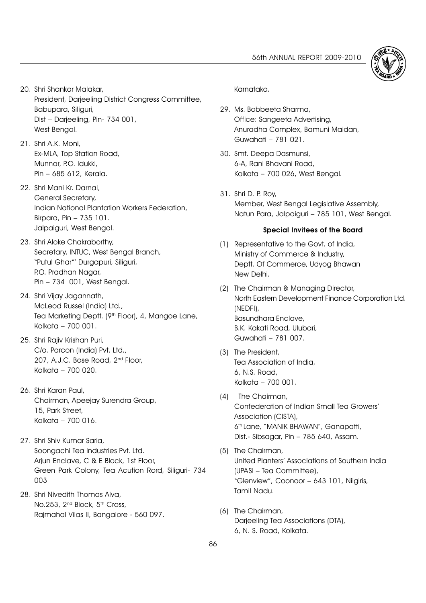

- 20. Shri Shankar Malakar, President, Darjeeling District Congress Committee, Babupara, Siliguri, Dist – Darjeeling, Pin- 734 001, West Bengal.
- 21. Shri A.K. Moni, Ex-MLA, Top Station Road, Munnar, P.O. Idukki, Pin – 685 612, Kerala.
- 22. Shri Mani Kr. Darnal, General Secretary, Indian National Plantation Workers Federation, Birpara, Pin – 735 101. Jalpaiguri, West Bengal.
- 23. Shri Aloke Chakraborthy, Secretary, INTUC, West Bengal Branch, "Putul Ghar"' Durgapuri, Siliguri, P.O. Pradhan Nagar, Pin – 734 001, West Bengal.
- 24. Shri Vijay Jagannath, McLeod Russel (India) Ltd., Tea Marketing Deptt. (9<sup>th</sup> Floor), 4, Mangoe Lane, Kolkata – 700 001.
- 25. Shri Rajiv Krishan Puri, C/o. Parcon (India) Pvt. Ltd., 207, A.J.C. Bose Road, 2<sup>nd</sup> Floor, Kolkata – 700 020.
- 26. Shri Karan Paul, Chairman, Apeejay Surendra Group, 15, Park Street, Kolkata – 700 016.
- 27. Shri Shiv Kumar Saria, Soongachi Tea Industries Pvt. Ltd. Arjun Enclave, C & E Block, 1st Floor, Green Park Colony, Tea Acution Rord, Siliguri- 734 003
- 28. Shri Nivedith Thomas Alva, No.253, 2<sup>nd</sup> Block, 5<sup>th</sup> Cross, Rajmahal Vilas II, Bangalore - 560 097.

#### Karnataka.

- 29. Ms. Bobbeeta Sharma, Office: Sangeeta Advertising, Anuradha Complex, Bamuni Maidan, Guwahati – 781 021.
- 30. Smt. Deepa Dasmunsi, 6-A, Rani Bhavani Road, Kolkata – 700 026, West Bengal.
- 31. Shri D. P. Roy, Member, West Bengal Legislative Assembly, Natun Para, Jalpaiguri – 785 101, West Bengal.

#### Special Invitees of the Board

- (1) Representative to the Govt. of India, Ministry of Commerce & Industry, Deptt. Of Commerce, Udyog Bhawan New Delhi.
- (2) The Chairman & Managing Director, North Eastern Development Finance Corporation Ltd. (NEDFI), Basundhara Enclave, B.K. Kakati Road, Ulubari, Guwahati – 781 007.
- (3) The President, Tea Association of India, 6, N.S. Road, Kolkata – 700 001.
- (4) The Chairman, Confederation of Indian Small Tea Growers' Association (CISTA), 6 th Lane, "MANIK BHAWAN", Ganapatti, Dist.- Sibsagar, Pin – 785 640, Assam.
- (5) The Chairman, United Planters' Associations of Southern India (UPASI – Tea Committee), "Glenview", Coonoor – 643 101, Nilgiris, Tamil Nadu.
- (6) The Chairman, Darjeeling Tea Associations (DTA), 6, N. S. Road, Kolkata.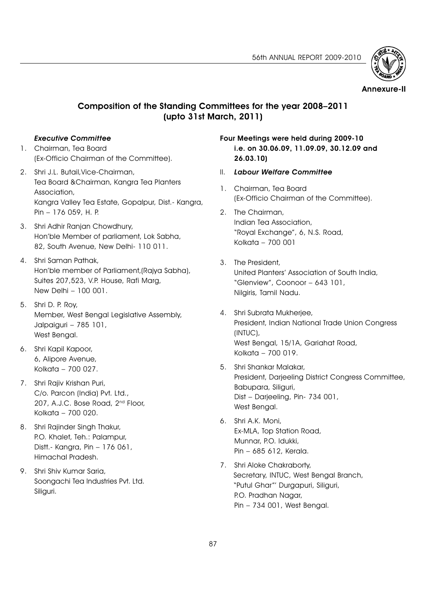

# Composition of the Standing Committees for the year 2008–2011 (upto 31st March, 2011)

#### Executive Committee

- 1. Chairman, Tea Board (Ex-Officio Chairman of the Committee).
- 2. Shri J.L. Butail,Vice-Chairman, Tea Board &Chairman, Kangra Tea Planters Association, Kangra Valley Tea Estate, Gopalpur, Dist.- Kangra, Pin – 176 059, H. P.
- 3. Shri Adhir Ranjan Chowdhury, Hon'ble Member of parliament, Lok Sabha, 82, South Avenue, New Delhi- 110 011.
- 4. Shri Saman Pathak, Hon'ble member of Parliament,(Rajya Sabha), Suites 207,523, V.P. House, Rafi Marg, New Delhi – 100 001.
- 5. Shri D. P. Roy, Member, West Bengal Legislative Assembly, Jalpaiguri – 785 101, West Bengal.
- 6. Shri Kapil Kapoor, 6, Alipore Avenue, Kolkata – 700 027.
- 7. Shri Rajiv Krishan Puri, C/o. Parcon (India) Pvt. Ltd., 207, A.J.C. Bose Road, 2<sup>nd</sup> Floor, Kolkata – 700 020.
- 8. Shri Rajinder Singh Thakur, P.O. Khalet, Teh.: Palampur, Distt.- Kangra, Pin – 176 061, Himachal Pradesh.
- 9. Shri Shiv Kumar Saria, Soongachi Tea Industries Pvt. Ltd. Siliguri.

# Four Meetings were held during 2009-10 i.e. on 30.06.09, 11.09.09, 30.12.09 and 26.03.10)

- II. Labour Welfare Committee
- 1. Chairman, Tea Board (Ex-Officio Chairman of the Committee).
- 2. The Chairman, Indian Tea Association, "Royal Exchange", 6, N.S. Road, Kolkata – 700 001
- 3. The President, United Planters' Association of South India, "Glenview", Coonoor – 643 101, Nilgiris, Tamil Nadu.
- 4. Shri Subrata Mukherjee, President, Indian National Trade Union Congress (INTUC), West Benaal, 15/1A, Gariahat Road, Kolkata – 700 019.
- 5. Shri Shankar Malakar, President, Darjeeling District Congress Committee, Babupara, Siliguri, Dist – Darjeeling, Pin- 734 001, West Bengal.
- 6. Shri A.K. Moni, Ex-MLA, Top Station Road, Munnar, P.O. Idukki, Pin – 685 612, Kerala.
- 7. Shri Aloke Chakraborty, Secretary, INTUC, West Bengal Branch, "Putul Ghar"' Durgapuri, Siliguri, P.O. Pradhan Nagar, Pin – 734 001, West Bengal.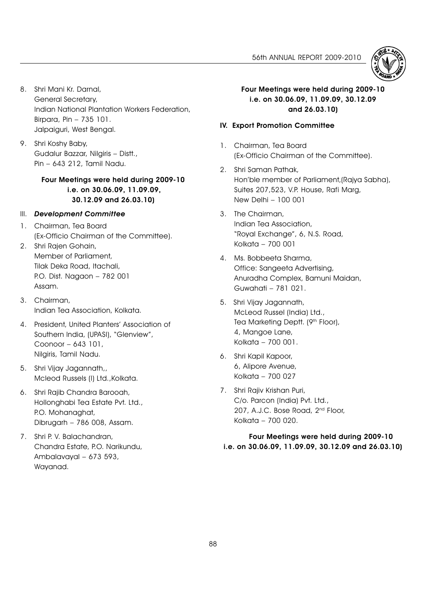

- 8. Shri Mani Kr. Darnal, General Secretary, Indian National Plantation Workers Federation, Birpara, Pin – 735 101. Jalpaiguri, West Bengal.
- 9. Shri Koshy Baby, Gudalur Bazzar, Nilgiris – Distt., Pin – 643 212, Tamil Nadu.

# Four Meetings were held during 2009-10 i.e. on 30.06.09, 11.09.09, 30.12.09 and 26.03.10)

### III. Development Committee

- 1. Chairman, Tea Board (Ex-Officio Chairman of the Committee).
- 2. Shri Rajen Gohain, Member of Parliament, Tilak Deka Road, Itachali, P.O. Dist. Nagaon – 782 001 Assam.
- 3. Chairman, Indian Tea Association, Kolkata.
- 4. President, United Planters' Association of Southern India, (UPASI), "Glenview", Coonoor – 643 101, Nilgiris, Tamil Nadu.
- 5. Shri Vijay Jagannath,, Mcleod Russels (I) Ltd.,Kolkata.
- 6. Shri Rajib Chandra Barooah, Hollonghabi Tea Estate Pvt. Ltd., P.O. Mohanaghat, Dibrugarh – 786 008, Assam.
- 7. Shri P. V. Balachandran, Chandra Estate, P.O. Narikundu, Ambalavayal – 673 593, Wayanad.

# Four Meetings were held during 2009-10 i.e. on 30.06.09, 11.09.09, 30.12.09 and 26.03.10)

#### IV. Export Promotion Committee

- 1. Chairman, Tea Board (Ex-Officio Chairman of the Committee).
- 2. Shri Saman Pathak, Hon'ble member of Parliament,(Rajya Sabha), Suites 207,523, V.P. House, Rafi Marg, New Delhi – 100 001
- 3. The Chairman, Indian Tea Association, "Royal Exchange", 6, N.S. Road, Kolkata – 700 001
- 4. Ms. Bobbeeta Sharma, Office: Sangeeta Advertising, Anuradha Complex, Bamuni Maidan, Guwahati – 781 021.
- 5. Shri Vijay Jagannath, McLeod Russel (India) Ltd., Tea Marketing Deptt. (9<sup>th</sup> Floor), 4, Mangoe Lane, Kolkata – 700 001.
- 6. Shri Kapil Kapoor, 6, Alipore Avenue, Kolkata – 700 027
- 7. Shri Rajiv Krishan Puri, C/o. Parcon (India) Pvt. Ltd., 207, A.J.C. Bose Road, 2<sup>nd</sup> Floor, Kolkata – 700 020.

 Four Meetings were held during 2009-10 i.e. on 30.06.09, 11.09.09, 30.12.09 and 26.03.10)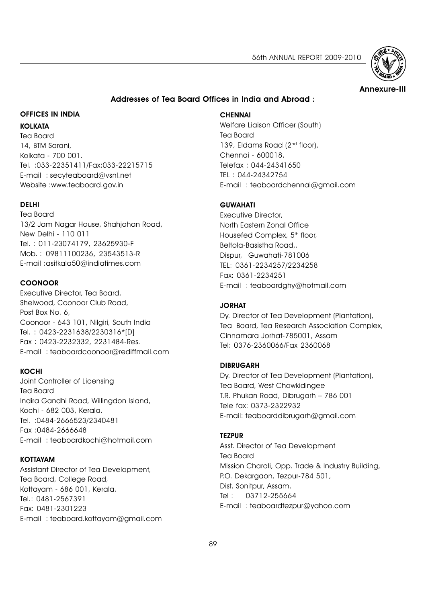

### Addresses of Tea Board Offices in India and Abroad :

#### OFFICES IN INDIA

#### KOLKATA

Tea Board 14, BTM Sarani, Kolkata - 700 001. Tel. :033-22351411/Fax:033-22215715 E-mail : secyteaboard@vsnl.net Website :www.teaboard.gov.in

### DELHI

Tea Board 13/2 Jam Nagar House, Shahjahan Road, New Delhi - 110 011 Tel. : 011-23074179, 23625930-F Mob. : 09811100236, 23543513-R E-mail :asitkala50@indiatimes.com

#### **COONOOR**

Executive Director, Tea Board, Shelwood, Coonoor Club Road, Post Box No. 6, Coonoor - 643 101, Nilgiri, South India Tel. : 0423-2231638/2230316\*[D] Fax : 0423-2232332, 2231484-Res. E-mail : teaboardcoonoor@rediffmail.com

### KOCHI

Joint Controller of Licensing Tea Board Indira Gandhi Road, Willingdon Island, Kochi - 682 003, Kerala. Tel. :0484-2666523/2340481 Fax :0484-2666648 E-mail : teaboardkochi@hotmail.com

#### KOTTAYAM

Assistant Director of Tea Development, Tea Board, College Road, Kottayam - 686 001, Kerala. Tel.: 0481-2567391 Fax: 0481-2301223 E-mail : teaboard.kottayam@gmail.com

#### **CHENNAI**

Welfare Liaison Officer (South) Tea Board 139, Eldams Road (2<sup>nd</sup> floor), Chennai - 600018. Telefax : 044-24341650 TEL : 044-24342754 E-mail : teaboardchennai@gmail.com

### **GUWAHATI**

Executive Director, North Eastern Zonal Office Housefed Complex, 5<sup>th</sup> floor, Beltola-Basistha Road,. Dispur, Guwahati-781006 TEL: 0361-2234257/2234258 Fax: 0361-2234251 E-mail : teaboardghy@hotmail.com

#### **JORHAT**

Dy. Director of Tea Development (Plantation), Tea Board, Tea Research Association Complex, Cinnamara Jorhat-785001, Assam Tel: 0376-2360066/Fax 2360068

#### DIBRUGARH

Dy. Director of Tea Development (Plantation), Tea Board, West Chowkidingee T.R. Phukan Road, Dibrugarh – 786 001 Tele fax: 0373-2322932 E-mail: teaboarddibrugarh@gmail.com

#### **TEZPUR**

Asst. Director of Tea Development Tea Board Mission Charali, Opp. Trade & Industry Building, P.O. Dekargaon, Tezpur-784 501, Dist. Sonitpur, Assam. Tel : 03712-255664 E-mail : teaboardtezpur@yahoo.com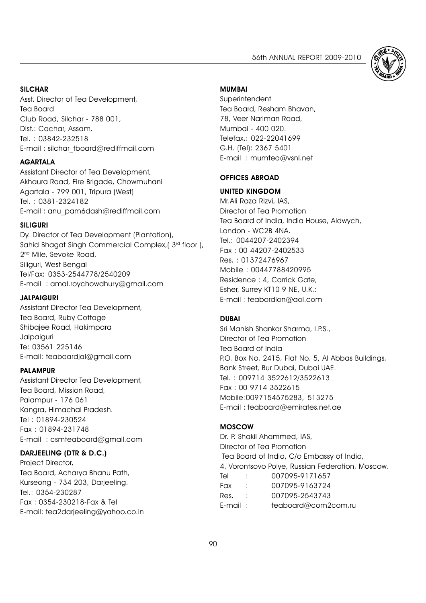

#### **SILCHAR**

Asst. Director of Tea Development, Tea Board Club Road, Silchar - 788 001, Dist.: Cachar, Assam. Tel. : 03842-232518 E-mail : silchar\_tboard@rediffmail.com

#### AGARTALA

Assistant Director of Tea Development, Akhaura Road, Fire Brigade, Chowmuhani Agartala - 799 001, Tripura (West) Tel. : 0381-2324182 E-mail : anu\_pam6dash@rediffmail.com

#### SILIGURI

Dy. Director of Tea Development (Plantation), Sahid Bhagat Singh Commercial Complex, ( $3<sup>rd</sup>$  floor), 2<sup>nd</sup> Mile, Sevoke Road, Siliguri, West Bengal Tel/Fax: 0353-2544778/2540209 E-mail : amal.roychowdhury@gmail.com

#### **JALPAIGURI**

Assistant Director Tea Development, Tea Board, Ruby Cottage Shibajee Road, Hakimpara Jalpaiguri Te: 03561 225146 E-mail: teaboardjal@gmail.com

#### PALAMPUR

Assistant Director Tea Development, Tea Board, Mission Road, Palampur - 176 061 Kangra, Himachal Pradesh. Tel : 01894-230524 Fax : 01894-231748 E-mail : csmteaboard@gmail.com

#### DARJEELING (DTR & D.C.)

Project Director, Tea Board, Acharya Bhanu Path, Kurseong - 734 203, Darjeeling. Tel.: 0354-230287 Fax : 0354-230218-Fax & Tel E-mail: tea2darjeeling@yahoo.co.in

# MUMBAI

Superintendent Tea Board, Resham Bhavan, 78, Veer Nariman Road, Mumbai - 400 020. Telefax.: 022-22041699 G.H. (Tel): 2367 5401 E-mail : mumtea@vsnl.net

### OFFICES ABROAD

#### UNITED KINGDOM

Mr.Ali Raza Rizvi, IAS, Director of Tea Promotion Tea Board of India, India House, Aldwych, London - WC2B 4NA. Tel.: 0044207-2402394 Fax : 00 44207-2402533 Res. : 01372476967 Mobile : 00447788420995 Residence : 4, Carrick Gate, Esher, Surrey KT10 9 NE, U.K.: E-mail : teabordlon@aol.com

#### DUBAI

Sri Manish Shankar Sharma, I.P.S., Director of Tea Promotion Tea Board of India P.O. Box No. 2415, Flat No. 5, Al Abbas Buildings, Bank Street, Bur Dubai, Dubai UAE. Tel. : 009714 3522612/3522613 Fax : 00 9714 3522615 Mobile:0097154575283, 513275 E-mail : teaboard@emirates.net.ae

#### MOSCOW

Dr. P. Shakil Ahammed, IAS, Director of Tea Promotion Tea Board of India, C/o Embassy of India, 4, Vorontsovo Polye, Russian Federation, Moscow. Tel : 007095-9171657 Fax : 007095-9163724 Res. : 007095-2543743 E-mail : teaboard@com2com.ru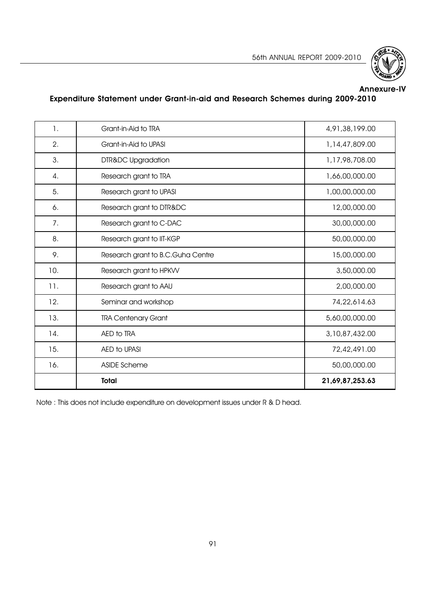

# Annexure-IV

# Expenditure Statement under Grant-in-aid and Research Schemes during 2009-2010

| 1.  | Grant-in-Aid to TRA               | 4,91,38,199.00  |
|-----|-----------------------------------|-----------------|
| 2.  | Grant-in-Aid to UPASI             | 1,14,47,809.00  |
| 3.  | <b>DTR&amp;DC Upgradation</b>     | 1,17,98,708.00  |
| 4.  | Research grant to TRA             | 1,66,00,000.00  |
| 5.  | Research grant to UPASI           | 1,00,00,000.00  |
| 6.  | Research grant to DTR&DC          | 12,00,000.00    |
| 7.  | Research grant to C-DAC           | 30,00,000.00    |
| 8.  | Research grant to IIT-KGP         | 50,00,000.00    |
| 9.  | Research grant to B.C.Guha Centre | 15,00,000.00    |
| 10. | Research grant to HPKVV           | 3,50,000.00     |
| 11. | Research grant to AAU             | 2,00,000.00     |
| 12. | Seminar and workshop              | 74,22,614.63    |
| 13. | <b>TRA Centenary Grant</b>        | 5,60,00,000.00  |
| 14. | AED to TRA                        | 3,10,87,432.00  |
| 15. | AED to UPASI                      | 72,42,491.00    |
| 16. | <b>ASIDE Scheme</b>               | 50,00,000.00    |
|     | <b>Total</b>                      | 21,69,87,253.63 |

Note : This does not include expenditure on development issues under R & D head.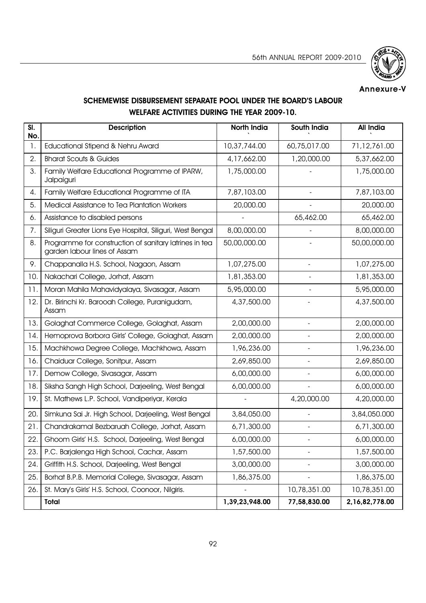

# Annexure-V

# SCHEMEWISE DISBURSEMENT SEPARATE POOL UNDER THE BOARD'S LABOUR WELFARE ACTIVITIES DURING THE YEAR 2009-10.

| SI.<br>No. | <b>Description</b>                                                                     | North India    | South India              | All India      |
|------------|----------------------------------------------------------------------------------------|----------------|--------------------------|----------------|
| 1.         | Educational Stipend & Nehru Award                                                      | 10,37,744.00   | 60,75,017.00             | 71,12,761.00   |
| 2.         | <b>Bharat Scouts &amp; Guides</b>                                                      | 4,17,662.00    | 1,20,000.00              | 5,37,662.00    |
| 3.         | Family Welfare Educational Programme of IPARW,<br>Jalpaiguri                           | 1,75,000.00    |                          | 1,75,000.00    |
| 4.         | Family Welfare Educational Programme of ITA                                            | 7,87,103.00    | $\Box$                   | 7,87,103.00    |
| 5.         | Medical Assistance to Tea Plantation Workers                                           | 20,000.00      |                          | 20,000.00      |
| 6.         | Assistance to disabled persons                                                         |                | 65,462.00                | 65,462.00      |
| 7.         | Siliguri Greater Lions Eye Hospital, Siliguri, West Bengal                             | 8,00,000.00    |                          | 8,00,000.00    |
| 8.         | Programme for construction of sanitary latrines in tea<br>garden labour lines of Assam | 50,00,000.00   |                          | 50,00,000.00   |
| 9.         | Chappanalla H.S. School, Nagaon, Assam                                                 | 1,07,275.00    |                          | 1,07,275.00    |
| 10.        | Nakachari College, Jorhat, Assam                                                       | 1,81,353.00    |                          | 1,81,353.00    |
| 11.        | Moran Mahila Mahavidyalaya, Sivasagar, Assam                                           | 5,95,000.00    |                          | 5,95,000.00    |
| 12.        | Dr. Birinchi Kr. Barooah College, Puranigudam,<br>Assam                                | 4,37,500.00    |                          | 4,37,500.00    |
| 13.        | Golaghat Commerce College, Golaghat, Assam                                             | 2,00,000.00    | $\overline{\phantom{a}}$ | 2,00,000.00    |
| 14.        | Hemoprova Borbora Girls' College, Golaghat, Assam                                      | 2,00,000.00    |                          | 2,00,000.00    |
| 15.        | Machkhowa Degree College, Machkhowa, Assam                                             | 1,96,236.00    |                          | 1,96,236.00    |
| 16.        | Chaiduar College, Sonitpur, Assam                                                      | 2,69,850.00    | $\overline{a}$           | 2,69,850.00    |
| 17.        | Demow College, Sivasagar, Assam                                                        | 6,00,000.00    |                          | 6,00,000.00    |
| 18.        | Siksha Sangh High School, Darjeeling, West Bengal                                      | 6,00,000.00    |                          | 6,00,000.00    |
| 19.        | St. Mathews L.P. School, Vandiperiyar, Kerala                                          |                | 4,20,000.00              | 4,20,000.00    |
| 20.        | Simkuna Sai Jr. High School, Darjeeling, West Bengal                                   | 3,84,050.00    |                          | 3,84,050.000   |
| 21.        | Chandrakamal Bezbaruah College, Jorhat, Assam                                          | 6,71,300.00    |                          | 6,71,300.00    |
| 22.        | Ghoom Girls' H.S. School, Darjeeling, West Bengal                                      | 6,00,000.00    |                          | 6,00,000.00    |
| 23.        | P.C. Barjalenga High School, Cachar, Assam                                             | 1,57,500.00    |                          | 1,57,500.00    |
| 24.        | Griffith H.S. School, Darjeeling, West Bengal                                          | 3,00,000.00    |                          | 3,00,000.00    |
| 25.        | Borhat B.P.B. Memorial College, Sivasagar, Assam                                       | 1,86,375.00    |                          | 1,86,375.00    |
| 26.        | St. Mary's Girls' H.S. School, Coonoor, Nilgiris.                                      |                | 10,78,351.00             | 10,78,351.00   |
|            | Total                                                                                  | 1,39,23,948.00 | 77,58,830.00             | 2,16,82,778.00 |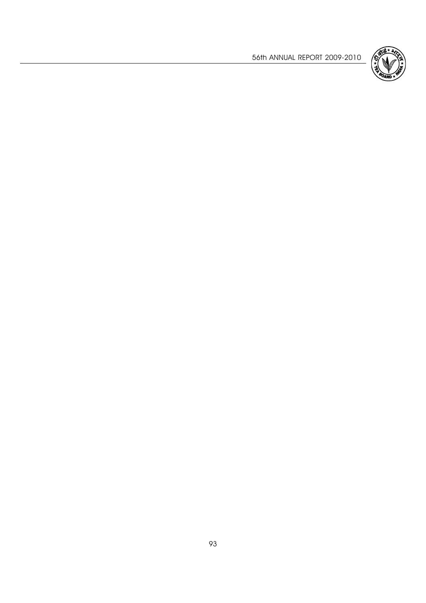

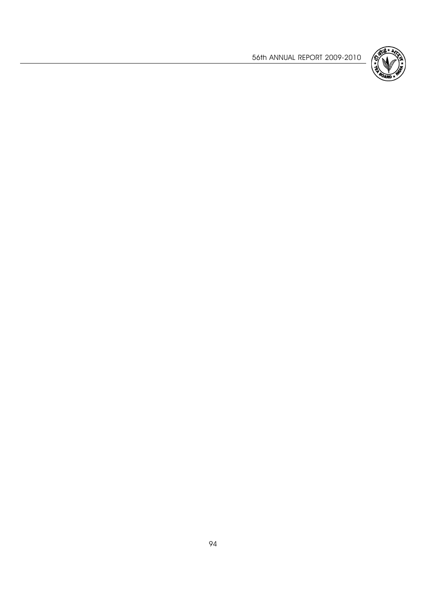

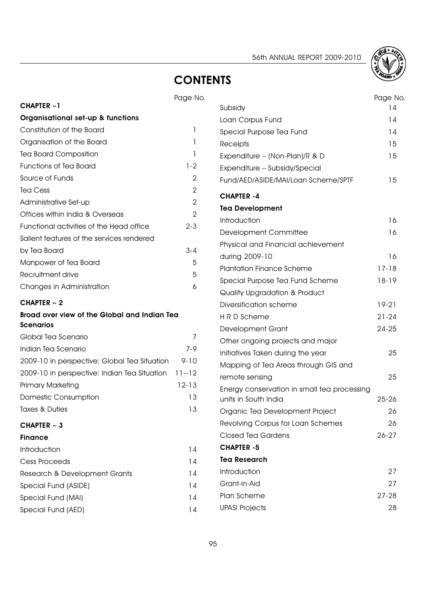# **CONTENTS**



# CHAPTER –1 Organisational set-up & functions Constitution of the Board 1 Organisation of the Board 1 Tea Board Composition 1 Functions of Tea Board 1-2 Source of Funds 2 Tea Cess 2 Administrative Set-up 2 Offices within India & Overseas 2 Functional activities of the Head office 2-3 Salient features of the services rendered by Tea Board 3-4 Manpower of Tea Board 5 Recruitment drive 5 Changes in Administration 6

# CHAPTER – 2

## Broad over view of the Global and Indian Tea **Scenarios**

| Global Tea Scenario                                 |       |
|-----------------------------------------------------|-------|
| Indian Tea Scenario                                 | $7-9$ |
| 2009-10 in perspective: Global Tea Situation        | 9-10  |
| 2009-10 in perspective: Indian Tea Situation 11--12 |       |
| <b>Primary Marketing</b>                            | 12-13 |
| <b>Domestic Consumption</b>                         | 13    |
| Taxes & Duties                                      | 13    |

### CHAPTER – 3

| <b>Finance</b>                |    |
|-------------------------------|----|
| Introduction                  | 14 |
| Cess Proceeds                 | 14 |
| Research & Development Grants | 14 |
| Special Fund (ASIDE)          | 14 |
| Special Fund (MAI)            | 14 |
| Special Fund (AED)            | 14 |
|                               |    |

| Page No.     | Subsidy                                     | Page No.<br>14 |
|--------------|---------------------------------------------|----------------|
|              | Loan Corpus Fund                            | 14             |
| 1            | Special Purpose Tea Fund                    | 14             |
| 1            | Receipts                                    | 15             |
| 1            | Expenditure - (Non-Plan)/R & D              | 15             |
| $1 - 2$      | Expenditure - Subsidy/Special               |                |
| $\mathbf{2}$ | Fund/AED/ASIDE/MAI/Loan Scheme/SPTF         | 15             |
| $\mathbf{2}$ | <b>CHAPTER -4</b>                           |                |
| $\mathbf{2}$ | <b>Tea Development</b>                      |                |
| $\mathbf{2}$ | Introduction                                | 16             |
| $2 - 3$      | Development Committee                       | 16             |
|              | Physical and Financial achievement          |                |
| $3 - 4$      | during 2009-10                              | 16             |
| 5            | <b>Plantation Finance Scheme</b>            | $17 - 18$      |
| 5            | Special Purpose Tea Fund Scheme             | $18 - 19$      |
| 6            | Quality Upgradation & Product               |                |
|              | Diversification scheme                      | $19-21$        |
| ٥            | H R D Scheme                                | $21 - 24$      |
|              | <b>Development Grant</b>                    | 24-25          |
| 7            | Other ongoing projects and major            |                |
| $7 - 9$      | initiatives Taken during the year           | 25             |
| $9 - 10$     | Mapping of Tea Areas through GIS and        |                |
| $11 - 12$    | remote sensing                              | 25             |
| $12 - 13$    | Energy conservation in small tea processing |                |
| 13           | units in South India                        | $25 - 26$      |
| 13           | Organic Tea Development Project             | 26             |
|              | Revolving Corpus for Loan Schemes           | 26             |
|              | <b>Closed Tea Gardens</b>                   | $26 - 27$      |
| 14           | <b>CHAPTER -5</b>                           |                |
| 14           | <b>Tea Research</b>                         |                |
| 14           | Introduction                                | 27             |
| 14           | Grant-in-Aid                                | 27             |
| 14           | Plan Scheme                                 | $27 - 28$      |
| 14           | <b>UPASI Projects</b>                       | 28             |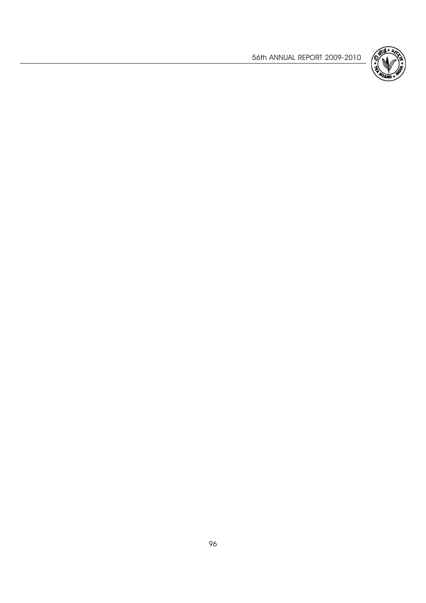

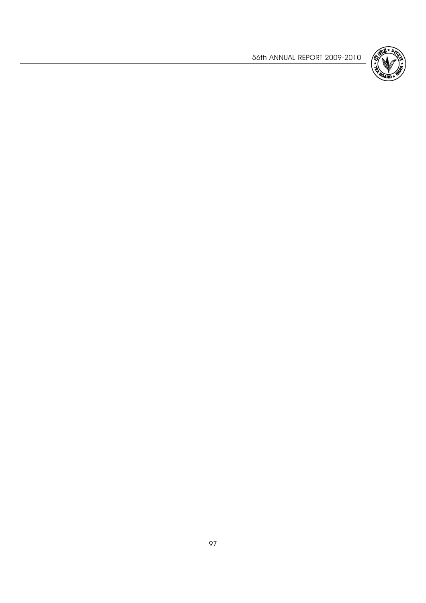